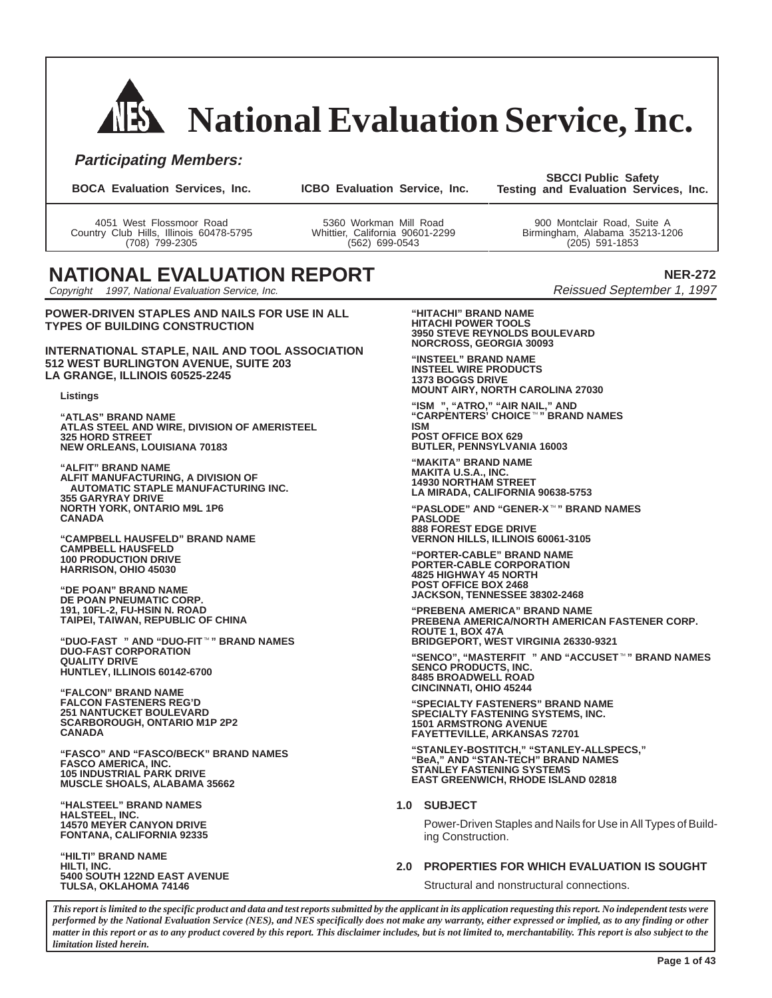# **National Evaluation Service, Inc.**

### **Participating Members:**

**BOCA Evaluation Services, Inc. ICBO Evaluation Service, Inc.**

**SBCCI Public Safety Testing and Evaluation Services, Inc.**

4051 West Flossmoor Road Country Club Hills, Illinois 60478-5795 (708) 799-2305

5360 Workman Mill Road Whittier, California 90601-2299 (562) 699-0543

900 Montclair Road, Suite A Birmingham, Alabama 35213-1206 (205) 591-1853

# **NATIONAL EVALUATION REPORT**

Copyright © 1997, National Evaluation Service, Inc.

**POWER-DRIVEN STAPLES AND NAILS FOR USE IN ALL TYPES OF BUILDING CONSTRUCTION**

**INTERNATIONAL STAPLE, NAIL AND TOOL ASSOCIATION 512 WEST BURLINGTON AVENUE, SUITE 203 LA GRANGE, ILLINOIS 60525-2245**

#### **Listings**

**"ATLAS" BRAND NAME ATLAS STEEL AND WIRE, DIVISION OF AMERISTEEL 325 HORD STREET NEW ORLEANS, LOUISIANA 70183**

**"ALFIT" BRAND NAME ALFIT MANUFACTURING, A DIVISION OF AUTOMATIC STAPLE MANUFACTURING INC. 355 GARYRAY DRIVE NORTH YORK, ONTARIO M9L 1P6 CANADA**

**"CAMPBELL HAUSFELD" BRAND NAME CAMPBELL HAUSFELD 100 PRODUCTION DRIVE HARRISON, OHIO 45030**

**"DE POAN" BRAND NAME DE POAN PNEUMATIC CORP. 191, 10FL-2, FU-HSIN N. ROAD TAIPEI, TAIWAN, REPUBLIC OF CHINA**

TAIPEI, TAIWAN, REPUBLIC OF CHINA<br>"DUO-FAST<sup>®</sup>" AND "DUO-FIT™" BRAND NAMES<br>DUO-FAST CORPORATION **QUALITY DRIVE HUNTLEY, ILLINOIS 60142-6700**

**"FALCON" BRAND NAME FALCON FASTENERS REG'D 251 NANTUCKET BOULEVARD SCARBOROUGH, ONTARIO M1P 2P2 CANADA**

**"FASCO" AND "FASCO/BECK" BRAND NAMES FASCO AMERICA, INC. 105 INDUSTRIAL PARK DRIVE MUSCLE SHOALS, ALABAMA 35662**

**"HALSTEEL" BRAND NAMES HALSTEEL, INC. 14570 MEYER CANYON DRIVE FONTANA, CALIFORNIA 92335**

**"HILTI" BRAND NAME HILTI, INC. 5400 SOUTH 122ND EAST AVENUE TULSA, OKLAHOMA 74146**

**NER-272** Reissued September 1, 1997

**"HITACHI" BRAND NAME HITACHI POWER TOOLS 3950 STEVE REYNOLDS BOULEVARD NORCROSS, GEORGIA 30093**

**"INSTEEL" BRAND NAME INSTEEL WIRE PRODUCTS 1373 BOGGS DRIVE MOUNT AIRY, NORTH CAROLINA 27030**

**"ISM", "ATRO," "AIR NAIL," AND "CARPENTERS' CHOICE" BRAND NAMES ISM POST OFFICE BOX 629 BUTLER, PENNSYLVANIA 16003**

**"MAKITA" BRAND NAME MAKITA U.S.A., INC. 14930 NORTHAM STREET LA MIRADA, CALIFORNIA 90638-5753 "PASLODE" AND "GENER-X" BRAND NAMES**

**PASLODE 888 FOREST EDGE DRIVE VERNON HILLS, ILLINOIS 60061-3105**

**"PORTER-CABLE" BRAND NAME PORTER-CABLE CORPORATION 4825 HIGHWAY 45 NORTH POST OFFICE BOX 2468 JACKSON, TENNESSEE 38302-2468**

**"PREBENA AMERICA" BRAND NAME PREBENA AMERICA/NORTH AMERICAN FASTENER CORP. ROUTE 1, BOX 47A BRIDGEPORT, WEST VIRGINIA 26330-9321**

**"BEIDGEPORT, WEST VIRGINIA 26330-9321<br>"SENCO", "MASTERFIT<sup>®</sup>" AND "ACCUSET™" BRAND NAMES<br>SENCO PRODUCTS, INC. 8485 BROADWELL ROAD CINCINNATI, OHIO 45244**

**"SPECIALTY FASTENERS" BRAND NAME SPECIALTY FASTENING SYSTEMS, INC. 1501 ARMSTRONG AVENUE FAYETTEVILLE, ARKANSAS 72701**

**"STANLEY-BOSTITCH," "STANLEY-ALLSPECS," "BeA," AND "STAN-TECH" BRAND NAMES STANLEY FASTENING SYSTEMS EAST GREENWICH, RHODE ISLAND 02818**

#### **1.0 SUBJECT**

Power-Driven Staples and Nails for Use in All Types of Building Construction.

#### **2.0 PROPERTIES FOR WHICH EVALUATION IS SOUGHT**

Structural and nonstructural connections.

*This report is limited to the specific product and data and test reports submitted by the applicant in its application requesting this report. No independent tests were performed by the National Evaluation Service (NES), and NES specifically does not make any warranty, either expressed or implied, as to any finding or other matter in this report or as to any product covered by this report. This disclaimer includes, but is not limited to, merchantability. This report is also subject to the limitation listed herein.*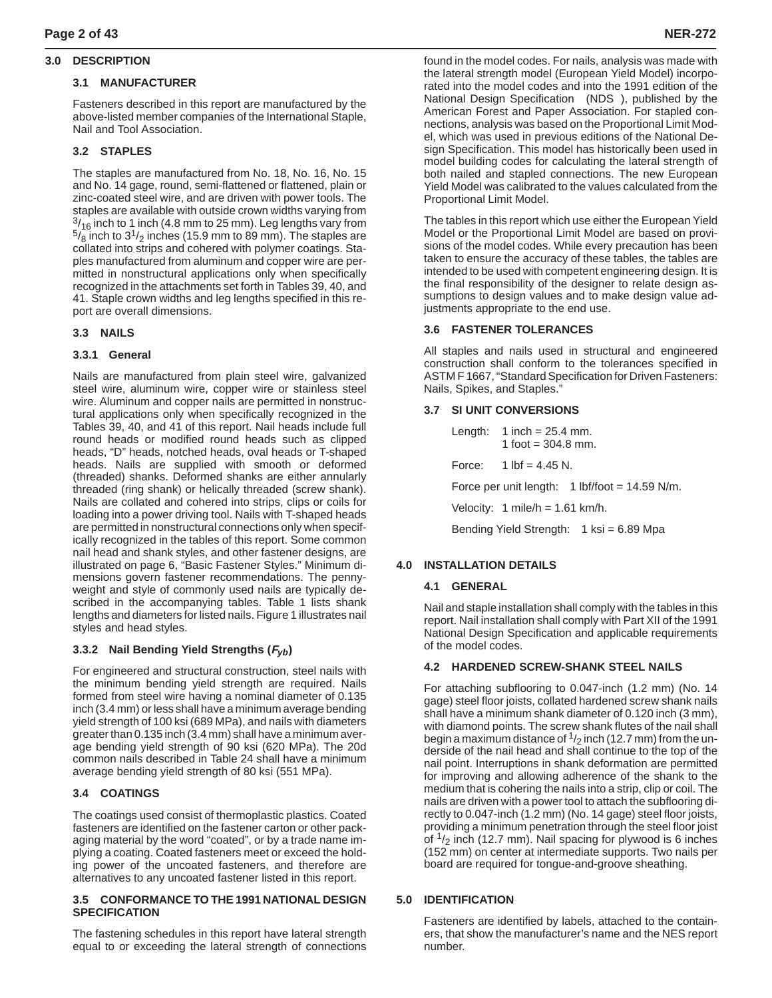#### **3.0 DESCRIPTION**

#### **3.1 MANUFACTURER**

Fasteners described in this report are manufactured by the above-listed member companies of the International Staple, Nail and Tool Association.

#### **3.2 STAPLES**

The staples are manufactured from No. 18, No. 16, No. 15 and No. 14 gage, round, semi-flattened or flattened, plain or zinc-coated steel wire, and are driven with power tools. The staples are available with outside crown widths varying from  $\frac{3}{16}$  inch to 1 inch (4.8 mm to 25 mm). Leg lengths vary from  $5/8$  inch to  $3<sup>1</sup>/2$  inches (15.9 mm to 89 mm). The staples are collated into strips and cohered with polymer coatings. Staples manufactured from aluminum and copper wire are permitted in nonstructural applications only when specifically recognized in the attachments set forth in Tables 39, 40, and 41. Staple crown widths and leg lengths specified in this report are overall dimensions.

#### **3.3 NAILS**

#### **3.3.1 General**

Nails are manufactured from plain steel wire, galvanized steel wire, aluminum wire, copper wire or stainless steel wire. Aluminum and copper nails are permitted in nonstructural applications only when specifically recognized in the Tables 39, 40, and 41 of this report. Nail heads include full round heads or modified round heads such as clipped heads, "D" heads, notched heads, oval heads or T-shaped heads. Nails are supplied with smooth or deformed (threaded) shanks. Deformed shanks are either annularly threaded (ring shank) or helically threaded (screw shank). Nails are collated and cohered into strips, clips or coils for loading into a power driving tool. Nails with T-shaped heads are permitted in nonstructural connections only when specifically recognized in the tables of this report. Some common nail head and shank styles, and other fastener designs, are illustrated on page 6, "Basic Fastener Styles." Minimum dimensions govern fastener recommendations. The pennyweight and style of commonly used nails are typically described in the accompanying tables. Table 1 lists shank lengths and diameters for listed nails. Figure 1 illustrates nail styles and head styles.

#### **3.3.2 Nail Bending Yield Strengths (Fyb)**

For engineered and structural construction, steel nails with the minimum bending yield strength are required. Nails formed from steel wire having a nominal diameter of 0.135 inch (3.4 mm) or less shall have a minimum average bending yield strength of 100 ksi (689 MPa), and nails with diameters greater than 0.135 inch (3.4 mm) shall have a minimum average bending yield strength of 90 ksi (620 MPa). The 20d common nails described in Table 24 shall have a minimum average bending yield strength of 80 ksi (551 MPa).

#### **3.4 COATINGS**

The coatings used consist of thermoplastic plastics. Coated fasteners are identified on the fastener carton or other packaging material by the word "coated", or by a trade name implying a coating. Coated fasteners meet or exceed the holding power of the uncoated fasteners, and therefore are alternatives to any uncoated fastener listed in this report.

#### **3.5 CONFORMANCE TO THE 1991 NATIONAL DESIGN SPECIFICATION**

The fastening schedules in this report have lateral strength equal to or exceeding the lateral strength of connections found in the model codes. For nails, analysis was made with the lateral strength model (European Yield Model) incorporated into the model codes and into the 1991 edition of the National Design Specification $^{\circledR}$  (NDS $^{\circledR}$ ), published by the American Forest and Paper Association. For stapled connections, analysis was based on the Proportional Limit Model, which was used in previous editions of the National Design Specification. This model has historically been used in model building codes for calculating the lateral strength of both nailed and stapled connections. The new European Yield Model was calibrated to the values calculated from the Proportional Limit Model.

The tables in this report which use either the European Yield Model or the Proportional Limit Model are based on provisions of the model codes. While every precaution has been taken to ensure the accuracy of these tables, the tables are intended to be used with competent engineering design. It is the final responsibility of the designer to relate design assumptions to design values and to make design value adjustments appropriate to the end use.

#### **3.6 FASTENER TOLERANCES**

All staples and nails used in structural and engineered construction shall conform to the tolerances specified in ASTM F 1667, "Standard Specification for Driven Fasteners: Nails, Spikes, and Staples."

#### **3.7 SI UNIT CONVERSIONS**

Length:  $1$  inch = 25.4 mm. 1 foot =  $304.8$  mm.

Force:  $1 \text{ lbf} = 4.45 \text{ N}$ .

Force per unit length:  $1$  lbf/foot = 14.59 N/m.

Velocity: 1 mile/h =  $1.61$  km/h.

Bending Yield Strength: 1 ksi = 6.89 Mpa

#### **4.0 INSTALLATION DETAILS**

#### **4.1 GENERAL**

Nail and staple installation shall comply with the tables in this report. Nail installation shall comply with Part XII of the 1991 National Design Specification and applicable requirements of the model codes.

#### **4.2 HARDENED SCREW-SHANK STEEL NAILS**

For attaching subflooring to 0.047-inch (1.2 mm) (No. 14 gage) steel floor joists, collated hardened screw shank nails shall have a minimum shank diameter of 0.120 inch (3 mm), with diamond points. The screw shank flutes of the nail shall begin a maximum distance of  $\frac{1}{2}$  inch (12.7 mm) from the underside of the nail head and shall continue to the top of the nail point. Interruptions in shank deformation are permitted for improving and allowing adherence of the shank to the medium that is cohering the nails into a strip, clip or coil. The nails are driven with a power tool to attach the subflooring directly to 0.047-inch (1.2 mm) (No. 14 gage) steel floor joists, providing a minimum penetration through the steel floor joist of  $\frac{1}{2}$  inch (12.7 mm). Nail spacing for plywood is 6 inches (152 mm) on center at intermediate supports. Two nails per board are required for tongue-and-groove sheathing.

#### **5.0 IDENTIFICATION**

Fasteners are identified by labels, attached to the containers, that show the manufacturer's name and the NES report number.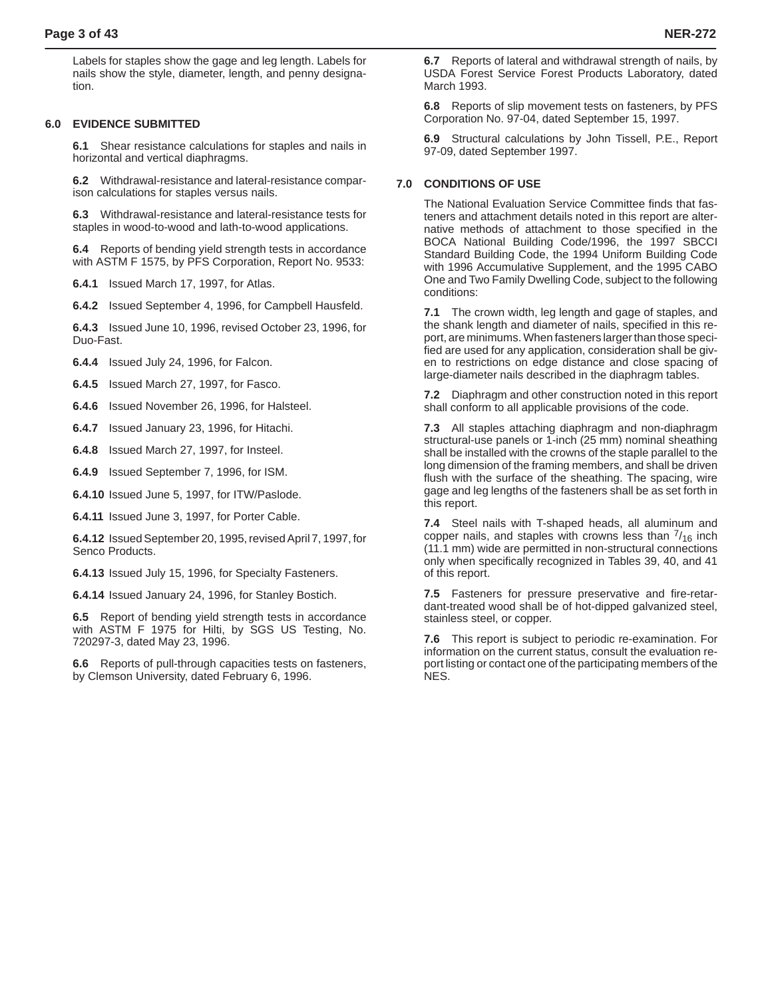Labels for staples show the gage and leg length. Labels for nails show the style, diameter, length, and penny designation.

#### **6.0 EVIDENCE SUBMITTED**

**6.1** Shear resistance calculations for staples and nails in horizontal and vertical diaphragms.

**6.2** Withdrawal-resistance and lateral-resistance comparison calculations for staples versus nails.

**6.3** Withdrawal-resistance and lateral-resistance tests for staples in wood-to-wood and lath-to-wood applications.

**6.4** Reports of bending yield strength tests in accordance with ASTM F 1575, by PFS Corporation, Report No. 9533:

**6.4.1** Issued March 17, 1997, for Atlas.

**6.4.2** Issued September 4, 1996, for Campbell Hausfeld.

**6.4.3** Issued June 10, 1996, revised October 23, 1996, for Duo-Fast.

**6.4.4** Issued July 24, 1996, for Falcon.

**6.4.5** Issued March 27, 1997, for Fasco.

**6.4.6** Issued November 26, 1996, for Halsteel.

**6.4.7** Issued January 23, 1996, for Hitachi.

**6.4.8** Issued March 27, 1997, for Insteel.

**6.4.9** Issued September 7, 1996, for ISM.

**6.4.10** Issued June 5, 1997, for ITW/Paslode.

**6.4.11** Issued June 3, 1997, for Porter Cable.

**6.4.12** Issued September 20, 1995, revised April 7, 1997, for Senco Products.

**6.4.13** Issued July 15, 1996, for Specialty Fasteners.

**6.4.14** Issued January 24, 1996, for Stanley Bostich.

**6.5** Report of bending yield strength tests in accordance with ASTM F 1975 for Hilti, by SGS US Testing, No. 720297-3, dated May 23, 1996.

**6.6** Reports of pull-through capacities tests on fasteners, by Clemson University, dated February 6, 1996.

**6.7** Reports of lateral and withdrawal strength of nails, by USDA Forest Service Forest Products Laboratory, dated March 1993.

**6.8** Reports of slip movement tests on fasteners, by PFS Corporation No. 97-04, dated September 15, 1997.

**6.9** Structural calculations by John Tissell, P.E., Report 97-09, dated September 1997.

#### **7.0 CONDITIONS OF USE**

The National Evaluation Service Committee finds that fasteners and attachment details noted in this report are alternative methods of attachment to those specified in the BOCA National Building Code/1996, the 1997 SBCCI Standard Building Code, the 1994 Uniform Building Code with 1996 Accumulative Supplement, and the 1995 CABO One and Two Family Dwelling Code, subject to the following conditions:

**7.1** The crown width, leg length and gage of staples, and the shank length and diameter of nails, specified in this report, are minimums. When fasteners larger than those specified are used for any application, consideration shall be given to restrictions on edge distance and close spacing of large-diameter nails described in the diaphragm tables.

**7.2** Diaphragm and other construction noted in this report shall conform to all applicable provisions of the code.

**7.3** All staples attaching diaphragm and non-diaphragm structural-use panels or 1-inch (25 mm) nominal sheathing shall be installed with the crowns of the staple parallel to the long dimension of the framing members, and shall be driven flush with the surface of the sheathing. The spacing, wire gage and leg lengths of the fasteners shall be as set forth in this report.

**7.4** Steel nails with T-shaped heads, all aluminum and copper nails, and staples with crowns less than  $7/16$  inch (11.1 mm) wide are permitted in non-structural connections only when specifically recognized in Tables 39, 40, and 41 of this report.

**7.5** Fasteners for pressure preservative and fire-retardant-treated wood shall be of hot-dipped galvanized steel, stainless steel, or copper.

**7.6** This report is subject to periodic re-examination. For information on the current status, consult the evaluation report listing or contact one of the participating members of the NES.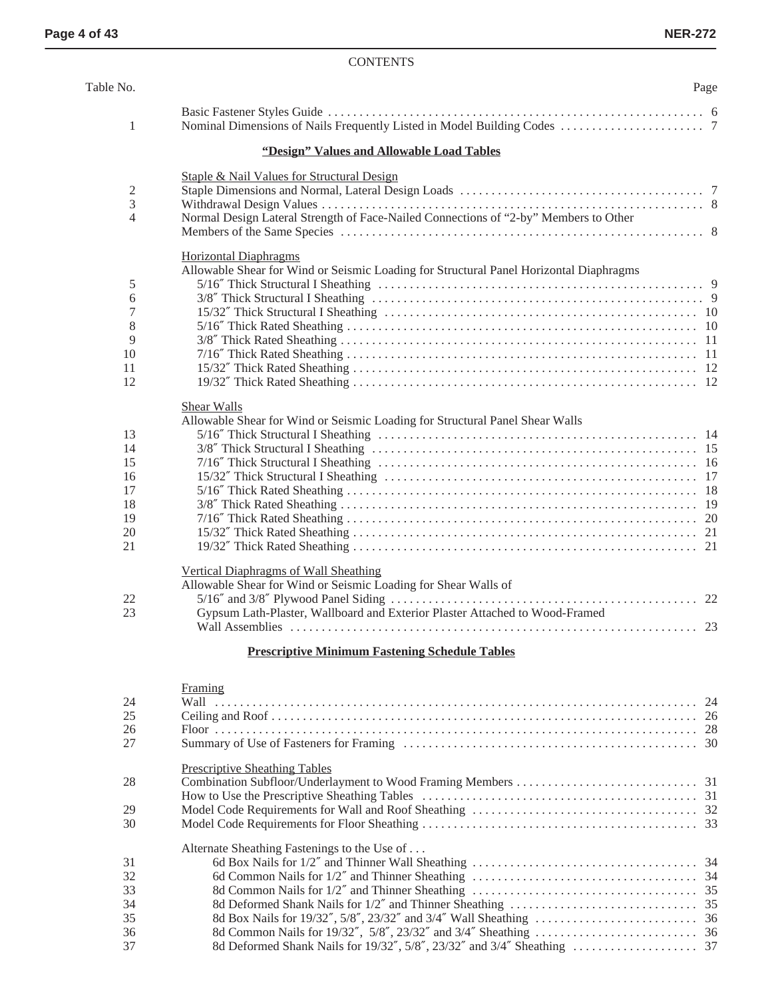### CONTENTS

| Table No.      |                                                                                        | Page |
|----------------|----------------------------------------------------------------------------------------|------|
| $\mathbf{1}$   |                                                                                        |      |
|                | "Design" Values and Allowable Load Tables                                              |      |
|                | Staple & Nail Values for Structural Design                                             |      |
| $\mathfrak{2}$ |                                                                                        |      |
| 3              |                                                                                        |      |
| $\overline{4}$ | Normal Design Lateral Strength of Face-Nailed Connections of "2-by" Members to Other   |      |
|                |                                                                                        |      |
|                | <b>Horizontal Diaphragms</b>                                                           |      |
|                | Allowable Shear for Wind or Seismic Loading for Structural Panel Horizontal Diaphragms |      |
| 5              |                                                                                        |      |
| 6              |                                                                                        |      |
| 7              |                                                                                        |      |
| 8              |                                                                                        |      |
| 9              |                                                                                        |      |
| 10             |                                                                                        |      |
| 11             |                                                                                        |      |
| 12             |                                                                                        |      |
|                | <b>Shear Walls</b>                                                                     |      |
|                | Allowable Shear for Wind or Seismic Loading for Structural Panel Shear Walls           |      |
| 13             |                                                                                        |      |
| 14             |                                                                                        |      |
| 15             |                                                                                        |      |
| 16             |                                                                                        |      |
| 17             |                                                                                        |      |
| 18             |                                                                                        |      |
| 19             |                                                                                        |      |
| 20             |                                                                                        |      |
| 21             |                                                                                        |      |
|                | Vertical Diaphragms of Wall Sheathing                                                  |      |
|                | Allowable Shear for Wind or Seismic Loading for Shear Walls of                         |      |
|                |                                                                                        |      |
| 22             |                                                                                        |      |
| 23             | Gypsum Lath-Plaster, Wallboard and Exterior Plaster Attached to Wood-Framed            |      |
|                |                                                                                        |      |
|                | <b>Prescriptive Minimum Fastening Schedule Tables</b>                                  |      |
|                | Framing                                                                                |      |
| 24             |                                                                                        |      |
| 25             |                                                                                        |      |
| 26             |                                                                                        |      |

| 27 |                                              |  |
|----|----------------------------------------------|--|
|    | <b>Prescriptive Sheathing Tables</b>         |  |
| 28 |                                              |  |
|    |                                              |  |
| 29 |                                              |  |
| 30 |                                              |  |
|    | Alternate Sheathing Fastenings to the Use of |  |
| 31 |                                              |  |
| 32 |                                              |  |
| 33 |                                              |  |
| 34 |                                              |  |
| 35 |                                              |  |
| 36 |                                              |  |
| 37 |                                              |  |
|    |                                              |  |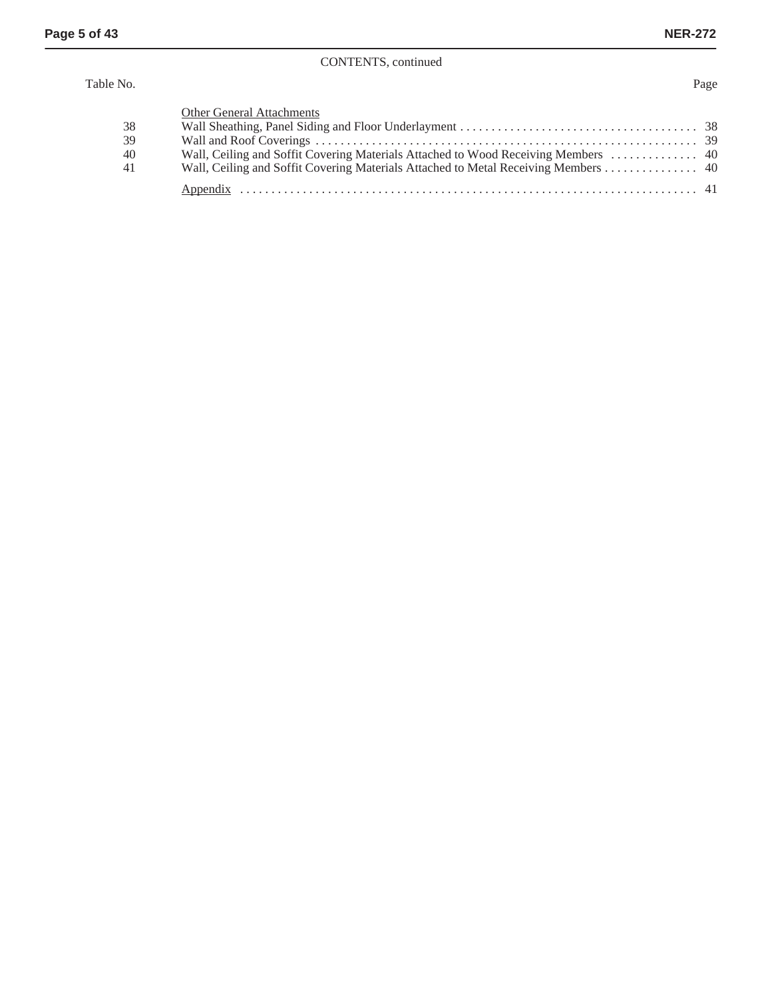### CONTENTS, continued

#### Table No. Page

| 38<br>39<br>40<br>41 | Other General Attachments<br>Wall, Ceiling and Soffit Covering Materials Attached to Wood Receiving Members  40<br>Wall, Ceiling and Soffit Covering Materials Attached to Metal Receiving Members 40 |  |
|----------------------|-------------------------------------------------------------------------------------------------------------------------------------------------------------------------------------------------------|--|
|                      |                                                                                                                                                                                                       |  |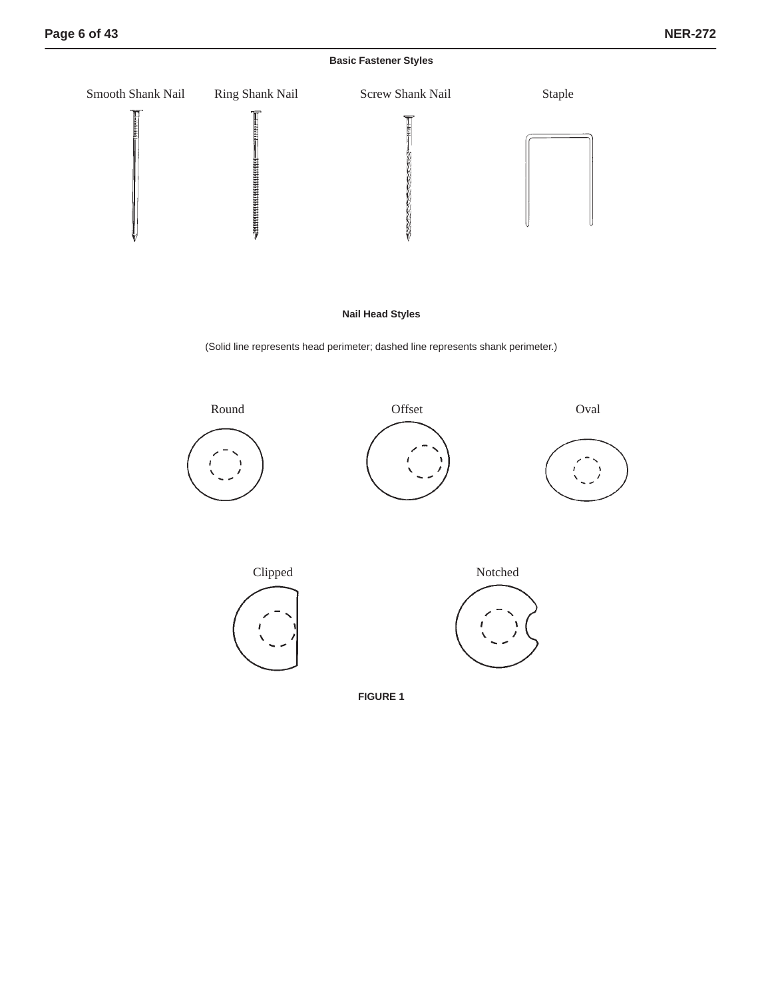**Basic Fastener Styles**



**Nail Head Styles**

(Solid line represents head perimeter; dashed line represents shank perimeter.)



**FIGURE 1**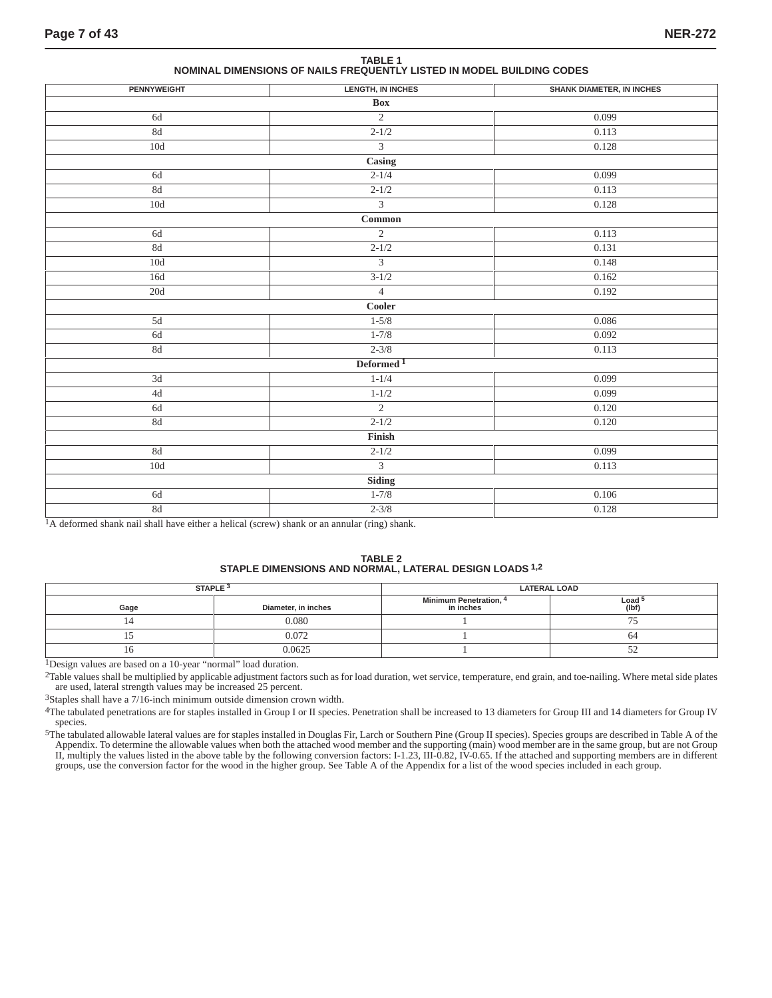**TABLE 1 NOMINAL DIMENSIONS OF NAILS FREQUENTLY LISTED IN MODEL BUILDING CODES**

| <b>PENNYWEIGHT</b> | <b>LENGTH, IN INCHES</b>                       | <b>SHANK DIAMETER, IN INCHES</b> |  |  |
|--------------------|------------------------------------------------|----------------------------------|--|--|
|                    | <b>Box</b>                                     |                                  |  |  |
| 6d                 | $\overline{2}$                                 | 0.099                            |  |  |
| $8\mathrm{d}$      | $2 - 1/2$                                      | 0.113                            |  |  |
| $10\mathrm{d}$     | $\overline{3}$                                 | 0.128                            |  |  |
|                    | Casing                                         |                                  |  |  |
| $6\mathrm{d}$      | $2 - 1/4$                                      | 0.099                            |  |  |
| $8\mathrm{d}$      | $2 - 1/2$                                      | 0.113                            |  |  |
| $10\mathrm{d}$     | $\overline{3}$                                 | 0.128                            |  |  |
|                    | $\begin{tabular}{ll} \bf Common \end{tabular}$ |                                  |  |  |
| 6d                 | $\overline{2}$                                 | 0.113                            |  |  |
| 8d                 | $2 - 1/2$                                      | 0.131                            |  |  |
| 10d                | $\overline{3}$                                 | 0.148                            |  |  |
| 16d                | $3 - 1/2$                                      | 0.162                            |  |  |
| $20\mathrm{d}$     | $\overline{4}$                                 | 0.192                            |  |  |
|                    | Cooler                                         |                                  |  |  |
| 5d                 | $1 - 5/8$                                      | 0.086                            |  |  |
| $6d$               | $1 - 7/8$                                      | 0.092                            |  |  |
| $8\mathrm{d}$      | $2 - 3/8$                                      | 0.113                            |  |  |
|                    | Deformed <sup>1</sup>                          |                                  |  |  |
| $3d$               | $1 - 1/4$                                      | 0.099                            |  |  |
| $4d$               | $1 - 1/2$                                      | 0.099                            |  |  |
| $6d$               | $\overline{2}$                                 | 0.120                            |  |  |
| $8\mathrm{d}$      | $2 - 1/2$                                      | 0.120                            |  |  |
|                    | Finish                                         |                                  |  |  |
| $8\mathrm{d}$      | $2 - 1/2$                                      | 0.099                            |  |  |
| 10d                | $\overline{\mathbf{3}}$                        | 0.113                            |  |  |
|                    | <b>Siding</b>                                  |                                  |  |  |
| $6d$               | $1 - 7/8$                                      | 0.106                            |  |  |
| $8\mathrm{d}$      | $2 - 3/8$                                      | 0.128                            |  |  |
| $\sim$ $\sim$      |                                                |                                  |  |  |

<sup>1</sup>A deformed shank nail shall have either a helical (screw) shank or an annular (ring) shank.

#### **TABLE 2 STAPLE DIMENSIONS AND NORMAL, LATERAL DESIGN LOADS 1,2**

|      | STAPLE <sup>3</sup> | <b>LATERAL LOAD</b>                 |                            |  |  |  |
|------|---------------------|-------------------------------------|----------------------------|--|--|--|
| Gage | Diameter, in inches | Minimum Penetration, 4<br>in inches | Load <sup>!</sup><br>(lbf) |  |  |  |
|      | 0.080               |                                     | - -                        |  |  |  |
|      | 0.072               |                                     | 04                         |  |  |  |
| 1 U  | 0.0625              |                                     | ◡                          |  |  |  |

1Design values are based on a 10-year "normal" load duration.

2Table values shall be multiplied by applicable adjustment factors such as for load duration, wet service, temperature, end grain, and toe-nailing. Where metal side plates are used, lateral strength values may be increased 25 percent.

3Staples shall have a 7/16-inch minimum outside dimension crown width.

4The tabulated penetrations are for staples installed in Group I or II species. Penetration shall be increased to 13 diameters for Group III and 14 diameters for Group IV species.

<sup>5</sup>The tabulated allowable lateral values are for staples installed in Douglas Fir, Larch or Southern Pine (Group II species). Species groups are described in Table A of the Appendix. To determine the allowable values when both the attached wood member and the supporting (main) wood member are in the same group, but are not Group II, multiply the values listed in the above table by the following conversion factors: I-1.23, III-0.82, IV-0.65. If the attached and supporting members are in different<br>groups, use the conversion factor for the wood in th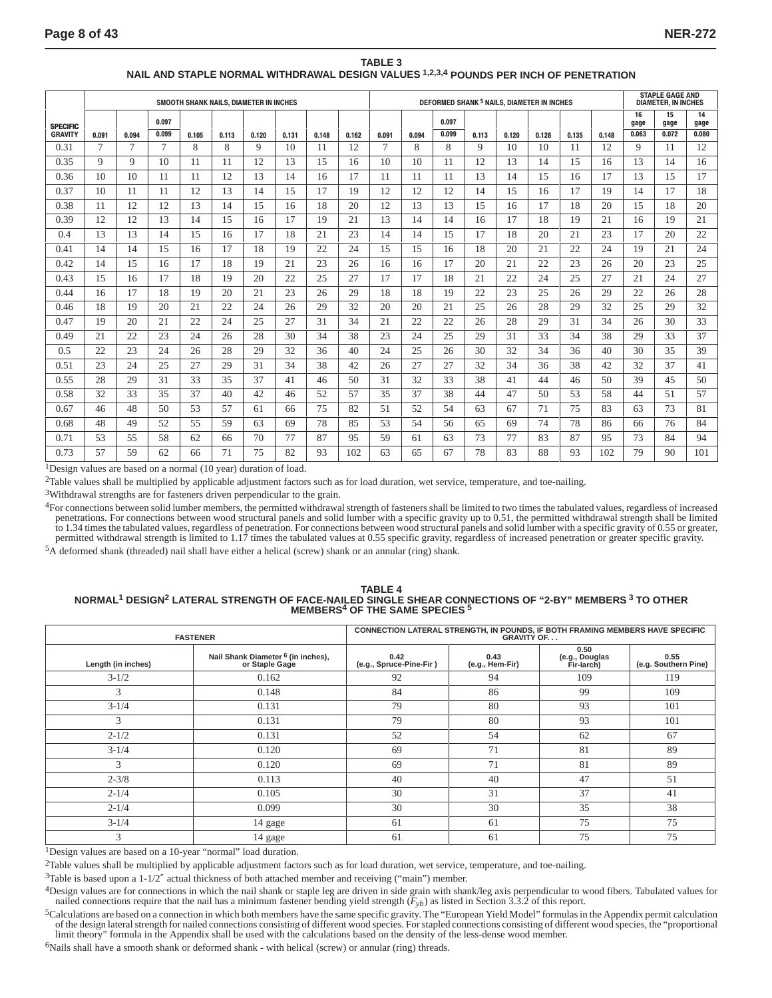|                                   |       |       |       |       |       | SMOOTH SHANK NAILS. DIAMETER IN INCHES |       |       |       | DEFORMED SHANK <sup>5</sup> NAILS. DIAMETER IN INCHES |       |       |       |       |       |       | <b>STAPLE GAGE AND</b><br><b>DIAMETER. IN INCHES</b> |            |            |            |
|-----------------------------------|-------|-------|-------|-------|-------|----------------------------------------|-------|-------|-------|-------------------------------------------------------|-------|-------|-------|-------|-------|-------|------------------------------------------------------|------------|------------|------------|
|                                   |       |       | 0.097 |       |       |                                        |       |       |       |                                                       |       | 0.097 |       |       |       |       |                                                      | 16<br>gage | 15<br>gage | 14<br>gage |
| <b>SPECIFIC</b><br><b>GRAVITY</b> | 0.091 | 0.094 | 0.099 | 0.105 | 0.113 | 0.120                                  | 0.131 | 0.148 | 0.162 | 0.091                                                 | 0.094 | 0.099 | 0.113 | 0.120 | 0.128 | 0.135 | 0.148                                                | 0.063      | 0.072      | 0.080      |
| 0.31                              | 7     | 7     | 7     | 8     | 8     | 9                                      | 10    | 11    | 12    | 7                                                     | 8     | 8     | 9     | 10    | 10    | 11    | 12                                                   | 9          | 11         | 12         |
| 0.35                              | 9     | 9     | 10    | 11    | 11    | 12                                     | 13    | 15    | 16    | 10                                                    | 10    | 11    | 12    | 13    | 14    | 15    | 16                                                   | 13         | 14         | 16         |
| 0.36                              | 10    | 10    | 11    | 11    | 12    | 13                                     | 14    | 16    | 17    | 11                                                    | 11    | 11    | 13    | 14    | 15    | 16    | 17                                                   | 13         | 15         | 17         |
| 0.37                              | 10    | 11    | 11    | 12    | 13    | 14                                     | 15    | 17    | 19    | 12                                                    | 12    | 12    | 14    | 15    | 16    | 17    | 19                                                   | 14         | 17         | 18         |
| 0.38                              | 11    | 12    | 12    | 13    | 14    | 15                                     | 16    | 18    | 20    | 12                                                    | 13    | 13    | 15    | 16    | 17    | 18    | 20                                                   | 15         | 18         | 20         |
| 0.39                              | 12    | 12    | 13    | 14    | 15    | 16                                     | 17    | 19    | 21    | 13                                                    | 14    | 14    | 16    | 17    | 18    | 19    | 21                                                   | 16         | 19         | 21         |
| 0.4                               | 13    | 13    | 14    | 15    | 16    | 17                                     | 18    | 21    | 23    | 14                                                    | 14    | 15    | 17    | 18    | 20    | 21    | 23                                                   | 17         | 20         | 22         |
| 0.41                              | 14    | 14    | 15    | 16    | 17    | 18                                     | 19    | 22    | 24    | 15                                                    | 15    | 16    | 18    | 20    | 21    | 22    | 24                                                   | 19         | 21         | 24         |
| 0.42                              | 14    | 15    | 16    | 17    | 18    | 19                                     | 21    | 23    | 26    | 16                                                    | 16    | 17    | 20    | 21    | 22    | 23    | 26                                                   | 20         | 23         | 25         |
| 0.43                              | 15    | 16    | 17    | 18    | 19    | 20                                     | 22    | 25    | 27    | 17                                                    | 17    | 18    | 21    | 22    | 24    | 25    | 27                                                   | 21         | 24         | 27         |
| 0.44                              | 16    | 17    | 18    | 19    | 20    | 21                                     | 23    | 26    | 29    | 18                                                    | 18    | 19    | 22    | 23    | 25    | 26    | 29                                                   | 22         | 26         | 28         |
| 0.46                              | 18    | 19    | 20    | 21    | 22    | 24                                     | 26    | 29    | 32    | 20                                                    | 20    | 21    | 25    | 26    | 28    | 29    | 32                                                   | 25         | 29         | 32         |
| 0.47                              | 19    | 20    | 21    | 22    | 24    | 25                                     | 27    | 31    | 34    | 21                                                    | 22    | 22    | 26    | 28    | 29    | 31    | 34                                                   | 26         | 30         | 33         |
| 0.49                              | 21    | 22    | 23    | 24    | 26    | 28                                     | 30    | 34    | 38    | 23                                                    | 24    | 25    | 29    | 31    | 33    | 34    | 38                                                   | 29         | 33         | 37         |
| 0.5                               | 22    | 23    | 24    | 26    | 28    | 29                                     | 32    | 36    | 40    | 24                                                    | 25    | 26    | 30    | 32    | 34    | 36    | 40                                                   | 30         | 35         | 39         |
| 0.51                              | 23    | 24    | 25    | 27    | 29    | 31                                     | 34    | 38    | 42    | 26                                                    | 27    | 27    | 32    | 34    | 36    | 38    | 42                                                   | 32         | 37         | 41         |
| 0.55                              | 28    | 29    | 31    | 33    | 35    | 37                                     | 41    | 46    | 50    | 31                                                    | 32    | 33    | 38    | 41    | 44    | 46    | 50                                                   | 39         | 45         | 50         |
| 0.58                              | 32    | 33    | 35    | 37    | 40    | 42                                     | 46    | 52    | 57    | 35                                                    | 37    | 38    | 44    | 47    | 50    | 53    | 58                                                   | 44         | 51         | 57         |
| 0.67                              | 46    | 48    | 50    | 53    | 57    | 61                                     | 66    | 75    | 82    | 51                                                    | 52    | 54    | 63    | 67    | 71    | 75    | 83                                                   | 63         | 73         | 81         |
| 0.68                              | 48    | 49    | 52    | 55    | 59    | 63                                     | 69    | 78    | 85    | 53                                                    | 54    | 56    | 65    | 69    | 74    | 78    | 86                                                   | 66         | 76         | 84         |
| 0.71                              | 53    | 55    | 58    | 62    | 66    | 70                                     | 77    | 87    | 95    | 59                                                    | 61    | 63    | 73    | 77    | 83    | 87    | 95                                                   | 73         | 84         | 94         |
| 0.73                              | 57    | 59    | 62    | 66    | 71    | 75                                     | 82    | 93    | 102   | 63                                                    | 65    | 67    | 78    | 83    | 88    | 93    | 102                                                  | 79         | 90         | 101        |

#### **TABLE 3 NAIL AND STAPLE NORMAL WITHDRAWAL DESIGN VALUES 1,2,3,4 POUNDS PER INCH OF PENETRATION**

1Design values are based on a normal (10 year) duration of load.

 $2$ Table values shall be multiplied by applicable adjustment factors such as for load duration, wet service, temperature, and toe-nailing.

3Withdrawal strengths are for fasteners driven perpendicular to the grain.

<sup>4</sup>For connections between solid lumber members, the permitted withdrawal strength of fasteners shall be limited to two times the tabulated values, regardless of increased penetrations. For connections between wood structu to 1.34 times the tabulated values, regardless of penetration. For connections between wood structural panels and solid lumber with a specific gravity of 0.55 or greater, permitted withdrawal strength is limited to 1.17 times the tabulated values at 0.55 specific gravity, regardless of increased penetration or greater specific gravity.

5A deformed shank (threaded) nail shall have either a helical (screw) shank or an annular (ring) shank.

### **TABLE 4 NORMAL1 DESIGN2 LATERAL STRENGTH OF FACE-NAILED SINGLE SHEAR CONNECTIONS OF "2-BY" MEMBERS 3 TO OTHER MEMBERS4 OF THE SAME SPECIES 5**

|                    | <b>FASTENER</b>                                                 | CONNECTION LATERAL STRENGTH, IN POUNDS, IF BOTH FRAMING MEMBERS HAVE SPECIFIC<br><b>GRAVITY OF</b> |                         |                                      |                              |  |  |  |
|--------------------|-----------------------------------------------------------------|----------------------------------------------------------------------------------------------------|-------------------------|--------------------------------------|------------------------------|--|--|--|
| Length (in inches) | Nail Shank Diameter <sup>6</sup> (in inches),<br>or Staple Gage |                                                                                                    | 0.43<br>(e.g., Hem-Fir) | 0.50<br>(e.g., Douglas<br>Fir-larch) | 0.55<br>(e.g. Southern Pine) |  |  |  |
| $3 - 1/2$          | 0.162                                                           | 92                                                                                                 | 94                      | 109                                  | 119                          |  |  |  |
| 3                  | 0.148                                                           | 84                                                                                                 | 86                      | 99                                   | 109                          |  |  |  |
| $3 - 1/4$          | 0.131                                                           | 79                                                                                                 | 80                      | 93                                   | 101                          |  |  |  |
| 3                  | 0.131                                                           | 79                                                                                                 | 80                      | 93                                   | 101                          |  |  |  |
| $2 - 1/2$          | 0.131                                                           | 52                                                                                                 | 54                      | 62                                   | 67                           |  |  |  |
| $3 - 1/4$          | 0.120                                                           | 69                                                                                                 | 71                      | 81                                   | 89                           |  |  |  |
| 3                  | 0.120                                                           | 69                                                                                                 | 71                      | 81                                   | 89                           |  |  |  |
| $2 - 3/8$          | 0.113                                                           | 40                                                                                                 | 40                      | 47                                   | 51                           |  |  |  |
| $2 - 1/4$          | 0.105                                                           | 30                                                                                                 | 31                      | 37                                   | 41                           |  |  |  |
| $2 - 1/4$          | 0.099                                                           | 30                                                                                                 | 30                      | 35                                   | 38                           |  |  |  |
| $3 - 1/4$          | 14 gage                                                         | 61                                                                                                 | 61                      | 75                                   | 75                           |  |  |  |
| 3                  | 14 gage                                                         | 61                                                                                                 | 61                      | 75                                   | 75                           |  |  |  |

1Design values are based on a 10-year "normal" load duration.

2Table values shall be multiplied by applicable adjustment factors such as for load duration, wet service, temperature, and toe-nailing.

 $3$ Table is based upon a  $1-1/2''$  actual thickness of both attached member and receiving ("main") member.

4Design values are for connections in which the nail shank or staple leg are driven in side grain with shank/leg axis perpendicular to wood fibers. Tabulated values for nailed connections require that the nail has a minimum fastener bending yield strength  $(F_{yb})$  as listed in Section 3.3.2 of this report.

5Calculations are based on a connection in which both members have the same specific gravity. The "European Yield Model" formulas in the Appendix permit calculation of the design lateral strength for nailed connections consisting of different wood species. For stapled connections consisting of different wood species, the "proportional<br>limit theory" formula in the Appendix shall be use

<sup>6</sup>Nails shall have a smooth shank or deformed shank - with helical (screw) or annular (ring) threads.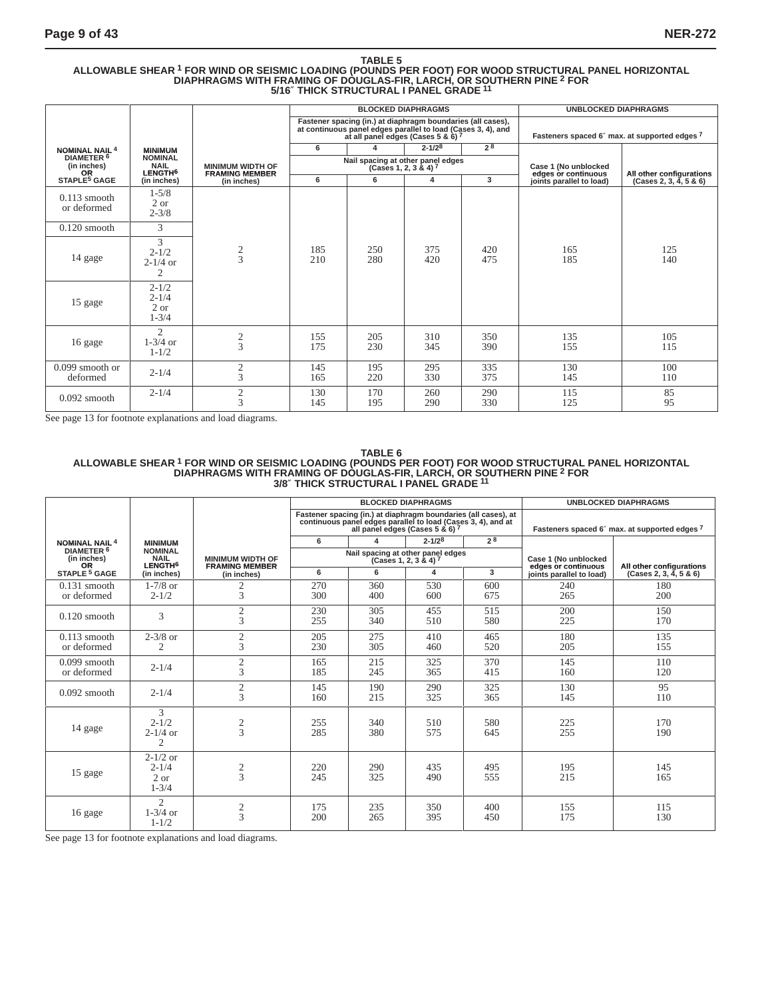## TABLE 5<br>ALLOWABLE SHEAR <sup>1</sup> FOR WIND OR SEISMIC LOADING (POUNDS PER FOOT) FOR WOOD STRUCTURAL PANEL HORIZONTAL<br>DIAPHRAGMS WITH FRAMING OF DOUGLAS-FIR, LARCH, OR SOUTHERN PINE <sup>2</sup> FOR **5/16**″ **THICK STRUCTURAL I PANEL GRADE <sup>11</sup>**

|                                                   |                                                      |                                                  |                                                                                                                                                                   |                                   | <b>BLOCKED DIAPHRAGMS</b> |            | <b>UNBLOCKED DIAPHRAGMS</b>                   |                          |
|---------------------------------------------------|------------------------------------------------------|--------------------------------------------------|-------------------------------------------------------------------------------------------------------------------------------------------------------------------|-----------------------------------|---------------------------|------------|-----------------------------------------------|--------------------------|
|                                                   |                                                      |                                                  | Fastener spacing (in.) at diaphragm boundaries (all cases),<br>at continuous panel edges parallel to load (Cases 3, 4), and<br>at all panel edges (Cases 5 & 6) 7 |                                   |                           |            | Fasteners spaced 6" max. at supported edges 7 |                          |
| <b>NOMINAL NAIL<sup>4</sup></b>                   | <b>MINIMUM</b>                                       |                                                  | 6                                                                                                                                                                 | 4                                 | $2 - 1/28$                | 78         |                                               |                          |
| DIAMETER <sup>6</sup><br>(in inches)<br><b>OR</b> | <b>NOMINAL</b><br><b>NAIL</b><br>LENGTH <sup>6</sup> | <b>MINIMUM WIDTH OF</b><br><b>FRAMING MEMBER</b> |                                                                                                                                                                   | Nail spacing at other panel edges | (Cases 1, 2, 3 & 4) $^7$  |            | Case 1 (No unblocked<br>edges or continuous   | All other configurations |
| STAPLE <sup>5</sup> GAGE                          | (in inches)                                          | (in inches)                                      | 6                                                                                                                                                                 | 6                                 | 4                         | 3          | joints parallel to load)                      | (Cases 2, 3, 4, 5 & 6)   |
| $0.113$ smooth<br>or deformed                     | $1 - 5/8$<br>2 or<br>$2 - 3/8$                       |                                                  |                                                                                                                                                                   |                                   |                           |            |                                               |                          |
| $0.120$ smooth                                    | 3                                                    |                                                  |                                                                                                                                                                   |                                   |                           |            |                                               |                          |
| 14 gage                                           | 3<br>$2 - 1/2$<br>$2 - 1/4$ or<br>2                  | $\frac{2}{3}$                                    | 185<br>210                                                                                                                                                        | 250<br>280                        | 375<br>420                | 420<br>475 | 165<br>185                                    | 125<br>140               |
| 15 gage                                           | $2 - 1/2$<br>$2 - 1/4$<br>2 or<br>$1 - 3/4$          |                                                  |                                                                                                                                                                   |                                   |                           |            |                                               |                          |
| 16 gage                                           | $\mathfrak{D}$<br>$1-3/4$ or<br>$1 - 1/2$            | $\frac{2}{3}$                                    | 155<br>175                                                                                                                                                        | 205<br>230                        | 310<br>345                | 350<br>390 | 135<br>155                                    | 105<br>115               |
| $0.099$ smooth or<br>deformed                     | $2 - 1/4$                                            | $\mathfrak{2}$<br>3                              | 145<br>165                                                                                                                                                        | 195<br>220                        | 295<br>330                | 335<br>375 | 130<br>145                                    | 100<br>110               |
| $0.092$ smooth                                    | $2 - 1/4$                                            | $\overline{c}$<br>$\overline{3}$                 | 130<br>145                                                                                                                                                        | 170<br>195                        | 260<br>290                | 290<br>330 | 115<br>125                                    | 85<br>95                 |

See page 13 for footnote explanations and load diagrams.

#### **TABLE 6 ALLOWABLE SHEAR 1 FOR WIND OR SEISMIC LOADING (POUNDS PER FOOT) FOR WOOD STRUCTURAL PANEL HORIZONTAL DIAPHRAGMS WITH FRAMING OF DOUGLAS-FIR, LARCH, OR SOUTHERN PINE 2 FOR 3/8**″ **THICK STRUCTURAL I PANEL GRADE <sup>11</sup>**

|                                                   |                                                      |                                                  |            |            | <b>BLOCKED DIAPHRAGMS</b>                                                                                                                                         |                |                                             | <b>UNBLOCKED DIAPHRAGMS</b>                   |
|---------------------------------------------------|------------------------------------------------------|--------------------------------------------------|------------|------------|-------------------------------------------------------------------------------------------------------------------------------------------------------------------|----------------|---------------------------------------------|-----------------------------------------------|
|                                                   |                                                      |                                                  |            |            | Fastener spacing (in.) at diaphragm boundaries (all cases), at<br>continuous panel edges parallel to load (Cases 3, 4), and at<br>all panel edges (Cases 5 & 6) 7 |                |                                             | Fasteners spaced 6" max. at supported edges 7 |
| <b>NOMINAL NAIL 4</b>                             | <b>MINIMUM</b>                                       |                                                  | 6          | 4          | $2 - 1/28$                                                                                                                                                        | 2 <sup>8</sup> |                                             |                                               |
| DIAMETER <sup>6</sup><br>(in inches)<br><b>OR</b> | <b>NOMINAL</b><br><b>NAIL</b><br>LENGTH <sup>6</sup> | <b>MINIMUM WIDTH OF</b><br><b>FRAMING MEMBER</b> |            |            | Nail spacing at other panel edges<br>$(Cases 1, 2, 3 & 4)$ 7                                                                                                      |                | Case 1 (No unblocked<br>edges or continuous | All other configurations                      |
| STAPLE <sup>5</sup> GAGE                          | (in inches)                                          | (in inches)                                      | 6          | 6          | 4                                                                                                                                                                 | 3              | joints parallel to load)                    | (Cases 2, 3, 4, 5 & 6)                        |
| $0.131$ smooth<br>or deformed                     | $1-7/8$ or<br>$2 - 1/2$                              | 2<br>3                                           | 270<br>300 | 360<br>400 | 530<br>600                                                                                                                                                        | 600<br>675     | 240<br>265                                  | 180<br>200                                    |
| $0.120$ smooth                                    | 3                                                    | $\mathfrak{2}$<br>3                              | 230<br>255 | 305<br>340 | 455<br>510                                                                                                                                                        | 515<br>580     | 200<br>225                                  | 150<br>170                                    |
| $0.113$ smooth<br>or deformed                     | $2 - 3/8$ or<br>2                                    | $\mathfrak{2}$<br>3                              | 205<br>230 | 275<br>305 | 410<br>460                                                                                                                                                        | 465<br>520     | 180<br>205                                  | 135<br>155                                    |
| $0.099$ smooth<br>or deformed                     | $2 - 1/4$                                            | $\mathfrak{2}$<br>$\mathbf{3}$                   | 165<br>185 | 215<br>245 | 325<br>365                                                                                                                                                        | 370<br>415     | 145<br>160                                  | 110<br>120                                    |
| $0.092$ smooth                                    | $2 - 1/4$                                            | $\mathfrak{2}$<br>3                              | 145<br>160 | 190<br>215 | 290<br>325                                                                                                                                                        | 325<br>365     | 130<br>145                                  | 95<br>110                                     |
| 14 gage                                           | 3<br>$2 - 1/2$<br>$2 - 1/4$ or<br>2                  | $\frac{2}{3}$                                    | 255<br>285 | 340<br>380 | 510<br>575                                                                                                                                                        | 580<br>645     | 225<br>255                                  | 170<br>190                                    |
| 15 gage                                           | $2 - 1/2$ or<br>$2 - 1/4$<br>2 or<br>$1 - 3/4$       | $\frac{2}{3}$                                    | 220<br>245 | 290<br>325 | 435<br>490                                                                                                                                                        | 495<br>555     | 195<br>215                                  | 145<br>165                                    |
| 16 gage                                           | $\overline{c}$<br>$1-3/4$ or<br>$1 - 1/2$            | $\frac{2}{3}$                                    | 175<br>200 | 235<br>265 | 350<br>395                                                                                                                                                        | 400<br>450     | 155<br>175                                  | 115<br>130                                    |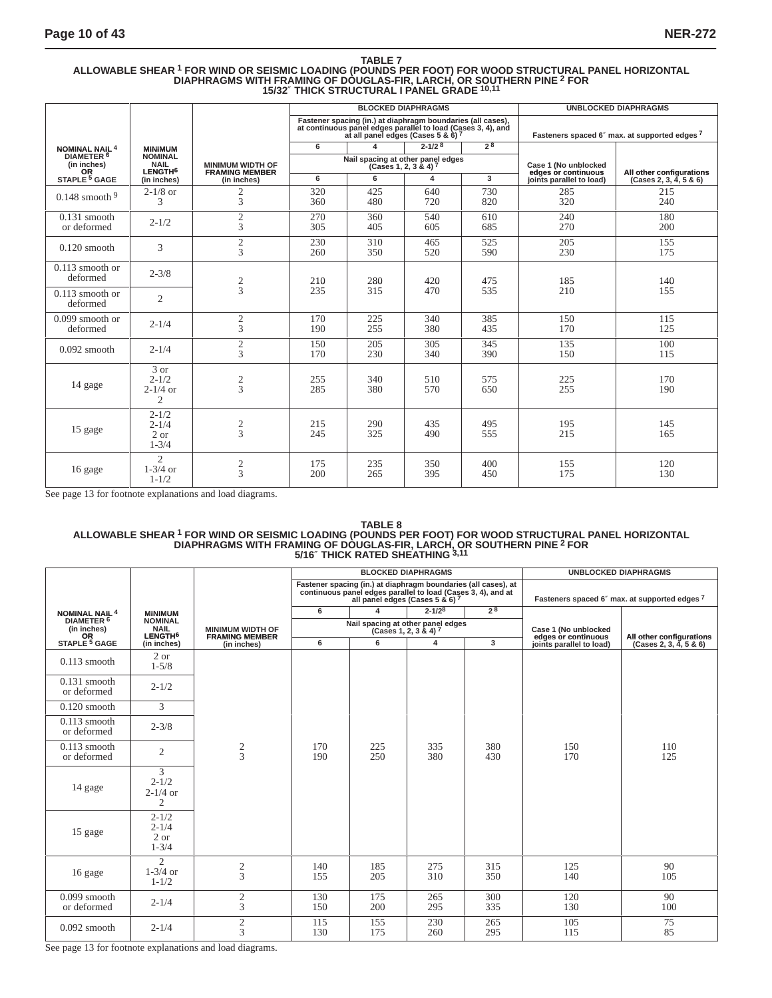## TABLE 7<br>ALLOWABLE SHEAR <sup>1</sup> FOR WIND OR SEISMIC LOADING (POUNDS PER FOOT) FOR WOOD STRUCTURAL PANEL HORIZONTAL<br>DIAPHRAGMS WITH FRAMING OF DOUGLAS-FIR, LARCH, OR SOUTHERN PINE <sup>2</sup> FOR **15/32**″ **THICK STRUCTURAL I PANEL GRADE 10,11**

|                                                   |                                                      |                                                  |                                                                                                                                                                   |                                   | <b>BLOCKED DIAPHRAGMS</b> |                        | <b>UNBLOCKED DIAPHRAGMS</b>                   |                          |  |  |
|---------------------------------------------------|------------------------------------------------------|--------------------------------------------------|-------------------------------------------------------------------------------------------------------------------------------------------------------------------|-----------------------------------|---------------------------|------------------------|-----------------------------------------------|--------------------------|--|--|
|                                                   |                                                      |                                                  | Fastener spacing (in.) at diaphragm boundaries (all cases),<br>at continuous panel edges parallel to load (Cases 3, 4), and<br>at all panel edges (Cases 5 & 6) 7 |                                   |                           |                        | Fasteners spaced 6" max. at supported edges 7 |                          |  |  |
| <b>NOMINAL NAIL 4</b>                             | <b>MINIMUM</b>                                       |                                                  |                                                                                                                                                                   | 6                                 | $\Delta$                  | $2 - 1/2$ <sup>8</sup> | 28                                            |                          |  |  |
| DIAMETER <sup>6</sup><br>(in inches)<br><b>OR</b> | <b>NOMINAL</b><br><b>NAIL</b><br>LENGTH <sup>6</sup> | <b>MINIMUM WIDTH OF</b><br><b>FRAMING MEMBER</b> |                                                                                                                                                                   | Nail spacing at other panel edges | $(Cases 1, 2, 3 & 4)$ 7   |                        | Case 1 (No unblocked<br>edges or continuous   | All other configurations |  |  |
| STAPLE <sup>5</sup> GAGE                          | (in inches)                                          | (in inches)                                      | 6                                                                                                                                                                 | 6                                 | 4                         | $\overline{3}$         | joints parallel to load)                      | (Cases 2, 3, 4, 5 & 6)   |  |  |
| $0.148$ smooth $9$                                | $2-1/8$ or<br>3                                      | 2<br>3                                           | 320<br>360                                                                                                                                                        | 425<br>480                        | 640<br>720                | 730<br>820             | 285<br>320                                    | 215<br>240               |  |  |
| $0.131$ smooth<br>or deformed                     | $2 - 1/2$                                            | 2<br>3                                           | 270<br>305                                                                                                                                                        | 360<br>405                        | 540<br>605                | 610<br>685             | 240<br>270                                    | 180<br>200               |  |  |
| $0.120$ smooth                                    | 3                                                    | $\overline{c}$<br>3                              | 230<br>260                                                                                                                                                        | 310<br>350                        | 465<br>520                | 525<br>590             | 205<br>230                                    | 155<br>175               |  |  |
| $0.113$ smooth or<br>deformed                     | $2 - 3/8$                                            | $\frac{2}{3}$                                    | 210                                                                                                                                                               | 280                               | 420                       | 475                    | 185                                           | 140                      |  |  |
| $0.113$ smooth or<br>deformed                     | $\overline{2}$                                       |                                                  | 235                                                                                                                                                               | 315                               | 470                       | 535                    | 210                                           | 155                      |  |  |
| $0.099$ smooth or<br>deformed                     | $2 - 1/4$                                            | 2<br>3                                           | 170<br>190                                                                                                                                                        | 225<br>255                        | 340<br>380                | 385<br>435             | 150<br>170                                    | 115<br>125               |  |  |
| $0.092$ smooth                                    | $2 - 1/4$                                            | $\boldsymbol{2}$<br>3                            | 150<br>170                                                                                                                                                        | 205<br>230                        | 305<br>340                | 345<br>390             | 135<br>150                                    | 100<br>115               |  |  |
| 14 gage                                           | 3 or<br>$2 - 1/2$<br>$2 - 1/4$ or<br>2               | $\frac{2}{3}$                                    | 255<br>285                                                                                                                                                        | 340<br>380                        | 510<br>570                | 575<br>650             | 225<br>255                                    | 170<br>190               |  |  |
| 15 gage                                           | $2 - 1/2$<br>$2 - 1/4$<br>$2$ or<br>$1 - 3/4$        | 2<br>3                                           | 215<br>245                                                                                                                                                        | 290<br>325                        | 435<br>490                | 495<br>555             | 195<br>215                                    | 145<br>165               |  |  |
| 16 gage                                           | $\overline{2}$<br>$1-3/4$ or<br>$1 - 1/2$            | $\overline{c}$<br>3                              | 175<br>200                                                                                                                                                        | 235<br>265                        | 350<br>395                | 400<br>450             | 155<br>175                                    | 120<br>130               |  |  |

See page 13 for footnote explanations and load diagrams.

## TABLE 8<br>ALLOWABLE SHEAR <sup>1</sup> FOR WIND OR SEISMIC LOADING (POUNDS PER FOOT) FOR WOOD STRUCTURAL PANEL HORIZONTAL<br>DIAPHRAGMS WITH FRAMING OF DOUGLAS-FIR, LARCH, OR SOUTHERN PINE <sup>2</sup> FOR **5/16**″ **THICK RATED SHEATHING 3,11**

|                                                   |                                                               |                                                  |                                                                                                                                                                              |            | <b>BLOCKED DIAPHRAGMS</b> |                                             | <b>UNBLOCKED DIAPHRAGMS</b>                   |                        |  |
|---------------------------------------------------|---------------------------------------------------------------|--------------------------------------------------|------------------------------------------------------------------------------------------------------------------------------------------------------------------------------|------------|---------------------------|---------------------------------------------|-----------------------------------------------|------------------------|--|
|                                                   |                                                               |                                                  | Fastener spacing (in.) at diaphragm boundaries (all cases), at<br>continuous panel edges parallel to load (Cases 3, 4), and at<br>all panel edges (Cases 5 & 6) <sup>7</sup> |            |                           |                                             | Fasteners spaced 6" max. at supported edges 7 |                        |  |
| <b>NOMINAL NAIL 4</b>                             | <b>MINIMUM</b>                                                |                                                  | 6                                                                                                                                                                            |            | $2 - 1/28$                | 2 <sup>8</sup>                              |                                               |                        |  |
| DIAMETER <sup>6</sup><br>(in inches)<br><b>OR</b> | <b>NOMINAL</b><br><b>NAIL</b><br>LENGTH <sup>6</sup>          | <b>MINIMUM WIDTH OF</b><br><b>FRAMING MEMBER</b> | Nail spacing at other panel edges<br>(Cases 1, 2, 3 & 4) 7                                                                                                                   |            |                           | Case 1 (No unblocked<br>edges or continuous | All other configurations                      |                        |  |
| STAPLE <sup>5</sup> GAGE                          | (in inches)                                                   | (in inches)                                      | 6                                                                                                                                                                            | 6          | 4                         | 3                                           | joints parallel to load)                      | (Cases 2, 3, 4, 5 & 6) |  |
| $0.113$ smooth                                    | 2 or<br>$1 - 5/8$                                             |                                                  |                                                                                                                                                                              |            |                           |                                             |                                               |                        |  |
| $0.131$ smooth<br>or deformed                     | $2 - 1/2$                                                     |                                                  |                                                                                                                                                                              |            |                           |                                             |                                               |                        |  |
| $0.120$ smooth                                    | 3                                                             |                                                  |                                                                                                                                                                              |            |                           |                                             |                                               |                        |  |
| $0.113$ smooth<br>or deformed                     | $2 - 3/8$                                                     |                                                  |                                                                                                                                                                              |            |                           |                                             |                                               |                        |  |
| $0.113$ smooth<br>or deformed                     | $\overline{2}$                                                | $\frac{2}{3}$                                    | 170<br>190                                                                                                                                                                   | 225<br>250 | 335<br>380                | 380<br>430                                  | 150<br>170                                    | 110<br>125             |  |
| 14 gage                                           | $\overline{3}$<br>$2 - 1/2$<br>$2 - 1/4$ or<br>$\overline{c}$ |                                                  |                                                                                                                                                                              |            |                           |                                             |                                               |                        |  |
| 15 gage                                           | $2 - 1/2$<br>$2 - 1/4$<br>2 or<br>$1 - 3/4$                   |                                                  |                                                                                                                                                                              |            |                           |                                             |                                               |                        |  |
| 16 gage                                           | $\mathfrak{D}$<br>$1-3/4$ or<br>$1 - 1/2$                     | $\frac{2}{3}$                                    | 140<br>155                                                                                                                                                                   | 185<br>205 | 275<br>310                | 315<br>350                                  | 125<br>140                                    | 90<br>105              |  |
| $0.099$ smooth<br>or deformed                     | $2 - 1/4$                                                     | $\sqrt{2}$<br>3                                  | 130<br>150                                                                                                                                                                   | 175<br>200 | 265<br>295                | 300<br>335                                  | 120<br>130                                    | 90<br>100              |  |
| $0.092$ smooth                                    | $2 - 1/4$                                                     | $\sqrt{2}$<br>3                                  | 115<br>130                                                                                                                                                                   | 155<br>175 | 230<br>260                | 265<br>295                                  | 105<br>115                                    | 75<br>85               |  |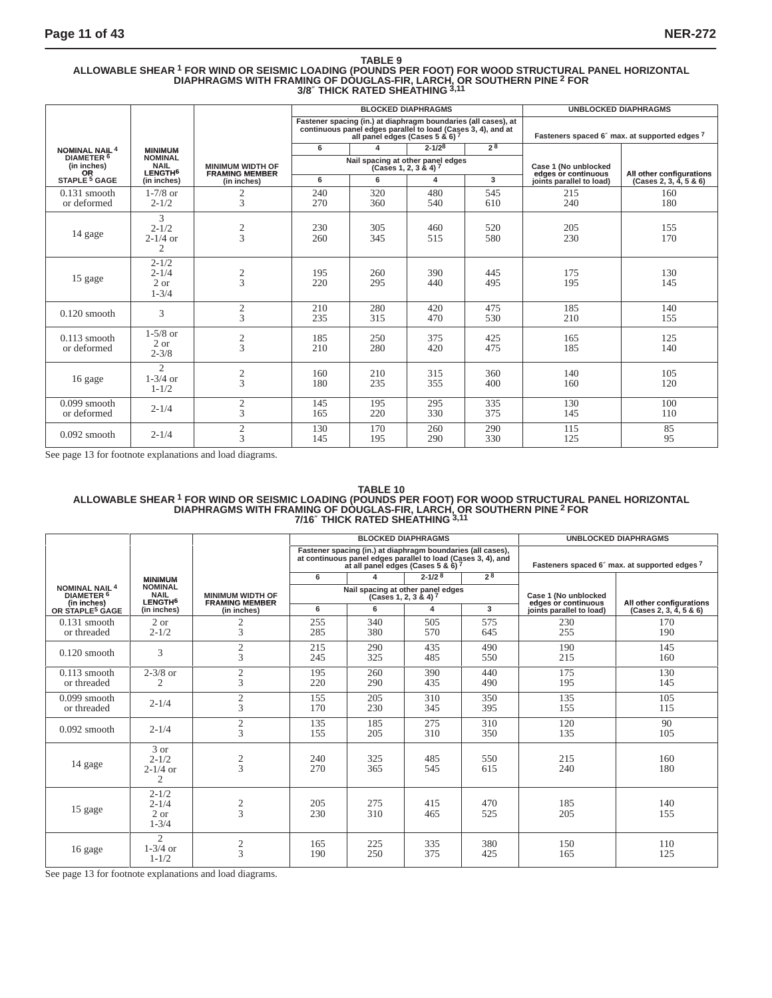## TABLE 9<br>ALLOWABLE SHEAR <sup>1</sup> FOR WIND OR SEISMIC LOADING (POUNDS PER FOOT) FOR WOOD STRUCTURAL PANEL HORIZONTAL<br>DIAPHRAGMS WITH FRAMING OF DOUGLAS-FIR, LARCH, OR SOUTHERN PINE <sup>2</sup> FOR **3/8**″ **THICK RATED SHEATHING 3,11**

|                                                   |                                                      |                                                  |            |                         | <b>BLOCKED DIAPHRAGMS</b>                                                                                                                                         |                | <b>UNBLOCKED DIAPHRAGMS</b>                   |                          |  |
|---------------------------------------------------|------------------------------------------------------|--------------------------------------------------|------------|-------------------------|-------------------------------------------------------------------------------------------------------------------------------------------------------------------|----------------|-----------------------------------------------|--------------------------|--|
|                                                   |                                                      |                                                  |            |                         | Fastener spacing (in.) at diaphragm boundaries (all cases), at<br>continuous panel edges parallel to load (Cases 3, 4), and at<br>all panel edges (Cases 5 & 6) 7 |                | Fasteners spaced 6" max. at supported edges 7 |                          |  |
| <b>NOMINAL NAIL<sup>4</sup></b>                   | <b>MINIMUM</b>                                       |                                                  | 6          |                         | $2 - 1/28$                                                                                                                                                        | 2 <sup>8</sup> |                                               |                          |  |
| DIAMETER <sup>6</sup><br>(in inches)<br><b>OR</b> | <b>NOMINAL</b><br><b>NAIL</b><br>LENGTH <sup>6</sup> | <b>MINIMUM WIDTH OF</b><br><b>FRAMING MEMBER</b> |            | $(Cases 1, 2, 3 & 4)^7$ | Nail spacing at other panel edges                                                                                                                                 |                | Case 1 (No unblocked<br>edges or continuous   | All other configurations |  |
| STAPLE <sup>5</sup> GAGE                          | (in inches)                                          | (in inches)                                      | 6          | 6                       | 4                                                                                                                                                                 | 3              | joints parallel to load)                      | (Cases 2, 3, 4, 5 & 6)   |  |
| $0.131$ smooth<br>or deformed                     | $1 - 7/8$ or<br>$2 - 1/2$                            | 2<br>3                                           | 240<br>270 | 320<br>360              | 480<br>540                                                                                                                                                        | 545<br>610     | 215<br>240                                    | 160<br>180               |  |
| 14 gage                                           | 3<br>$2 - 1/2$<br>$2 - 1/4$ or<br>$\mathfrak{2}$     | $\frac{2}{3}$                                    | 230<br>260 | 305<br>345              | 460<br>515                                                                                                                                                        | 520<br>580     | 205<br>230                                    | 155<br>170               |  |
| 15 gage                                           | $2 - 1/2$<br>$2 - 1/4$<br>$2$ or<br>$1 - 3/4$        | $\frac{2}{3}$                                    | 195<br>220 | 260<br>295              | 390<br>440                                                                                                                                                        | 445<br>495     | 175<br>195                                    | 130<br>145               |  |
| $0.120$ smooth                                    | 3                                                    | $\mathfrak{2}$<br>3                              | 210<br>235 | 280<br>315              | 420<br>470                                                                                                                                                        | 475<br>530     | 185<br>210                                    | 140<br>155               |  |
| $0.113$ smooth<br>or deformed                     | $1 - 5/8$ or<br>2 or<br>$2 - 3/8$                    | $\frac{2}{3}$                                    | 185<br>210 | 250<br>280              | 375<br>420                                                                                                                                                        | 425<br>475     | 165<br>185                                    | 125<br>140               |  |
| 16 gage                                           | $\mathfrak{D}$<br>$1 - \frac{3}{4}$ or<br>$1 - 1/2$  | $rac{2}{3}$                                      | 160<br>180 | 210<br>235              | 315<br>355                                                                                                                                                        | 360<br>400     | 140<br>160                                    | 105<br>120               |  |
| $0.099$ smooth<br>or deformed                     | $2 - 1/4$                                            | $\mathfrak{2}$<br>3                              | 145<br>165 | 195<br>220              | 295<br>330                                                                                                                                                        | 335<br>375     | 130<br>145                                    | 100<br>110               |  |
| $0.092$ smooth                                    | $2 - 1/4$                                            | $\sqrt{2}$<br>3                                  | 130<br>145 | 170<br>195              | 260<br>290                                                                                                                                                        | 290<br>330     | 115<br>125                                    | 85<br>95                 |  |

See page 13 for footnote explanations and load diagrams.

## TABLE 10<br>ALLOWABLE SHEAR <sup>1</sup> FOR WIND OR SEISMIC LOADING (POUNDS PER FOOT) FOR WOOD STRUCTURAL PANEL HORIZONTAL<br>DIAPHRAGMS WITH FRAMING OF DOUGLAS-FIR, LARCH, OR SOUTHERN PINE <sup>2</sup> FOR **7/16**″ **THICK RATED SHEATHING 3,11**

|                                                               |                                                      |                                                  | <b>BLOCKED DIAPHRAGMS</b> |                                                                                                                                                                   |                        |                | <b>UNBLOCKED DIAPHRAGMS</b>                 |                                               |  |
|---------------------------------------------------------------|------------------------------------------------------|--------------------------------------------------|---------------------------|-------------------------------------------------------------------------------------------------------------------------------------------------------------------|------------------------|----------------|---------------------------------------------|-----------------------------------------------|--|
|                                                               |                                                      |                                                  |                           | Fastener spacing (in.) at diaphragm boundaries (all cases),<br>at continuous panel edges parallel to load (Cases 3, 4), and<br>at all panel edges (Cases 5 & 6) 7 |                        |                |                                             | Fasteners spaced 6" max. at supported edges 7 |  |
|                                                               | <b>MINIMUM</b>                                       |                                                  | 6                         | 4                                                                                                                                                                 | $2 - 1/2$ <sup>8</sup> | 2 <sup>8</sup> |                                             |                                               |  |
| <b>NOMINAL NAIL 4</b><br>DIAMETER <sup>6</sup><br>(in inches) | <b>NOMINAL</b><br><b>NAIL</b><br>LENGTH <sup>6</sup> | <b>MINIMUM WIDTH OF</b><br><b>FRAMING MEMBER</b> |                           | Nail spacing at other panel edges                                                                                                                                 | (Cases 1, 2, 3 & 4) 7  |                | Case 1 (No unblocked<br>edges or continuous | All other configurations                      |  |
| OR STAPLE <sup>5</sup> GAGE                                   | (in inches)                                          | (in inches)                                      | 6                         | 6                                                                                                                                                                 | 4                      | 3              | joints parallel to load)                    | (Cases 2, 3, 4, 5 & 6)                        |  |
| $0.131$ smooth<br>or threaded                                 | 2 or<br>$2 - 1/2$                                    | 2<br>3                                           | 255<br>285                | 340<br>380                                                                                                                                                        | 505<br>570             | 575<br>645     | 230<br>255                                  | 170<br>190                                    |  |
| $0.120$ smooth                                                | 3                                                    | $\overline{c}$<br>3                              | 215<br>245                | 290<br>325                                                                                                                                                        | 435<br>485             | 490<br>550     | 190<br>215                                  | 145<br>160                                    |  |
| $0.113$ smooth<br>or threaded                                 | $2 - 3/8$ or<br>$\overline{2}$                       | $\overline{2}$<br>3                              | 195<br>220                | 260<br>290                                                                                                                                                        | 390<br>435             | 440<br>490     | 175<br>195                                  | 130<br>145                                    |  |
| $0.099$ smooth<br>or threaded                                 | $2 - 1/4$                                            | $\mathbf{2}$<br>3                                | 155<br>170                | 205<br>230                                                                                                                                                        | 310<br>345             | 350<br>395     | 135<br>155                                  | 105<br>115                                    |  |
| $0.092$ smooth                                                | $2 - 1/4$                                            | $\mathbf{2}$<br>3                                | 135<br>155                | 185<br>205                                                                                                                                                        | 275<br>310             | 310<br>350     | 120<br>135                                  | 90<br>105                                     |  |
| 14 gage                                                       | 3 or<br>$2 - 1/2$<br>$2 - 1/4$ or<br>2               | $\overline{\mathbf{c}}$<br>$\overline{3}$        | 240<br>270                | 325<br>365                                                                                                                                                        | 485<br>545             | 550<br>615     | 215<br>240                                  | 160<br>180                                    |  |
| 15 gage                                                       | $2 - 1/2$<br>$2 - 1/4$<br>$2$ or<br>$1 - 3/4$        | $\frac{2}{3}$                                    | 205<br>230                | 275<br>310                                                                                                                                                        | 415<br>465             | 470<br>525     | 185<br>205                                  | 140<br>155                                    |  |
| 16 gage                                                       | $\mathfrak{D}$<br>$1-3/4$ or<br>$1 - 1/2$            | $\frac{2}{3}$                                    | 165<br>190                | 225<br>250                                                                                                                                                        | 335<br>375             | 380<br>425     | 150<br>165                                  | 110<br>125                                    |  |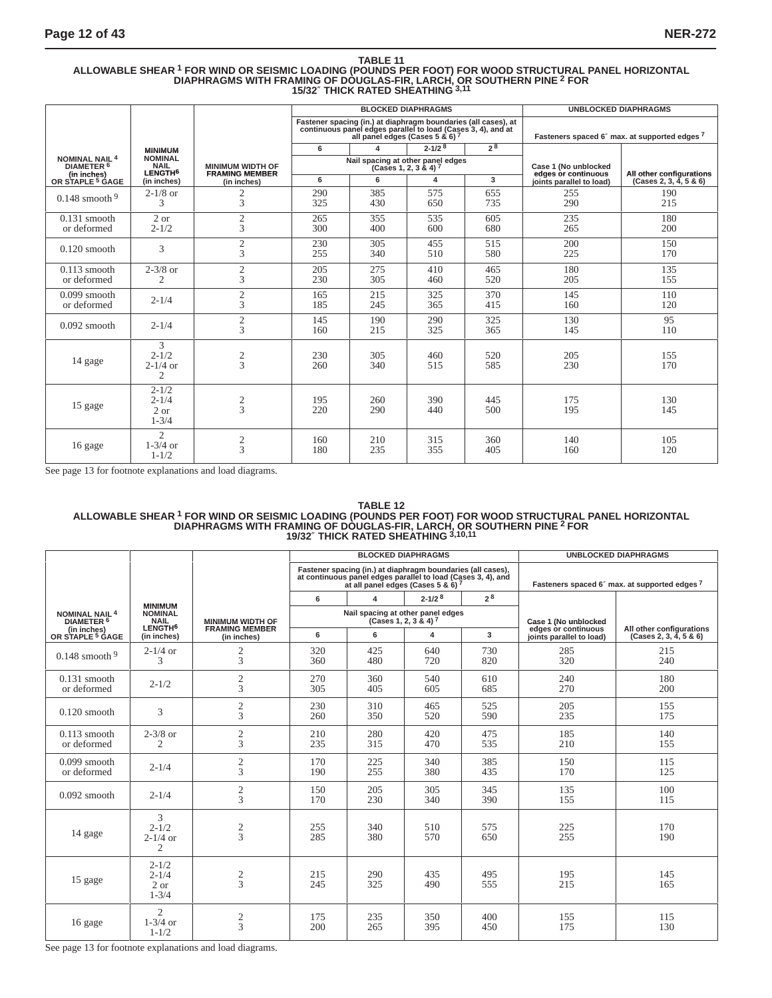## TABLE 11<br>ALLOWABLE SHEAR <sup>1</sup> FOR WIND OR SEISMIC LOADING (POUNDS PER FOOT) FOR WOOD STRUCTURAL PANEL HORIZONTAL<br>DIAPHRAGMS WITH FRAMING OF DOUGLAS-FIR, LARCH, <u>OR</u> SOUTHERN PINE <sup>2</sup> FOR **15/32**″ **THICK RATED SHEATHING 3,11**

|                                                               |                                                      |                                                  |            |                                 | <b>BLOCKED DIAPHRAGMS</b>                                                                                                      |                | <b>UNBLOCKED DIAPHRAGMS</b>                   |                          |
|---------------------------------------------------------------|------------------------------------------------------|--------------------------------------------------|------------|---------------------------------|--------------------------------------------------------------------------------------------------------------------------------|----------------|-----------------------------------------------|--------------------------|
|                                                               |                                                      |                                                  |            | all panel edges (Cases 5 & 6) 7 | Fastener spacing (in.) at diaphragm boundaries (all cases), at<br>continuous panel edges parallel to load (Cases 3, 4), and at |                | Fasteners spaced 6" max. at supported edges 7 |                          |
|                                                               | <b>MINIMUM</b>                                       |                                                  | 6          | 4                               | $2 - 1/2$ <sup>8</sup>                                                                                                         | 2 <sup>8</sup> |                                               |                          |
| <b>NOMINAL NAIL 4</b><br>DIAMETER <sup>6</sup><br>(in inches) | <b>NOMINAL</b><br><b>NAIL</b><br>LENGTH <sup>6</sup> | <b>MINIMUM WIDTH OF</b><br><b>FRAMING MEMBER</b> |            | $(Cases 1, 2, 3 & 4)$ 7         | Nail spacing at other panel edges                                                                                              |                | Case 1 (No unblocked<br>edges or continuous   | All other configurations |
| OR STAPLE <sup>5</sup> GAGE                                   | (in inches)                                          | (in inches)                                      | 6          | 6                               | 4                                                                                                                              | $\overline{3}$ | joints parallel to load)                      | (Cases 2, 3, 4, 5 & 6)   |
| $0.148$ smooth $9$                                            | $2 - 1/8$ or<br>3                                    | 2<br>3                                           | 290<br>325 | 385<br>430                      | 575<br>650                                                                                                                     | 655<br>735     | 255<br>290                                    | 190<br>215               |
| $0.131$ smooth<br>or deformed                                 | $2$ or<br>$2 - 1/2$                                  | $\mathfrak{2}$<br>3                              | 265<br>300 | 355<br>400                      | 535<br>600                                                                                                                     | 605<br>680     | 235<br>265                                    | 180<br>200               |
| $0.120$ smooth                                                | 3                                                    | $\mathfrak{2}$<br>3                              | 230<br>255 | 305<br>340                      | 455<br>510                                                                                                                     | 515<br>580     | 200<br>225                                    | 150<br>170               |
| $0.113$ smooth<br>or deformed                                 | $2 - 3/8$ or<br>$\mathcal{D}_{\mathcal{L}}$          | $\mathfrak{2}$<br>$\overline{3}$                 | 205<br>230 | 275<br>305                      | 410<br>460                                                                                                                     | 465<br>520     | 180<br>205                                    | 135<br>155               |
| $0.099$ smooth<br>or deformed                                 | $2 - 1/4$                                            | $\overline{c}$<br>3                              | 165<br>185 | 215<br>245                      | 325<br>365                                                                                                                     | 370<br>415     | 145<br>160                                    | 110<br>120               |
| $0.092$ smooth                                                | $2 - 1/4$                                            | $\mathfrak{2}$<br>3                              | 145<br>160 | 190<br>215                      | 290<br>325                                                                                                                     | 325<br>365     | 130<br>145                                    | 95<br>110                |
| 14 gage                                                       | 3<br>$2 - 1/2$<br>$2 - 1/4$ or<br>$\mathfrak{D}$     | $\frac{2}{3}$                                    | 230<br>260 | 305<br>340                      | 460<br>515                                                                                                                     | 520<br>585     | 205<br>230                                    | 155<br>170               |
| 15 gage                                                       | $2 - 1/2$<br>$2 - 1/4$<br>2 or<br>$1 - 3/4$          | $\mathfrak{2}$<br>3                              | 195<br>220 | 260<br>290                      | 390<br>440                                                                                                                     | 445<br>500     | 175<br>195                                    | 130<br>145               |
| 16 gage                                                       | $\mathfrak{D}$<br>$1-3/4$ or<br>$1 - 1/2$            | $\mathfrak{2}$<br>$\overline{3}$                 | 160<br>180 | 210<br>235                      | 315<br>355                                                                                                                     | 360<br>405     | 140<br>160                                    | 105<br>120               |

See page 13 for footnote explanations and load diagrams.

#### **TABLE 12 ALLOWABLE SHEAR 1 FOR WIND OR SEISMIC LOADING (POUNDS PER FOOT) FOR WOOD STRUCTURAL PANEL HORIZONTAL DIAPHRAGMS WITH FRAMING OF DOUGLAS-FIR, LARCH, OR SOUTHERN PINE 2 FOR 19/32**″ **THICK RATED SHEATHING 3,10,11**

|                                                |                                                                        |                                                  | <b>BLOCKED DIAPHRAGMS</b> |            |                                                                                                                                                                   |            | <b>UNBLOCKED DIAPHRAGMS</b>                 |                                                    |
|------------------------------------------------|------------------------------------------------------------------------|--------------------------------------------------|---------------------------|------------|-------------------------------------------------------------------------------------------------------------------------------------------------------------------|------------|---------------------------------------------|----------------------------------------------------|
|                                                |                                                                        |                                                  |                           |            | Fastener spacing (in.) at diaphragm boundaries (all cases),<br>at continuous panel edges parallel to load (Cases 3, 4), and<br>at all panel edges (Cases 5 & 6) 7 |            |                                             | Fasteners spaced 6" max. at supported edges 7      |
|                                                |                                                                        |                                                  | 6                         | 4          | $2 - 1/2$ <sup>8</sup>                                                                                                                                            | 28         |                                             |                                                    |
| <b>NOMINAL NAIL 4</b><br>DIAMETER <sup>6</sup> | <b>MINIMUM</b><br><b>NOMINAL</b><br><b>NAIL</b><br>LENGTH <sup>6</sup> | <b>MINIMUM WIDTH OF</b><br><b>FRAMING MEMBER</b> |                           |            | Nail spacing at other panel edges<br>(Cases 1, 2, 3 & 4) <sup>7</sup>                                                                                             |            | Case 1 (No unblocked<br>edges or continuous |                                                    |
| (in inches)<br>OR STAPLE <sup>5</sup> GAGE     | (in inches)                                                            | (in inches)                                      | 6                         | 6          | 4                                                                                                                                                                 | 3          | joints parallel to load)                    | All other configurations<br>(Cases 2, 3, 4, 5 & 6) |
| $0.148$ smooth $9$                             | $2 - 1/4$ or<br>3                                                      | 2<br>3                                           | 320<br>360                | 425<br>480 | 640<br>720                                                                                                                                                        | 730<br>820 | 285<br>320                                  | 215<br>240                                         |
| $0.131$ smooth<br>or deformed                  | $2 - 1/2$                                                              | $\overline{c}$<br>3                              | 270<br>305                | 360<br>405 | 540<br>605                                                                                                                                                        | 610<br>685 | 240<br>270                                  | 180<br>200                                         |
| $0.120$ smooth                                 | 3                                                                      | $\overline{c}$<br>3                              | 230<br>260                | 310<br>350 | 465<br>520                                                                                                                                                        | 525<br>590 | 205<br>235                                  | 155<br>175                                         |
| $0.113$ smooth<br>or deformed                  | $2 - 3/8$ or<br>2                                                      | $\frac{2}{3}$                                    | 210<br>235                | 280<br>315 | 420<br>470                                                                                                                                                        | 475<br>535 | 185<br>210                                  | 140<br>155                                         |
| $0.099$ smooth<br>or deformed                  | $2 - 1/4$                                                              | 2<br>3                                           | 170<br>190                | 225<br>255 | 340<br>380                                                                                                                                                        | 385<br>435 | 150<br>170                                  | 115<br>125                                         |
| $0.092$ smooth                                 | $2 - 1/4$                                                              | $\mathbf{2}$<br>3                                | 150<br>170                | 205<br>230 | 305<br>340                                                                                                                                                        | 345<br>390 | 135<br>155                                  | 100<br>115                                         |
| 14 gage                                        | 3<br>$2 - 1/2$<br>$2 - 1/4$ or<br>$\overline{2}$                       | 2<br>3                                           | 255<br>285                | 340<br>380 | 510<br>570                                                                                                                                                        | 575<br>650 | 225<br>255                                  | 170<br>190                                         |
| 15 gage                                        | $2 - 1/2$<br>$2 - 1/4$<br>2 or<br>$1 - 3/4$                            | 2<br>3                                           | 215<br>245                | 290<br>325 | 435<br>490                                                                                                                                                        | 495<br>555 | 195<br>215                                  | 145<br>165                                         |
| 16 gage                                        | $\overline{c}$<br>$1-3/4$ or<br>$1 - 1/2$                              | 2<br>3                                           | 175<br>200                | 235<br>265 | 350<br>395                                                                                                                                                        | 400<br>450 | 155<br>175                                  | 115<br>130                                         |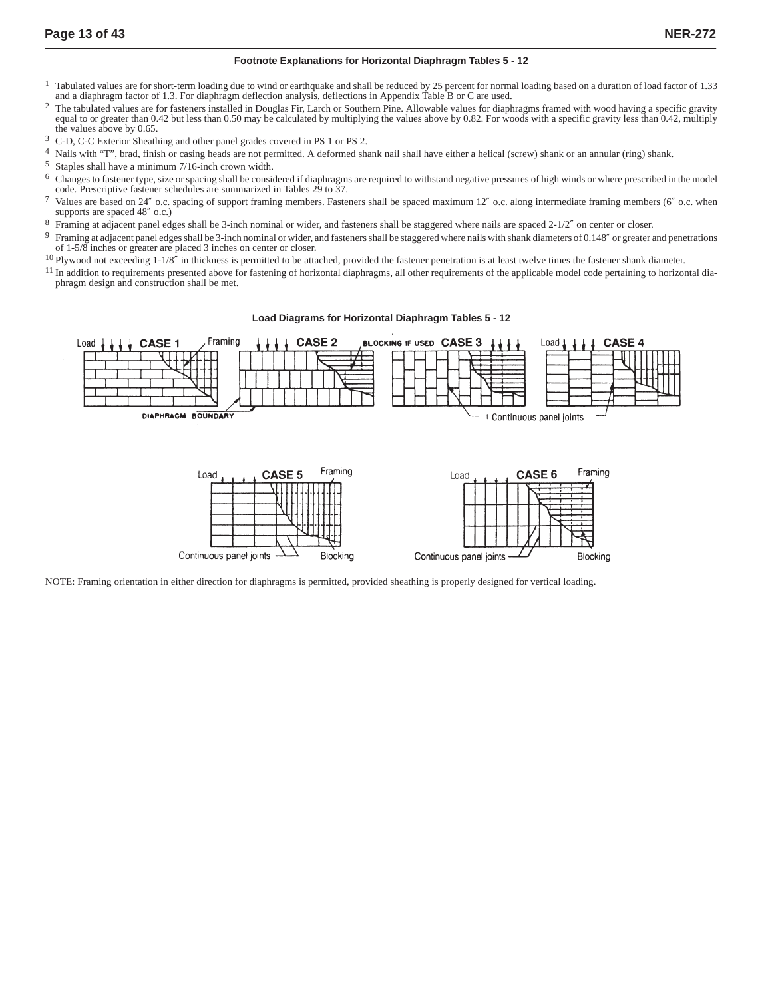#### **Footnote Explanations for Horizontal Diaphragm Tables 5 - 12**

- <sup>1</sup> Tabulated values are for short-term loading due to wind or earthquake and shall be reduced by 25 percent for normal loading based on a duration of load factor of 1.33 and a diaphragm factor of 1.3. For diaphragm deflection analysis, deflections in Appendix Table B or C are used.
- <sup>2</sup> The tabulated values are for fasteners installed in Douglas Fir, Larch or Southern Pine. Allowable values for diaphragms framed with wood having a specific gravity equal to or greater than 0.42 but less than 0.50 may be calculated by multiplying the values above by 0.82. For woods with a specific gravity less than 0.42, multiply the values above by 0.65.
- 3 C-D, C-C Exterior Sheathing and other panel grades covered in PS 1 or PS 2.
- Nails with "T", brad, finish or casing heads are not permitted. A deformed shank nail shall have either a helical (screw) shank or an annular (ring) shank.
- $5$  Staples shall have a minimum  $7/16$ -inch crown width.<br> $6$  Changes to festener type, size or spacing shall be consi
- 6 Changes to fastener type, size or spacing shall be considered if diaphragms are required to withstand negative pressures of high winds or where prescribed in the model code. Prescriptive fastener schedules are summarized in Tables 29 to 37.
- 7 Values are based on 24″ o.c. spacing of support framing members. Fasteners shall be spaced maximum 12″ o.c. along intermediate framing members (6″ o.c. when supports are spaced 48″ o.c.)
- 8 Framing at adjacent panel edges shall be 3-inch nominal or wider, and fasteners shall be staggered where nails are spaced 2-1/2" on center or closer.
- 9 Framing at adjacent panel edges shall be 3-inch nominal or wider, and fasteners shall be staggered where nails with shank diameters of 0.148″ or greater and penetrations of 1-5/8 inches or greater are placed 3 inches on center or closer.
- $10$  Plywood not exceeding  $1-1/8$ " in thickness is permitted to be attached, provided the fastener penetration is at least twelve times the fastener shank diameter.
- $11$  In addition to requirements presented above for fastening of horizontal diaphragms, all other requirements of the applicable model code pertaining to horizontal diaphragm design and construction shall be met.

#### **Load Diagrams for Horizontal Diaphragm Tables 5 - 12**



NOTE: Framing orientation in either direction for diaphragms is permitted, provided sheathing is properly designed for vertical loading.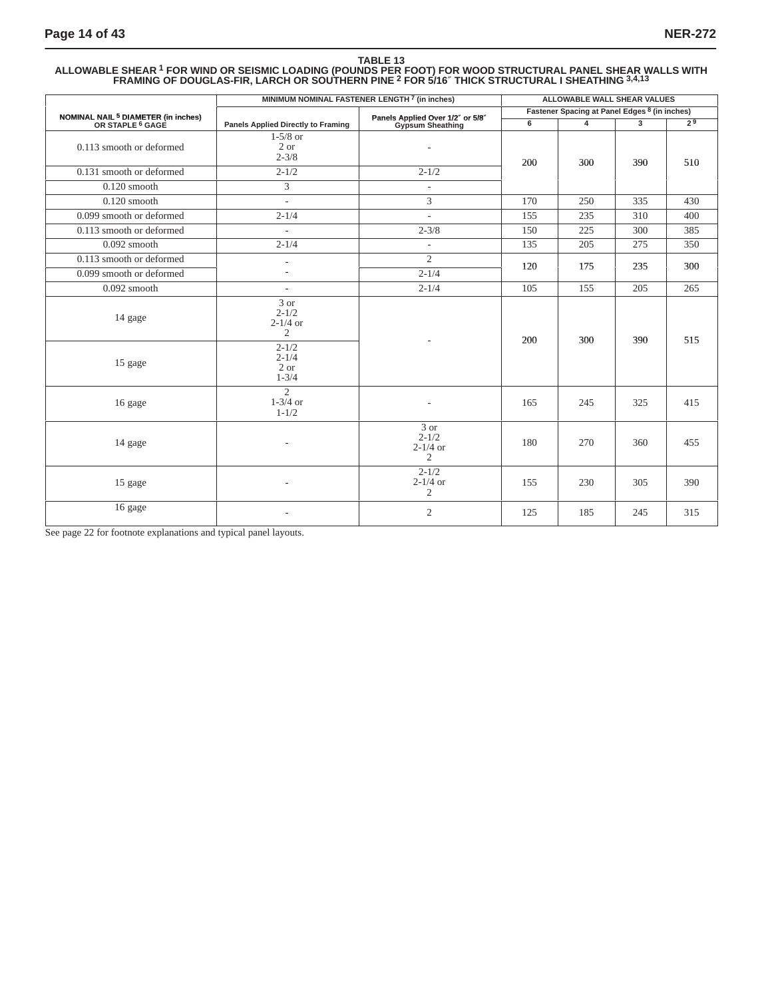#### **TABLE 13 ALLOWABLE SHEAR 1 FOR WIND OR SEISMIC LOADING (POUNDS PER FOOT) FOR WOOD STRUCTURAL PANEL SHEAR WALLS WITH FRAMING OF DOUGLAS-FIR, LARCH OR SOUTHERN PINE 2 FOR 5/16**″ **THICK STRUCTURAL I SHEATHING 3,4,13**

|                                                                               | MINIMUM NOMINAL FASTENER LENGTH 7 (in inches)       |                                                      |     | <b>ALLOWABLE WALL SHEAR VALUES</b>            |              |                |
|-------------------------------------------------------------------------------|-----------------------------------------------------|------------------------------------------------------|-----|-----------------------------------------------|--------------|----------------|
|                                                                               |                                                     |                                                      |     | Fastener Spacing at Panel Edges 8 (in inches) |              |                |
| NOMINAL NAIL <sup>5</sup> DIAMETER (in inches)<br>OR STAPLE <sup>6</sup> GAGE | <b>Panels Applied Directly to Framing</b>           | Panels Applied Over 1/2" or 5/8"<br>Gypsum Sheathing | 6   | $\overline{4}$                                | $\mathbf{3}$ | 2 <sup>9</sup> |
| 0.113 smooth or deformed                                                      | $1-5/8$ or<br>2 or<br>$2 - 3/8$                     |                                                      | 200 | 300                                           | 390          | 510            |
| 0.131 smooth or deformed                                                      | $2 - 1/2$                                           | $2 - 1/2$                                            |     |                                               |              |                |
| $0.120$ smooth                                                                | 3                                                   | $\sim$                                               |     |                                               |              |                |
| $0.120$ smooth                                                                | $\sim$                                              | 3                                                    | 170 | 250                                           | 335          | 430            |
| 0.099 smooth or deformed                                                      | $2 - 1/4$                                           | $\sim$                                               | 155 | 235                                           | 310          | 400            |
| 0.113 smooth or deformed                                                      | $\overline{\phantom{a}}$                            | $2 - 3/8$                                            | 150 | 225                                           | 300          | 385            |
| $0.092$ smooth                                                                | $2 - 1/4$                                           | $\overline{\phantom{a}}$                             | 135 | 205                                           | 275          | 350            |
| 0.113 smooth or deformed                                                      | $\overline{\phantom{a}}$                            | $\overline{2}$                                       | 120 | 175                                           | 235          | 300            |
| 0.099 smooth or deformed                                                      | $\sim$                                              | $2 - 1/4$                                            |     |                                               |              |                |
| $0.092$ smooth                                                                | $\sim$                                              | $2 - 1/4$                                            | 105 | 155                                           | 205          | 265            |
| 14 gage                                                                       | 3 or<br>$2 - 1/2$<br>$2 - 1/4$ or<br>$\overline{2}$ |                                                      | 200 | 300                                           | 390          | 515            |
| 15 gage                                                                       | $2 - 1/2$<br>$2 - 1/4$<br>2 or<br>$1 - 3/4$         |                                                      |     |                                               |              |                |
| 16 gage                                                                       | $\overline{2}$<br>$1-3/4$ or<br>$1 - 1/2$           |                                                      | 165 | 245                                           | 325          | 415            |
| 14 gage                                                                       |                                                     | 3 or<br>$2 - 1/2$<br>$2-1/4$ or<br>$\overline{2}$    | 180 | 270                                           | 360          | 455            |
| 15 gage                                                                       |                                                     | $2 - 1/2$<br>$2-1/4$ or<br>$\overline{2}$            | 155 | 230                                           | 305          | 390            |
| 16 gage                                                                       |                                                     | $\overline{2}$                                       | 125 | 185                                           | 245          | 315            |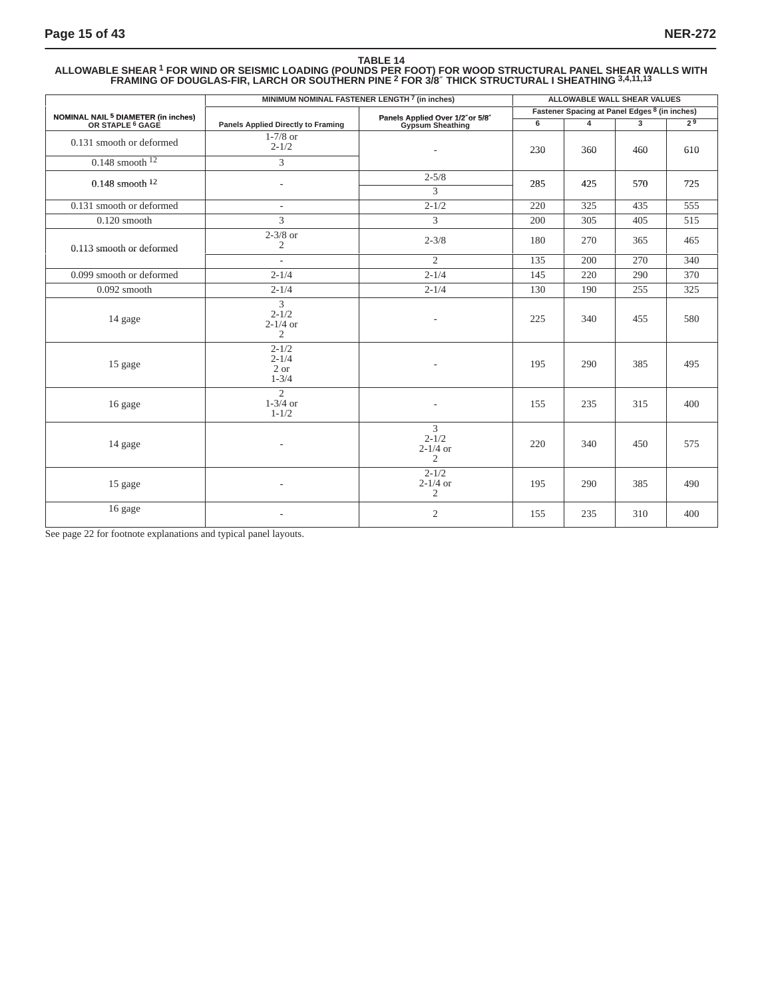#### **TABLE 14 ALLOWABLE SHEAR 1 FOR WIND OR SEISMIC LOADING (POUNDS PER FOOT) FOR WOOD STRUCTURAL PANEL SHEAR WALLS WITH FRAMING OF DOUGLAS-FIR, LARCH OR SOUTHERN PINE 2 FOR 3/8**″ **THICK STRUCTURAL I SHEATHING 3,4,11,13**

|                                                                               |                                                             | MINIMUM NOMINAL FASTENER LENGTH 7 (in inches)       |     | ALLOWABLE WALL SHEAR VALUES                   |                |     |
|-------------------------------------------------------------------------------|-------------------------------------------------------------|-----------------------------------------------------|-----|-----------------------------------------------|----------------|-----|
|                                                                               |                                                             |                                                     |     | Fastener Spacing at Panel Edges 8 (in inches) |                |     |
| NOMINAL NAIL <sup>5</sup> DIAMETER (in inches)<br>OR STAPLE <sup>6</sup> GAGE | <b>Panels Applied Directly to Framing</b>                   | Panels Applied Over 1/2"or 5/8"<br>Gypsum Sheathing | 6   | $\overline{4}$                                | $\overline{3}$ | 29  |
| 0.131 smooth or deformed                                                      | $1-7/8$ or<br>$2 - 1/2$                                     | $\overline{\phantom{a}}$                            | 230 | 360                                           | 460            | 610 |
| $0.148$ smooth $12$                                                           | 3                                                           |                                                     |     |                                               |                |     |
| $0.148$ smooth $12$                                                           | $\overline{\phantom{a}}$                                    | $2 - 5/8$<br>3                                      | 285 | 425                                           | 570            | 725 |
| 0.131 smooth or deformed                                                      | $\overline{\phantom{a}}$                                    | $2 - 1/2$                                           | 220 | 325                                           | 435            | 555 |
| $0.120$ smooth                                                                | 3                                                           | 3                                                   | 200 | 305                                           | 405            | 515 |
| 0.113 smooth or deformed                                                      | $2-3/8$ or<br>$\overline{2}$                                | $2 - 3/8$                                           | 180 | 270                                           | 365            | 465 |
|                                                                               | $\overline{\phantom{a}}$                                    | $\overline{2}$                                      | 135 | 200                                           | 270            | 340 |
| 0.099 smooth or deformed                                                      | $2 - 1/4$                                                   | $2 - 1/4$                                           | 145 | 220                                           | 290            | 370 |
| $0.092$ smooth                                                                | $2 - 1/4$                                                   | $2 - 1/4$                                           | 130 | 190                                           | 255            | 325 |
| 14 gage                                                                       | $\overline{3}$<br>$2 - 1/2$<br>$2-1/4$ or<br>$\overline{2}$ | $\overline{\phantom{a}}$                            | 225 | 340                                           | 455            | 580 |
| 15 gage                                                                       | $2 - 1/2$<br>$2 - 1/4$<br>2 or<br>$1 - 3/4$                 | $\overline{\phantom{a}}$                            | 195 | 290                                           | 385            | 495 |
| 16 gage                                                                       | $\overline{2}$<br>$1-3/4$ or<br>$1 - 1/2$                   |                                                     | 155 | 235                                           | 315            | 400 |
| 14 gage                                                                       |                                                             | $\overline{3}$<br>$2 - 1/2$<br>$2-1/4$ or<br>2      | 220 | 340                                           | 450            | 575 |
| 15 gage                                                                       |                                                             | $2 - 1/2$<br>$2-1/4$ or<br>2                        | 195 | 290                                           | 385            | 490 |
| 16 gage                                                                       |                                                             | $\overline{2}$                                      | 155 | 235                                           | 310            | 400 |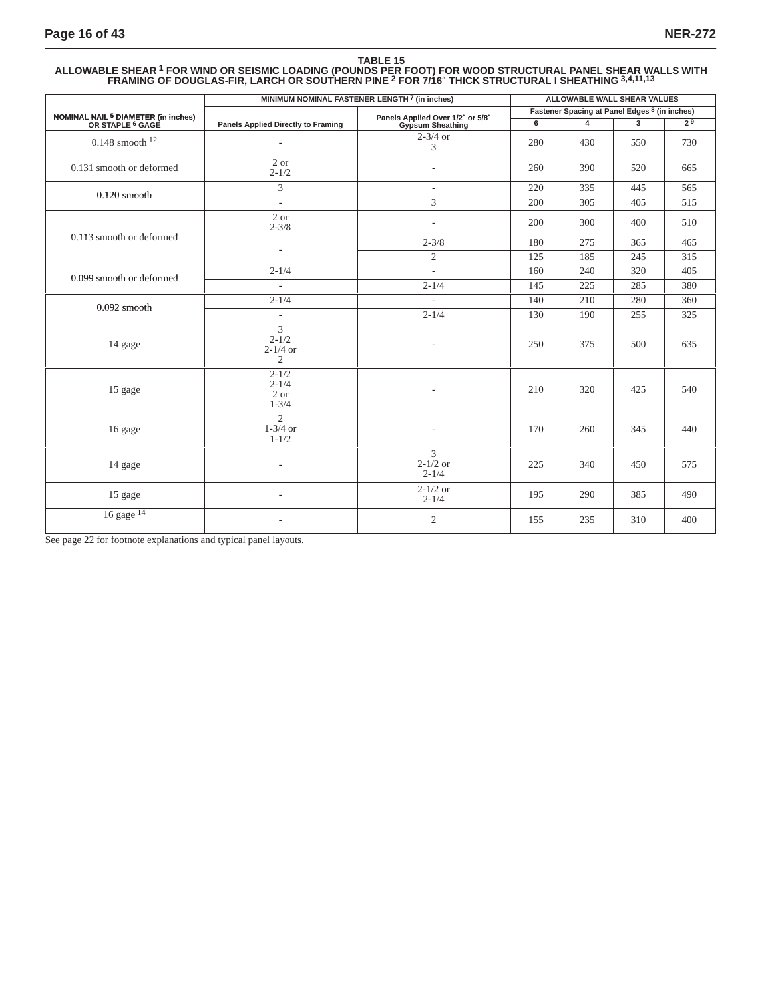#### **TABLE 15 ALLOWABLE SHEAR 1 FOR WIND OR SEISMIC LOADING (POUNDS PER FOOT) FOR WOOD STRUCTURAL PANEL SHEAR WALLS WITH FRAMING OF DOUGLAS-FIR, LARCH OR SOUTHERN PINE 2 FOR 7/16**″ **THICK STRUCTURAL I SHEATHING 3,4,11,13**

|                                                                               | MINIMUM NOMINAL FASTENER LENGTH 7 (in inches)               |                                                      |     |                                                                                                          |                                                                                                                     |                |
|-------------------------------------------------------------------------------|-------------------------------------------------------------|------------------------------------------------------|-----|----------------------------------------------------------------------------------------------------------|---------------------------------------------------------------------------------------------------------------------|----------------|
|                                                                               |                                                             |                                                      |     |                                                                                                          |                                                                                                                     |                |
| NOMINAL NAIL <sup>5</sup> DIAMETER (in inches)<br>OR STAPLE <sup>6</sup> GAGE | <b>Panels Applied Directly to Framing</b>                   | Panels Applied Over 1/2" or 5/8"<br>Gypsum Sheathing | 6   | $\overline{\mathbf{4}}$                                                                                  | $\mathbf{3}$                                                                                                        | 2 <sup>9</sup> |
| $0.148$ smooth $12$                                                           | $\sim$                                                      | $2-3/4$ or<br>3                                      | 280 | 430                                                                                                      | 550                                                                                                                 | 730            |
| 0.131 smooth or deformed                                                      | 2 or<br>$2 - 1/2$                                           | $\overline{\phantom{a}}$                             | 260 | 390                                                                                                      | 520                                                                                                                 | 665            |
|                                                                               | $\overline{3}$                                              | $\mathcal{L}$                                        | 220 | 335                                                                                                      | 445                                                                                                                 | 565            |
| $0.120$ smooth                                                                | $\mathcal{L}$                                               | 3                                                    | 200 | 305                                                                                                      | 405                                                                                                                 | 515            |
|                                                                               | 2 or<br>$2 - 3/8$                                           | $\overline{\phantom{a}}$                             | 200 | 300                                                                                                      | 400                                                                                                                 | 510            |
| 0.113 smooth or deformed                                                      |                                                             | $2 - 3/8$                                            | 180 | 275                                                                                                      | 365<br>185<br>245<br>320<br>240<br>225<br>285<br>280<br>210<br>255<br>190<br>375<br>500<br>320<br>425<br>260<br>345 | 465            |
|                                                                               | $\overline{a}$                                              | $\overline{c}$                                       | 125 | ALLOWABLE WALL SHEAR VALUES<br>Fastener Spacing at Panel Edges 8 (in inches)<br>340<br>450<br>290<br>385 | 315                                                                                                                 |                |
|                                                                               | $2 - 1/4$                                                   | $\overline{\phantom{a}}$                             | 160 |                                                                                                          |                                                                                                                     | 405            |
| 0.099 smooth or deformed                                                      | $\overline{\phantom{0}}$                                    | $2 - 1/4$                                            | 145 |                                                                                                          | 310                                                                                                                 | 380            |
|                                                                               | $2 - 1/4$                                                   | $\mathcal{L}$                                        | 140 |                                                                                                          |                                                                                                                     | 360            |
| $0.092$ smooth                                                                | $\overline{\phantom{a}}$                                    | $2 - 1/4$                                            | 130 |                                                                                                          |                                                                                                                     | 325            |
| 14 gage                                                                       | $\overline{3}$<br>$2 - 1/2$<br>$2-1/4$ or<br>$\overline{c}$ | $\overline{\phantom{a}}$                             | 250 |                                                                                                          |                                                                                                                     | 635            |
| 15 gage                                                                       | $2 - 1/2$<br>$2 - 1/4$<br>2 or<br>$1 - 3/4$                 | $\overline{a}$                                       | 210 |                                                                                                          |                                                                                                                     | 540            |
| 16 gage                                                                       | $\overline{c}$<br>$1-3/4$ or<br>$1 - 1/2$                   | ÷,                                                   | 170 |                                                                                                          |                                                                                                                     | 440            |
| 14 gage                                                                       |                                                             | 3<br>$2-1/2$ or<br>$2 - 1/4$                         | 225 |                                                                                                          |                                                                                                                     | 575            |
| 15 gage                                                                       |                                                             | $2-1/2$ or<br>$2 - 1/4$                              | 195 |                                                                                                          |                                                                                                                     | 490            |
| $16$ gage $14$                                                                |                                                             | $\overline{c}$                                       | 155 | 235                                                                                                      |                                                                                                                     | 400            |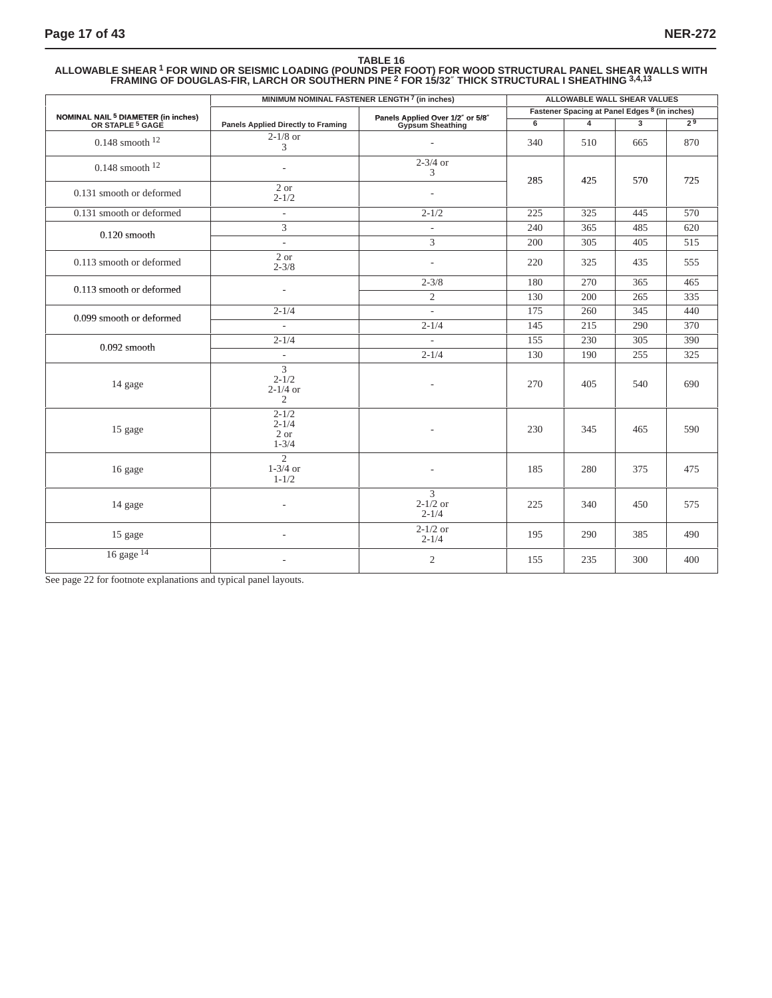#### **TABLE 16 ALLOWABLE SHEAR 1 FOR WIND OR SEISMIC LOADING (POUNDS PER FOOT) FOR WOOD STRUCTURAL PANEL SHEAR WALLS WITH FRAMING OF DOUGLAS-FIR, LARCH OR SOUTHERN PINE 2 FOR 15/32**″ **THICK STRUCTURAL I SHEATHING 3,4,13**

|                                                                               | MINIMUM NOMINAL FASTENER LENGTH <sup>7</sup> (in inches)    |                                                      | ALLOWABLE WALL SHEAR VALUES |                                               |     |     |  |
|-------------------------------------------------------------------------------|-------------------------------------------------------------|------------------------------------------------------|-----------------------------|-----------------------------------------------|-----|-----|--|
|                                                                               |                                                             |                                                      |                             | Fastener Spacing at Panel Edges 8 (in inches) |     |     |  |
| NOMINAL NAIL <sup>5</sup> DIAMETER (in inches)<br>OR STAPLE <sup>5</sup> GAGE | <b>Panels Applied Directly to Framing</b>                   | Panels Applied Over 1/2" or 5/8"<br>Gypsum Sheathing | 6                           | $\blacktriangle$                              | 3   | 79  |  |
| $0.148$ smooth $12$                                                           | $2-1/8$ or<br>3                                             |                                                      | 340                         | 510                                           | 665 | 870 |  |
| $0.148$ smooth $12$                                                           |                                                             | $2-3/4$ or<br>3                                      | 285                         | 425                                           | 570 | 725 |  |
| 0.131 smooth or deformed                                                      | 2 or<br>$2 - 1/2$                                           | $\overline{a}$                                       |                             |                                               |     |     |  |
| 0.131 smooth or deformed                                                      | $\overline{\phantom{a}}$                                    | $2 - 1/2$                                            | 225                         | 325                                           | 445 | 570 |  |
| $0.120$ smooth                                                                | 3                                                           | $\overline{\phantom{a}}$                             | 240                         | 365                                           | 485 | 620 |  |
|                                                                               | $\sim$                                                      | 3                                                    | 200                         | 305                                           | 405 | 515 |  |
| 0.113 smooth or deformed                                                      | 2 or<br>$2 - 3/8$                                           | $\overline{\phantom{a}}$                             | 220                         | 325                                           | 435 | 555 |  |
|                                                                               |                                                             | $2 - 3/8$                                            | 180                         | 270                                           | 365 | 465 |  |
| 0.113 smooth or deformed                                                      | $\overline{\phantom{a}}$                                    | $\overline{2}$                                       | 130                         | 200                                           | 265 | 335 |  |
|                                                                               | $2 - 1/4$                                                   | $\overline{\phantom{a}}$                             | 175                         | 260                                           | 345 | 440 |  |
| 0.099 smooth or deformed                                                      | ÷.                                                          | $2 - 1/4$                                            | 145                         | 215                                           | 290 | 370 |  |
|                                                                               | $2 - 1/4$                                                   |                                                      | 155                         | 230                                           | 305 | 390 |  |
| $0.092$ smooth                                                                | $\overline{\phantom{a}}$                                    | $2 - 1/4$                                            | 130                         | 190                                           | 255 | 325 |  |
| 14 gage                                                                       | $\overline{3}$<br>$2 - 1/2$<br>$2-1/4$ or<br>$\overline{2}$ |                                                      | 270                         | 405                                           | 540 | 690 |  |
| 15 gage                                                                       | $2 - 1/2$<br>$2 - 1/4$<br>2 or<br>$1 - 3/4$                 |                                                      | 230                         | 345                                           | 465 | 590 |  |
| 16 gage                                                                       | $\overline{2}$<br>$1-3/4$ or<br>$1 - 1/2$                   |                                                      | 185                         | 280                                           | 375 | 475 |  |
| 14 gage                                                                       |                                                             | $\overline{3}$<br>$2 - 1/2$ or<br>$2 - 1/4$          | 225                         | 340                                           | 450 | 575 |  |
| 15 gage                                                                       |                                                             | $2 - 1/2$ or<br>$2 - 1/4$                            | 195                         | 290                                           | 385 | 490 |  |
| 16 gage <sup>14</sup>                                                         |                                                             | $\overline{c}$                                       | 155                         | 235                                           | 300 | 400 |  |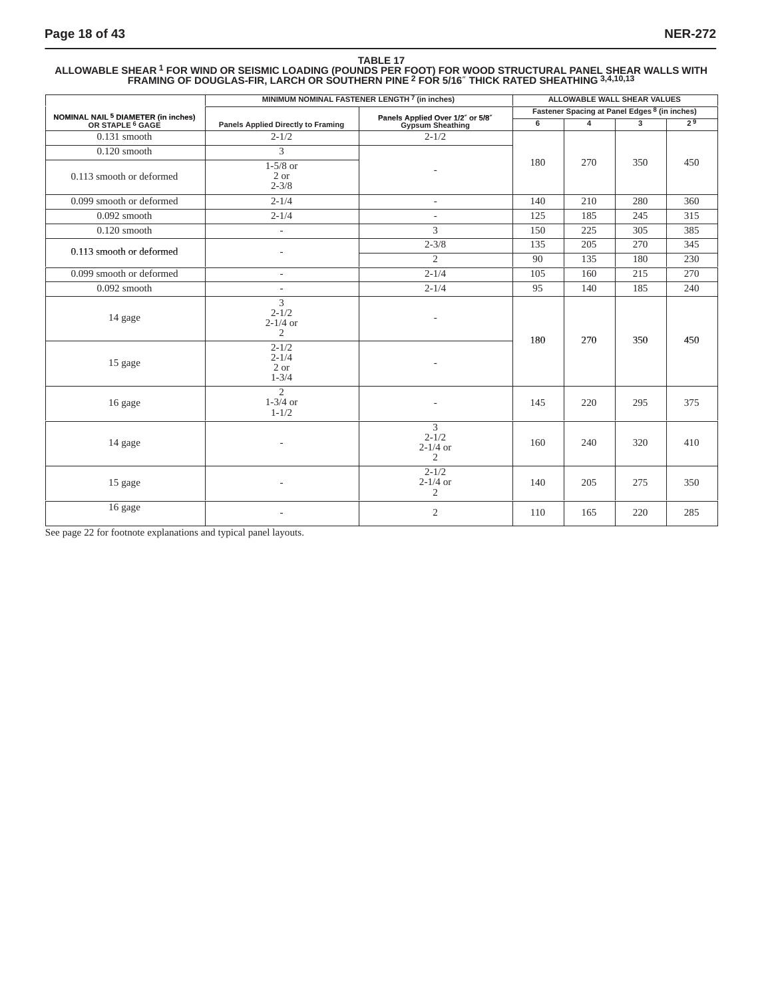#### **TABLE 17 ALLOWABLE SHEAR 1 FOR WIND OR SEISMIC LOADING (POUNDS PER FOOT) FOR WOOD STRUCTURAL PANEL SHEAR WALLS WITH FRAMING OF DOUGLAS-FIR, LARCH OR SOUTHERN PINE 2 FOR 5/16**″ **THICK RATED SHEATHING 3,4,10,13**

|                                                                               |                                                               | MINIMUM NOMINAL FASTENER LENGTH <sup>7</sup> (in inches) |     | ALLOWABLE WALL SHEAR VALUES                   |                |                |
|-------------------------------------------------------------------------------|---------------------------------------------------------------|----------------------------------------------------------|-----|-----------------------------------------------|----------------|----------------|
|                                                                               |                                                               |                                                          |     | Fastener Spacing at Panel Edges 8 (in inches) |                |                |
| NOMINAL NAIL <sup>5</sup> DIAMETER (in inches)<br>OR STAPLE <sup>6</sup> GAGE | <b>Panels Applied Directly to Framing</b>                     | Panels Applied Over 1/2" or 5/8"<br>Gypsum Sheathing     | 6   | $\overline{4}$                                | $\overline{3}$ | 2 <sup>9</sup> |
| $0.131$ smooth                                                                | $2 - 1/2$                                                     | $2 - 1/2$                                                |     |                                               |                |                |
| $0.120$ smooth                                                                | 3                                                             |                                                          |     |                                               |                |                |
| 0.113 smooth or deformed                                                      | $1-5/8$ or<br>2 or<br>$2 - 3/8$                               |                                                          | 180 | 270                                           | 350            | 450            |
| 0.099 smooth or deformed                                                      | $2 - 1/4$                                                     | ÷                                                        | 140 | 210                                           | 280            | 360            |
| $0.092$ smooth                                                                | $2 - 1/4$                                                     | $\overline{\phantom{a}}$                                 | 125 | 185                                           | 245            | 315            |
| $0.120$ smooth                                                                | $\overline{\phantom{a}}$                                      | 3                                                        | 150 | 225                                           | 305            | 385            |
| 0.113 smooth or deformed                                                      |                                                               | $2 - 3/8$                                                | 135 | 205                                           | 270            | 345            |
|                                                                               |                                                               | $\overline{2}$                                           | 90  | 135                                           | 180            | 230            |
| 0.099 smooth or deformed                                                      | $\overline{\phantom{a}}$                                      | $2 - 1/4$                                                | 105 | 160                                           | 215            | 270            |
| $0.092$ smooth                                                                | $\overline{a}$                                                | $2 - 1/4$                                                | 95  | 140                                           | 185            | 240            |
| 14 gage                                                                       | $\overline{3}$<br>$2 - 1/2$<br>$2 - 1/4$ or<br>$\overline{2}$ | $\overline{\phantom{a}}$                                 | 180 | 270                                           | 350            | 450            |
| 15 gage                                                                       | $2 - 1/2$<br>$2 - 1/4$<br>2 or<br>$1 - 3/4$                   |                                                          |     |                                               |                |                |
| 16 gage                                                                       | $\overline{2}$<br>$1-3/4$ or<br>$1 - 1/2$                     |                                                          | 145 | 220                                           | 295            | 375            |
| 14 gage                                                                       |                                                               | 3<br>$2 - 1/2$<br>$2 - 1/4$ or<br>$\overline{2}$         | 160 | 240                                           | 320            | 410            |
| 15 gage                                                                       |                                                               | $2 - 1/2$<br>$2-1/4$ or<br>2                             | 140 | 205                                           | 275            | 350            |
| 16 gage                                                                       |                                                               | $\overline{c}$                                           | 110 | 165                                           | 220            | 285            |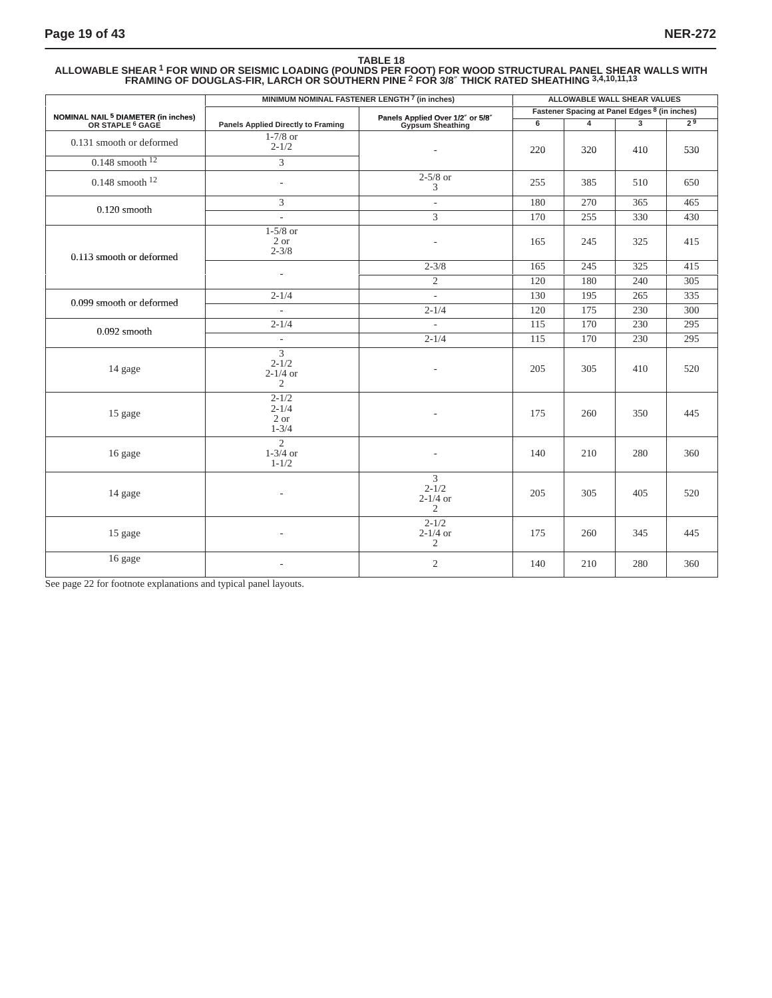### **TABLE 18 ALLOWABLE SHEAR 1 FOR WIND OR SEISMIC LOADING (POUNDS PER FOOT) FOR WOOD STRUCTURAL PANEL SHEAR WALLS WITH FRAMING OF DOUGLAS-FIR, LARCH OR SOUTHERN PINE 2 FOR 3/8**″ **THICK RATED SHEATHING 3,4,10,11,13**

|                                                                               | MINIMUM NOMINAL FASTENER LENGTH <sup>7</sup> (in inches)      |                                                             | ALLOWABLE WALL SHEAR VALUES |                                               |                |                  |  |
|-------------------------------------------------------------------------------|---------------------------------------------------------------|-------------------------------------------------------------|-----------------------------|-----------------------------------------------|----------------|------------------|--|
|                                                                               |                                                               |                                                             |                             | Fastener Spacing at Panel Edges 8 (in inches) |                |                  |  |
| NOMINAL NAIL <sup>5</sup> DIAMETER (in inches)<br>OR STAPLE <sup>6</sup> GAGE | <b>Panels Applied Directly to Framing</b>                     | Panels Applied Over 1/2" or 5/8"<br>Gypsum Sheathing        | $6 \overline{}$             | $\overline{4}$                                | $\overline{3}$ | 2 <sup>9</sup>   |  |
| 0.131 smooth or deformed                                                      | $1-7/8$ or<br>$2 - 1/2$                                       | $\overline{\phantom{a}}$                                    | 220                         | 320                                           | 410            | 530              |  |
| $0.148$ smooth $12$                                                           | 3                                                             |                                                             |                             |                                               |                |                  |  |
| $0.148$ smooth $12$                                                           | $\overline{\phantom{a}}$                                      | $2-5/8$ or<br>3                                             | 255                         | 385                                           | 510            | 650              |  |
| $0.120$ smooth                                                                | 3                                                             | $\overline{\phantom{a}}$                                    | 180                         | 270                                           | 365            | 465              |  |
|                                                                               | $\overline{a}$                                                | 3                                                           | 170                         | 255                                           | 330            | 430              |  |
| 0.113 smooth or deformed                                                      | $1-5/8$ or<br>2 or<br>$2 - 3/8$                               | ÷,                                                          | 165                         | 245                                           | 325            | 415              |  |
|                                                                               |                                                               | $2 - 3/8$                                                   | 165                         | 245                                           | 325            | 415              |  |
|                                                                               | $\overline{\phantom{a}}$                                      | $\overline{2}$                                              | 120                         | 180                                           | 240            | 305              |  |
| 0.099 smooth or deformed                                                      | $2 - 1/4$                                                     | ÷.                                                          | 130                         | 195                                           | 265            | 335              |  |
|                                                                               | $\mathcal{L}$                                                 | $2 - 1/4$                                                   | 120                         | 175                                           | 230            | $\overline{300}$ |  |
| $0.092$ smooth                                                                | $2 - 1/4$                                                     | $\overline{\phantom{a}}$                                    | 115                         | 170                                           | 230            | 295              |  |
|                                                                               | $\overline{\phantom{a}}$                                      | $2 - 1/4$                                                   | 115                         | 170                                           | 230            | 295              |  |
| 14 gage                                                                       | $\overline{3}$<br>$2 - 1/2$<br>$2 - 1/4$ or<br>$\mathfrak{2}$ |                                                             | 205                         | 305                                           | 410            | 520              |  |
| 15 gage                                                                       | $2 - 1/2$<br>$2 - 1/4$<br>2 or<br>$1 - 3/4$                   | ÷,                                                          | 175                         | 260                                           | 350            | 445              |  |
| 16 gage                                                                       | $\overline{2}$<br>$1-3/4$ or<br>$1 - 1/2$                     |                                                             | 140                         | 210                                           | 280            | 360              |  |
| 14 gage                                                                       |                                                               | $\overline{3}$<br>$2 - 1/2$<br>$2-1/4$ or<br>$\overline{2}$ | 205                         | 305                                           | 405            | 520              |  |
| 15 gage                                                                       |                                                               | $2 - 1/2$<br>$2 - 1/4$ or<br>$\mathbf{2}$                   | 175                         | 260                                           | 345            | 445              |  |
| 16 gage                                                                       |                                                               | $\overline{2}$                                              | 140                         | 210                                           | 280            | 360              |  |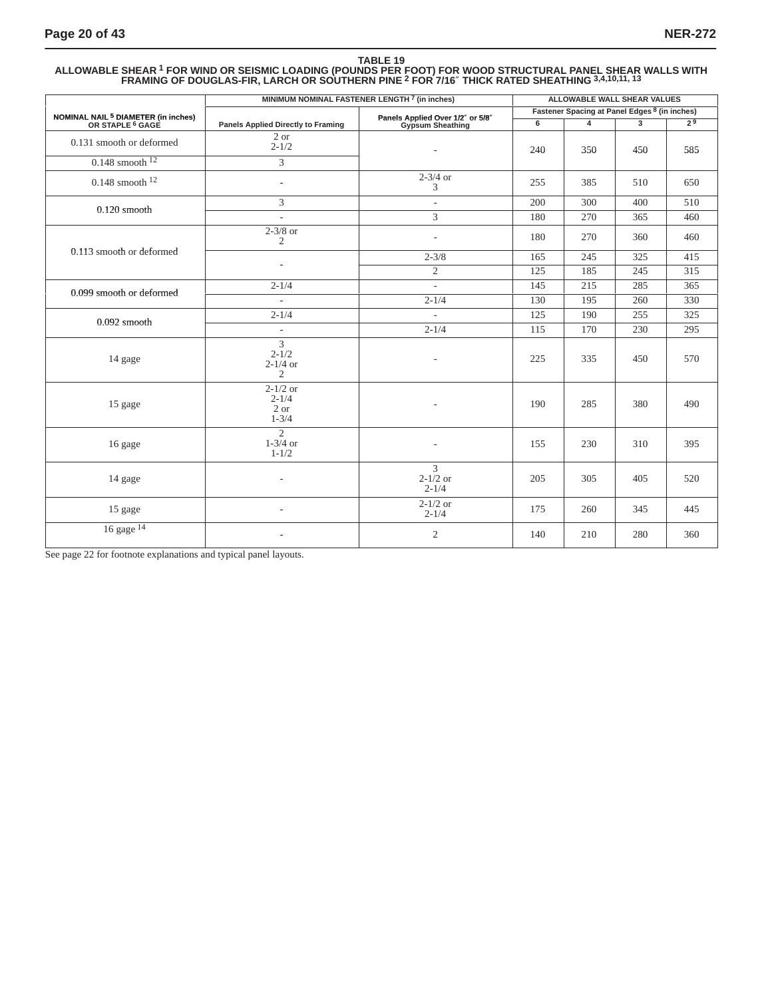### **TABLE 19 ALLOWABLE SHEAR 1 FOR WIND OR SEISMIC LOADING (POUNDS PER FOOT) FOR WOOD STRUCTURAL PANEL SHEAR WALLS WITH FRAMING OF DOUGLAS-FIR, LARCH OR SOUTHERN PINE 2 FOR 7/16**″ **THICK RATED SHEATHING 3,4,10,11, <sup>13</sup>**

|                                                                               | MINIMUM NOMINAL FASTENER LENGTH 7 (in inches)    |                                                      |     | ALLOWABLE WALL SHEAR VALUES                   |     |                  |
|-------------------------------------------------------------------------------|--------------------------------------------------|------------------------------------------------------|-----|-----------------------------------------------|-----|------------------|
|                                                                               |                                                  |                                                      |     | Fastener Spacing at Panel Edges 8 (in inches) |     |                  |
| NOMINAL NAIL <sup>5</sup> DIAMETER (in inches)<br>OR STAPLE <sup>6</sup> GAGE | <b>Panels Applied Directly to Framing</b>        | Panels Applied Over 1/2" or 5/8"<br>Gypsum Sheathing | 6   | $\overline{4}$                                |     | 2 <sup>9</sup>   |
| 0.131 smooth or deformed                                                      | 2 or<br>$2 - 1/2$                                |                                                      | 240 | 350                                           | 450 | 585              |
| $0.148$ smooth $12$                                                           | 3                                                |                                                      |     |                                               |     |                  |
| $0.148$ smooth $12$                                                           | $\overline{a}$                                   | $2 - 3/4$ or<br>3                                    | 255 | 385                                           | 510 | 650              |
| $0.120$ smooth                                                                | 3                                                | $\overline{\phantom{a}}$                             | 200 | 300                                           | 400 | 510              |
|                                                                               | $\overline{\phantom{a}}$                         | 3                                                    | 180 | 270                                           | 365 | 460              |
|                                                                               | $2-3/8$ or<br>$\overline{2}$                     | ٠                                                    | 180 | 270                                           | 360 | 460              |
| 0.113 smooth or deformed                                                      | ÷,                                               | $2 - 3/8$                                            | 165 | 245                                           | 325 | 415              |
|                                                                               |                                                  | $\overline{2}$                                       | 125 | 185                                           | 245 | $\overline{315}$ |
| 0.099 smooth or deformed                                                      | $2 - 1/4$                                        | ä,                                                   | 145 | 215                                           | 285 | 365              |
|                                                                               | $\overline{\phantom{a}}$                         | $2 - 1/4$                                            | 130 | 195                                           | 260 | 330              |
| $0.092$ smooth                                                                | $2 - 1/4$                                        | ÷.                                                   | 125 | 190                                           | 255 | 325              |
|                                                                               | $\overline{\phantom{a}}$                         | $2 - 1/4$                                            | 115 | 170                                           | 230 | 295              |
| 14 gage                                                                       | 3<br>$2 - 1/2$<br>$2 - 1/4$ or<br>$\overline{2}$ |                                                      | 225 | 335                                           | 450 | 570              |
| 15 gage                                                                       | $2 - 1/2$ or<br>$2 - 1/4$<br>2 or<br>$1 - 3/4$   | ÷,                                                   | 190 | 285                                           | 380 | 490              |
| 16 gage                                                                       | $\overline{2}$<br>$1 - 3/4$ or<br>$1 - 1/2$      |                                                      | 155 | 230                                           | 310 | 395              |
| 14 gage                                                                       | ÷,                                               | 3<br>$2 - 1/2$ or<br>$2 - 1/4$                       | 205 | 305                                           | 405 | 520              |
| 15 gage                                                                       | ٠                                                | $2-1/2$ or<br>$2 - 1/4$                              | 175 | 260                                           | 345 | 445              |
| 16 gage <sup>14</sup>                                                         |                                                  | $\overline{c}$                                       | 140 | 210                                           | 280 | 360              |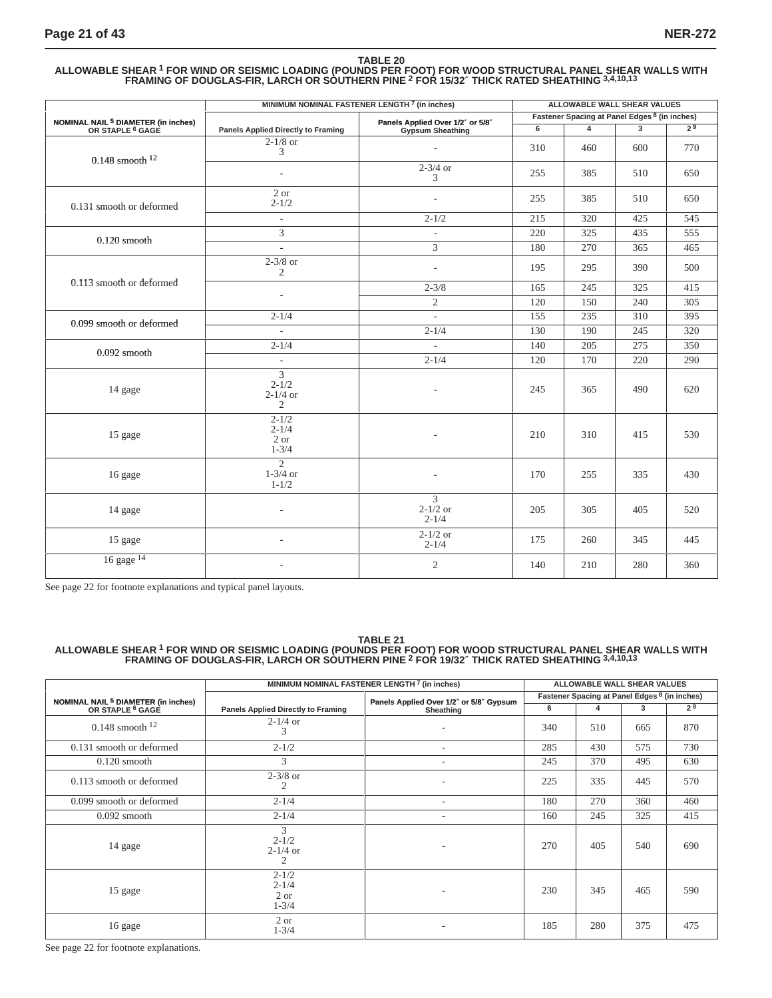#### **TABLE 20 ALLOWABLE SHEAR 1 FOR WIND OR SEISMIC LOADING (POUNDS PER FOOT) FOR WOOD STRUCTURAL PANEL SHEAR WALLS WITH FRAMING OF DOUGLAS-FIR, LARCH OR SOUTHERN PINE 2 FOR 15/32**″ **THICK RATED SHEATHING 3,4,10,13**

|                                                                               | MINIMUM NOMINAL FASTENER LENGTH 7 (in inches)    |                                                      |     | ALLOWABLE WALL SHEAR VALUES                   |     |                |
|-------------------------------------------------------------------------------|--------------------------------------------------|------------------------------------------------------|-----|-----------------------------------------------|-----|----------------|
|                                                                               |                                                  |                                                      |     | Fastener Spacing at Panel Edges 8 (in inches) |     |                |
| NOMINAL NAIL <sup>5</sup> DIAMETER (in inches)<br>OR STAPLE <sup>6</sup> GAGE | <b>Panels Applied Directly to Framing</b>        | Panels Applied Over 1/2" or 5/8"<br>Gypsum Sheathing | 6   | $\overline{\mathbf{4}}$                       | 3   | 2 <sup>9</sup> |
| $0.148$ smooth $12$                                                           | $2-1/8$ or<br>3                                  | $\overline{\phantom{a}}$                             | 310 | 460                                           | 600 | 770            |
|                                                                               | $\overline{\phantom{a}}$                         | $2 - 3/4$ or<br>3                                    | 255 | 385                                           | 510 | 650            |
| 0.131 smooth or deformed                                                      | 2 or<br>$2 - 1/2$                                | $\overline{a}$                                       | 255 | 385                                           | 510 | 650            |
|                                                                               | $\overline{\phantom{a}}$                         | $2 - 1/2$                                            | 215 | 320                                           | 425 | 545            |
| $0.120$ smooth                                                                | 3                                                | $\overline{\phantom{a}}$                             | 220 | 325                                           | 435 | 555            |
|                                                                               | $\mathbb{L}$                                     | $\overline{3}$                                       | 180 | 270                                           | 365 | 465            |
|                                                                               | $2-3/8$ or<br>$\overline{c}$                     | $\overline{a}$                                       | 195 | 295                                           | 390 | 500            |
| 0.113 smooth or deformed                                                      |                                                  | $2 - 3/8$                                            | 165 | 245                                           | 325 | 415            |
|                                                                               |                                                  | 2                                                    | 120 | 150                                           | 240 | 305            |
|                                                                               | $2 - 1/4$                                        | $\overline{\phantom{a}}$                             | 155 | 235                                           | 310 | 395            |
| 0.099 smooth or deformed                                                      | $\overline{a}$                                   | $2 - 1/4$                                            | 130 | 190                                           | 245 | 320            |
|                                                                               | $2 - 1/4$                                        |                                                      | 140 | 205                                           | 275 | 350            |
| $0.092$ smooth                                                                | $\sim$                                           | $2 - 1/4$                                            | 120 | 170                                           | 220 | 290            |
| 14 gage                                                                       | 3<br>$2 - 1/2$<br>$2 - 1/4$ or<br>$\mathfrak{2}$ |                                                      | 245 | 365                                           | 490 | 620            |
| 15 gage                                                                       | $2 - 1/2$<br>$2 - 1/4$<br>2 or<br>$1 - 3/4$      |                                                      | 210 | 310                                           | 415 | 530            |
| 16 gage                                                                       | $\overline{2}$<br>$1-3/4$ or<br>$1 - 1/2$        |                                                      | 170 | 255                                           | 335 | 430            |
| 14 gage                                                                       |                                                  | 3<br>$2 - 1/2$ or<br>$2 - 1/4$                       | 205 | 305                                           | 405 | 520            |
| 15 gage                                                                       |                                                  | $2 - 1/2$ or<br>$2 - 1/4$                            | 175 | 260                                           | 345 | 445            |
| 16 gage $14$                                                                  |                                                  | $\mathbf{2}$                                         | 140 | 210                                           | 280 | 360            |

See page 22 for footnote explanations and typical panel layouts.

### **TABLE 21 ALLOWABLE SHEAR 1 FOR WIND OR SEISMIC LOADING (POUNDS PER FOOT) FOR WOOD STRUCTURAL PANEL SHEAR WALLS WITH FRAMING OF DOUGLAS-FIR, LARCH OR SOUTHERN PINE 2 FOR 19/32**″ **THICK RATED SHEATHING 3,4,10,13**

|                                                         |                                             | MINIMUM NOMINAL FASTENER LENGTH <sup>7</sup> (in inches) |     | ALLOWABLE WALL SHEAR VALUES                   |     |                |
|---------------------------------------------------------|---------------------------------------------|----------------------------------------------------------|-----|-----------------------------------------------|-----|----------------|
|                                                         |                                             | Panels Applied Over 1/2" or 5/8" Gypsum                  |     | Fastener Spacing at Panel Edges 8 (in inches) |     |                |
| NOMINAL NAIL 5 DIAMETER (in inches)<br>OR STAPLE 6 GAGE | Panels Applied Directly to Framing          | Sheathing                                                | 6   | 4                                             | 3   | 2 <sup>9</sup> |
| $0.148$ smooth $12$                                     | $2-1/4$ or<br>3                             | $\overline{\phantom{a}}$                                 | 340 | 510                                           | 665 | 870            |
| 0.131 smooth or deformed                                | $2 - 1/2$                                   | $\sim$                                                   | 285 | 430                                           | 575 | 730            |
| $0.120$ smooth                                          | 3                                           | $\qquad \qquad \blacksquare$                             | 245 | 370                                           | 495 | 630            |
| 0.113 smooth or deformed                                | $2-3/8$ or<br>$\overline{2}$                |                                                          | 225 | 335                                           | 445 | 570            |
| 0.099 smooth or deformed                                | $2 - 1/4$                                   | $\overline{\phantom{a}}$                                 | 180 | 270                                           | 360 | 460            |
| $0.092$ smooth                                          | $2 - 1/4$                                   | $\overline{\phantom{a}}$                                 | 160 | 245                                           | 325 | 415            |
| 14 gage                                                 | 3<br>$2 - 1/2$<br>$2-1/4$ or<br>2           | $\overline{\phantom{a}}$                                 | 270 | 405                                           | 540 | 690            |
| 15 gage                                                 | $2 - 1/2$<br>$2 - 1/4$<br>2 or<br>$1 - 3/4$ | $\overline{\phantom{a}}$                                 | 230 | 345                                           | 465 | 590            |
| 16 gage                                                 | 2 or<br>$1 - 3/4$                           |                                                          | 185 | 280                                           | 375 | 475            |

See page 22 for footnote explanations.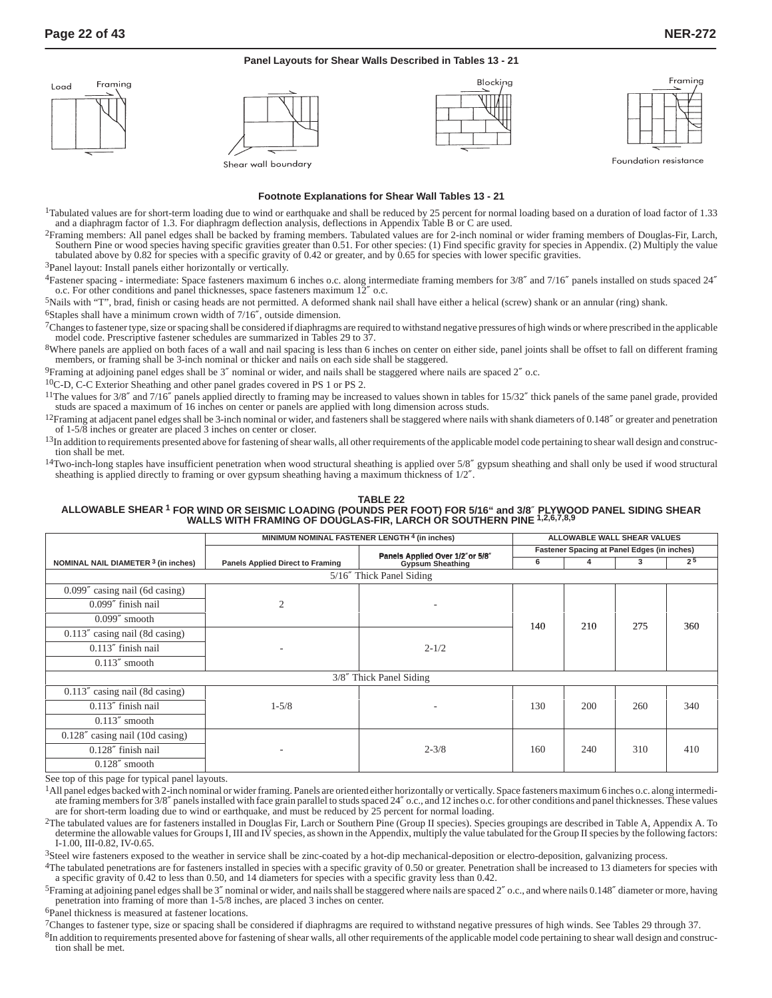#### **Panel Layouts for Shear Walls Described in Tables 13 - 21**



#### **Footnote Explanations for Shear Wall Tables 13 - 21**

<sup>1</sup>Tabulated values are for short-term loading due to wind or earthquake and shall be reduced by 25 percent for normal loading based on a duration of load factor of 1.33 and a diaphragm factor of 1.3. For diaphragm deflection analysis, deflections in Appendix Table B or C are used.

2Framing members: All panel edges shall be backed by framing members. Tabulated values are for 2-inch nominal or wider framing members of Douglas-Fir, Larch, Southern Pine or wood species having specific gravities greater than 0.51. For other species: (1) Find specific gravity for species in Appendix. (2) Multiply the value tabulated above by 0.82 for species with a specific gravity of 0.42 or greater, and by 0.65 for species with lower specific gravities.

3Panel layout: Install panels either horizontally or vertically.

4Fastener spacing - intermediate: Space fasteners maximum 6 inches o.c. along intermediate framing members for 3/8″ and 7/16″ panels installed on studs spaced 24″ o.c. For other conditions and panel thicknesses, space fasteners maximum 12″ o.c.

5Nails with "T", brad, finish or casing heads are not permitted. A deformed shank nail shall have either a helical (screw) shank or an annular (ring) shank. 6Staples shall have a minimum crown width of 7/16″, outside dimension.

7Changes to fastener type, size or spacing shall be considered if diaphragms are required to withstand negative pressures of high winds or where prescribed in the applicable model code. Prescriptive fastener schedules are summarized in Tables 29 to 37.

<sup>8</sup>Where panels are applied on both faces of a wall and nail spacing is less than 6 inches on center on either side, panel joints shall be offset to fall on different framing members, or framing shall be 3-inch nominal or thicker and nails on each side shall be staggered.

 $9$ Framing at adjoining panel edges shall be 3" nominal or wider, and nails shall be staggered where nails are spaced  $2"$  o.c.

10C-D, C-C Exterior Sheathing and other panel grades covered in PS 1 or PS 2.

<sup>11</sup>The values for 3/8" and 7/16" panels applied directly to framing may be increased to values shown in tables for 15/32" thick panels of the same panel grade, provided studs are spaced a maximum of 16 inches on center or panels are applied with long dimension across studs.

 $12$ Framing at adjacent panel edges shall be 3-inch nominal or wider, and fasteners shall be staggered where nails with shank diameters of 0.148" or greater and penetration of 1-5/8 inches or greater are placed 3 inches on center or closer.

<sup>13</sup>In addition to requirements presented above for fastening of shear walls, all other requirements of the applicable model code pertaining to shear wall design and construction shall be met.

 $14$ Two-inch-long staples have insufficient penetration when wood structural sheathing is applied over  $5/8''$  gypsum sheathing and shall only be used if wood structural sheathing is applied directly to framing or over gypsum sheathing having a maximum thickness of 1/2″.

### **TABLE 22 ALLOWABLE SHEAR 1 FOR WIND OR SEISMIC LOADING (POUNDS PER FOOT) FOR 5/16" and 3/8**″ **PLYWOOD PANEL SIDING SHEAR WALLS WITH FRAMING OF DOUGLAS-FIR, LARCH OR SOUTHERN PINE 1,2,6,7,8,9**

|                                     | MINIMUM NOMINAL FASTENER LENGTH <sup>4</sup> (in inches) | ALLOWABLE WALL SHEAR VALUES                         |     |     |     |                |
|-------------------------------------|----------------------------------------------------------|-----------------------------------------------------|-----|-----|-----|----------------|
|                                     |                                                          | Fastener Spacing at Panel Edges (in inches)         |     |     |     |                |
| NOMINAL NAIL DIAMETER 3 (in inches) | <b>Panels Applied Direct to Framing</b>                  | Panels Applied Over 1/2"or 5/8"<br>Gypsum Sheathing |     | 4   | 3   | 2 <sup>5</sup> |
|                                     |                                                          |                                                     |     |     |     |                |
| $0.099''$ casing nail (6d casing)   |                                                          |                                                     |     |     |     |                |
| $0.099''$ finish nail               | 2                                                        |                                                     |     | 210 | 275 |                |
| $0.099''$ smooth                    |                                                          |                                                     | 140 |     |     | 360            |
| $0.113''$ casing nail (8d casing)   |                                                          |                                                     |     |     |     |                |
| $0.113''$ finish nail               | ۰                                                        | $2 - 1/2$                                           |     |     |     |                |
| $0.113''$ smooth                    |                                                          |                                                     |     |     |     |                |
|                                     |                                                          | 3/8" Thick Panel Siding                             |     |     |     |                |
| $0.113''$ casing nail (8d casing)   |                                                          |                                                     |     |     |     |                |
| $0.113''$ finish nail               | $1 - 5/8$                                                |                                                     | 130 | 200 | 260 | 340            |
| $0.113''$ smooth                    |                                                          |                                                     |     |     |     |                |
| $0.128''$ casing nail (10d casing)  |                                                          |                                                     |     |     |     |                |
| $0.128''$ finish nail               | $\overline{\phantom{a}}$                                 | $2 - 3/8$                                           | 160 | 240 | 310 | 410            |
| $0.128''$ smooth                    |                                                          |                                                     |     |     |     |                |

See top of this page for typical panel layouts.

<sup>1</sup>All panel edges backed with 2-inch nominal or wider framing. Panels are oriented either horizontally or vertically. Space fasteners maximum 6 inches o.c. along intermediate framing members for 3/8" panels installed with face grain parallel to studs spaced 24" o.c., and 12 inches o.c. for other conditions and panel thicknesses. These values are for short-term loading due to wind or earthquake, and must be reduced by 25 percent for normal loading.

2The tabulated values are for fasteners installed in Douglas Fir, Larch or Southern Pine (Group II species). Species groupings are described in Table A, Appendix A. To determine the allowable values for Groups I, III and IV species, as shown in the Appendix, multiply the value tabulated for the Group II species by the following factors: I-1.00, III-0.82, IV-0.65.

<sup>3</sup>Steel wire fasteners exposed to the weather in service shall be zinc-coated by a hot-dip mechanical-deposition or electro-deposition, galvanizing process.

4The tabulated penetrations are for fasteners installed in species with a specific gravity of 0.50 or greater. Penetration shall be increased to 13 diameters for species with a specific gravity of 0.42 to less than 0.50, and 14 diameters for species with a specific gravity less than 0.42.

5Framing at adjoining panel edges shall be 3″ nominal or wider, and nails shall be staggered where nails are spaced 2″ o.c., and where nails 0.148″ diameter or more, having penetration into framing of more than 1-5/8 inches, are placed 3 inches on center.

6Panel thickness is measured at fastener locations.

7Changes to fastener type, size or spacing shall be considered if diaphragms are required to withstand negative pressures of high winds. See Tables 29 through 37.

 ${}^{8}$ In addition to requirements presented above for fastening of shear walls, all other requirements of the applicable model code pertaining to shear wall design and construction shall be met.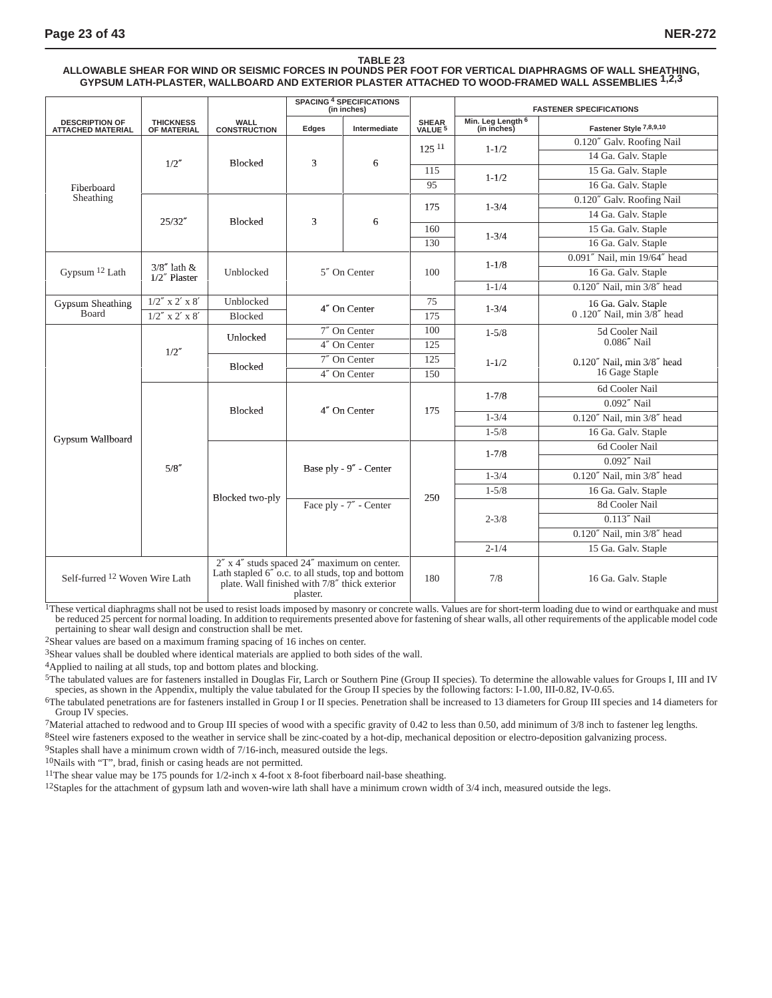### **TABLE 23 ALLOWABLE SHEAR FOR WIND OR SEISMIC FORCES IN POUNDS PER FOOT FOR VERTICAL DIAPHRAGMS OF WALL SHEATHING, GYPSUM LATH-PLASTER, WALLBOARD AND EXTERIOR PLASTER ATTACHED TO WOOD-FRAMED WALL ASSEMBLIES 1,2,3**

|                                                   |                                   |                                    | <b>SPACING 4 SPECIFICATIONS</b><br>(in inches)                                                                                                                            |                        |                             |                                  |                                             | <b>FASTENER SPECIFICATIONS</b> |  |  |  |  |  |  |  |  |     |     |                     |
|---------------------------------------------------|-----------------------------------|------------------------------------|---------------------------------------------------------------------------------------------------------------------------------------------------------------------------|------------------------|-----------------------------|----------------------------------|---------------------------------------------|--------------------------------|--|--|--|--|--|--|--|--|-----|-----|---------------------|
| <b>DESCRIPTION OF</b><br><b>ATTACHED MATERIAL</b> | <b>THICKNESS</b><br>OF MATERIAL   | <b>WALL</b><br><b>CONSTRUCTION</b> | Edges                                                                                                                                                                     | Intermediate           | SHEAR<br>VALUE <sup>5</sup> | Min. Leg Length 6<br>(in inches) | Fastener Style 7,8,9,10                     |                                |  |  |  |  |  |  |  |  |     |     |                     |
|                                                   |                                   |                                    |                                                                                                                                                                           |                        | $125^{11}$                  | $1 - 1/2$                        | 0.120" Galv. Roofing Nail                   |                                |  |  |  |  |  |  |  |  |     |     |                     |
|                                                   | 1/2''                             | <b>Blocked</b>                     | 3                                                                                                                                                                         | 6                      |                             |                                  | 14 Ga. Galv. Staple                         |                                |  |  |  |  |  |  |  |  |     |     |                     |
|                                                   |                                   |                                    |                                                                                                                                                                           |                        | 115                         | $1 - 1/2$                        | 15 Ga. Galv. Staple                         |                                |  |  |  |  |  |  |  |  |     |     |                     |
| Fiberboard                                        |                                   |                                    |                                                                                                                                                                           |                        | 95                          |                                  | 16 Ga. Galv. Staple                         |                                |  |  |  |  |  |  |  |  |     |     |                     |
| Sheathing                                         |                                   |                                    |                                                                                                                                                                           |                        | 175                         | $1 - 3/4$                        | 0.120" Galv. Roofing Nail                   |                                |  |  |  |  |  |  |  |  |     |     |                     |
|                                                   | 25/32''                           | <b>Blocked</b>                     | 3                                                                                                                                                                         | 6                      |                             |                                  | 14 Ga. Galv. Staple                         |                                |  |  |  |  |  |  |  |  |     |     |                     |
|                                                   |                                   |                                    |                                                                                                                                                                           |                        | 160                         | $1 - 3/4$                        | 15 Ga. Galv. Staple                         |                                |  |  |  |  |  |  |  |  |     |     |                     |
|                                                   |                                   |                                    |                                                                                                                                                                           |                        | 130                         |                                  | 16 Ga. Galv. Staple                         |                                |  |  |  |  |  |  |  |  |     |     |                     |
|                                                   |                                   |                                    |                                                                                                                                                                           |                        |                             | $1 - 1/8$                        | 0.091" Nail, min 19/64" head                |                                |  |  |  |  |  |  |  |  |     |     |                     |
| Gypsum $12$ Lath                                  | $3/8''$ lath &<br>$1/2$ " Plaster | Unblocked                          |                                                                                                                                                                           | 5" On Center           | 100                         |                                  | 16 Ga. Galv. Staple                         |                                |  |  |  |  |  |  |  |  |     |     |                     |
|                                                   |                                   |                                    |                                                                                                                                                                           |                        |                             | $1 - 1/4$                        | $0.120''$ Nail, min $3/8''$ head            |                                |  |  |  |  |  |  |  |  |     |     |                     |
| <b>Gypsum Sheathing</b>                           | $1/2'' \ge 2' \ge 8'$             | Unblocked                          | 4" On Center                                                                                                                                                              |                        | $\overline{75}$             | $1 - 3/4$                        | 16 Ga. Galv. Staple                         |                                |  |  |  |  |  |  |  |  |     |     |                     |
| Board                                             | $1/2''$ x 2' x 8'                 | Blocked                            |                                                                                                                                                                           |                        | 175                         |                                  | $0.120''$ Nail, min $3/\overline{8}''$ head |                                |  |  |  |  |  |  |  |  |     |     |                     |
|                                                   | 1/2''                             | Unlocked<br><b>Blocked</b>         | 7" On Center<br>4" On Center<br>$7''$ On Center<br>$4''$ On Center                                                                                                        |                        | 100                         | $1 - 5/8$                        | 5d Cooler Nail                              |                                |  |  |  |  |  |  |  |  |     |     |                     |
|                                                   |                                   |                                    |                                                                                                                                                                           |                        | 125                         |                                  | $0.086''$ Nail                              |                                |  |  |  |  |  |  |  |  |     |     |                     |
|                                                   |                                   |                                    |                                                                                                                                                                           |                        | 125                         | $1 - 1/2$                        | 0.120" Nail, min 3/8" head                  |                                |  |  |  |  |  |  |  |  |     |     |                     |
|                                                   |                                   |                                    |                                                                                                                                                                           |                        | 150                         |                                  | 16 Gage Staple                              |                                |  |  |  |  |  |  |  |  |     |     |                     |
|                                                   |                                   |                                    |                                                                                                                                                                           |                        |                             | $1 - 7/8$                        | 6d Cooler Nail                              |                                |  |  |  |  |  |  |  |  |     |     |                     |
|                                                   |                                   | Blocked                            |                                                                                                                                                                           | 4" On Center           | 175                         |                                  | 0.092" Nail                                 |                                |  |  |  |  |  |  |  |  |     |     |                     |
|                                                   |                                   |                                    |                                                                                                                                                                           |                        |                             | $1 - 3/4$                        | $0.120''$ Nail, min $3/8''$ head            |                                |  |  |  |  |  |  |  |  |     |     |                     |
| Gypsum Wallboard                                  |                                   |                                    |                                                                                                                                                                           |                        |                             | $1 - 5/8$                        | 16 Ga. Galv. Staple                         |                                |  |  |  |  |  |  |  |  |     |     |                     |
|                                                   |                                   |                                    |                                                                                                                                                                           |                        |                             | $1 - 7/8$                        | 6d Cooler Nail                              |                                |  |  |  |  |  |  |  |  |     |     |                     |
|                                                   | 5/8''                             |                                    |                                                                                                                                                                           | Base ply - 9" - Center |                             |                                  | 0.092" Nail                                 |                                |  |  |  |  |  |  |  |  |     |     |                     |
|                                                   |                                   |                                    |                                                                                                                                                                           |                        |                             | $1 - 3/4$                        | $0.120''$ Nail, min $3/8''$ head            |                                |  |  |  |  |  |  |  |  |     |     |                     |
|                                                   |                                   | Blocked two-ply                    |                                                                                                                                                                           |                        | 250                         | $1 - 5/8$                        | 16 Ga. Galv. Staple                         |                                |  |  |  |  |  |  |  |  |     |     |                     |
|                                                   |                                   |                                    |                                                                                                                                                                           | Face ply - 7" - Center |                             |                                  | 8d Cooler Nail                              |                                |  |  |  |  |  |  |  |  |     |     |                     |
|                                                   |                                   |                                    |                                                                                                                                                                           |                        |                             | $2 - 3/8$                        | $0.113''$ Nail                              |                                |  |  |  |  |  |  |  |  |     |     |                     |
|                                                   |                                   |                                    |                                                                                                                                                                           |                        |                             |                                  | $0.120''$ Nail, min $3/8''$ head            |                                |  |  |  |  |  |  |  |  |     |     |                     |
|                                                   |                                   |                                    |                                                                                                                                                                           |                        |                             | $2 - 1/4$                        | 15 Ga. Galv. Staple                         |                                |  |  |  |  |  |  |  |  |     |     |                     |
| Self-furred <sup>12</sup> Woven Wire Lath         |                                   |                                    | $2''$ x 4" studs spaced $24''$ maximum on center.<br>Lath stapled $6''$ o.c. to all studs, top and bottom<br>plate. Wall finished with $7/8''$ thick exterior<br>plaster. |                        |                             |                                  |                                             |                                |  |  |  |  |  |  |  |  | 180 | 7/8 | 16 Ga. Galv. Staple |

<sup>1</sup>These vertical diaphragms shall not be used to resist loads imposed by masonry or concrete walls. Values are for short-term loading due to wind or earthquake and must be reduced 25 percent for normal loading. In addition to requirements presented above for fastening of shear walls, all other requirements of the applicable model code pertaining to shear wall design and construction shall be met.

2Shear values are based on a maximum framing spacing of 16 inches on center.

3Shear values shall be doubled where identical materials are applied to both sides of the wall.

4Applied to nailing at all studs, top and bottom plates and blocking.

<sup>5</sup>The tabulated values are for fasteners installed in Douglas Fir, Larch or Southern Pine (Group II species). To determine the allowable values for Groups I, III and IV species, as shown in the Appendix, multiply the valu

6The tabulated penetrations are for fasteners installed in Group I or II species. Penetration shall be increased to 13 diameters for Group III species and 14 diameters for Group IV species.

7Material attached to redwood and to Group III species of wood with a specific gravity of 0.42 to less than 0.50, add minimum of 3/8 inch to fastener leg lengths. <sup>8</sup>Steel wire fasteners exposed to the weather in service shall be zinc-coated by a hot-dip, mechanical deposition or electro-deposition galvanizing process.

 $9$ Staples shall have a minimum crown width of  $7/16$ -inch, measured outside the legs.

10Nails with "T", brad, finish or casing heads are not permitted.

11The shear value may be 175 pounds for 1/2-inch x 4-foot x 8-foot fiberboard nail-base sheathing.

 $12$ Staples for the attachment of gypsum lath and woven-wire lath shall have a minimum crown width of  $3/4$  inch, measured outside the legs.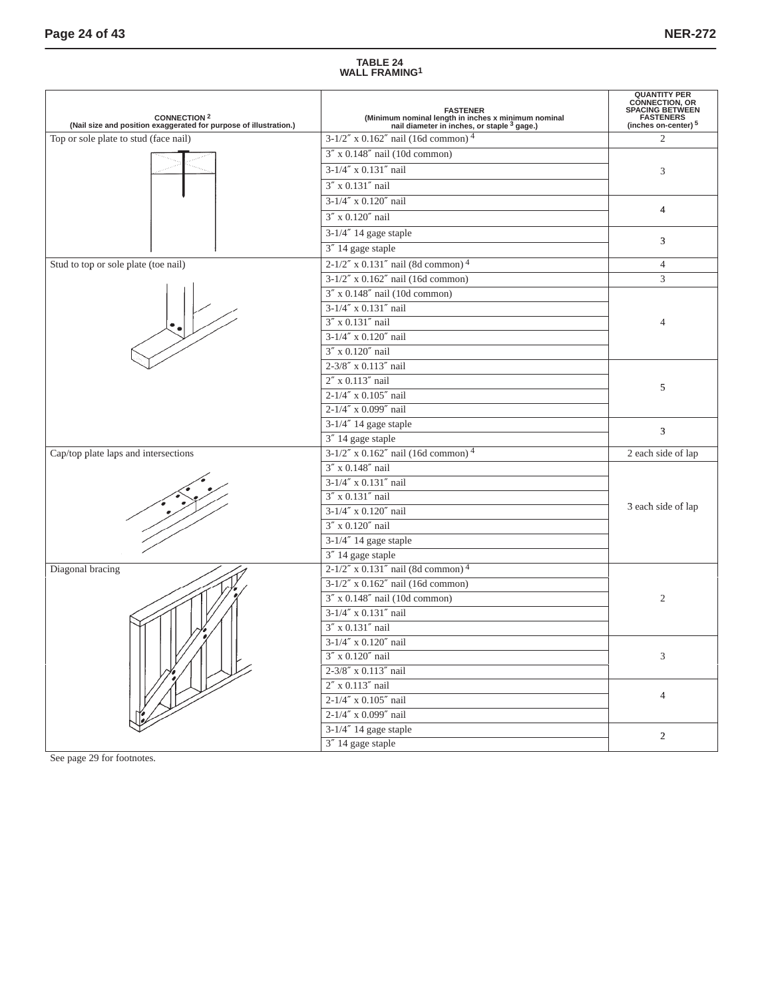# **TABLE 24 WALL FRAMING1**

| <b>CONNECTION 2</b><br>(Nail size and position exaggerated for purpose of illustration.) | <b>FASTENER</b><br>(Minimum nominal length in inches x minimum nominal<br>nail diameter in inches, or staple <sup>3</sup> gage.) | <b>QUANTITY PER</b><br><b>CONNECTION, OR</b><br>SPACING BETWEEN<br>FASTENERS<br>(inches on-center) 5 |
|------------------------------------------------------------------------------------------|----------------------------------------------------------------------------------------------------------------------------------|------------------------------------------------------------------------------------------------------|
| Top or sole plate to stud (face nail)                                                    | $3-1/2''$ x 0.162" nail (16d common) <sup>4</sup>                                                                                | 2                                                                                                    |
|                                                                                          | $3''$ x 0.148" nail (10d common)                                                                                                 |                                                                                                      |
|                                                                                          | 3-1/4" x 0.131" nail                                                                                                             | 3                                                                                                    |
|                                                                                          | 3" x 0.131" nail                                                                                                                 |                                                                                                      |
|                                                                                          | 3-1/4" x 0.120" nail                                                                                                             |                                                                                                      |
|                                                                                          | 3" x 0.120" nail                                                                                                                 | $\overline{4}$                                                                                       |
|                                                                                          | 3-1/4" 14 gage staple                                                                                                            |                                                                                                      |
|                                                                                          | 3" 14 gage staple                                                                                                                | 3                                                                                                    |
| Stud to top or sole plate (toe nail)                                                     | $2-1/2''$ x 0.131" nail (8d common) <sup>4</sup>                                                                                 | $\overline{4}$                                                                                       |
|                                                                                          | $3-1/2''$ x $0.162''$ nail (16d common)                                                                                          | 3                                                                                                    |
|                                                                                          | $3''$ x 0.148" nail (10d common)                                                                                                 |                                                                                                      |
|                                                                                          | $3-1/4''$ x $0.131''$ nail                                                                                                       |                                                                                                      |
|                                                                                          | 3" x 0.131" nail                                                                                                                 | $\overline{A}$                                                                                       |
|                                                                                          | $3-1/4''$ x 0.120" nail                                                                                                          |                                                                                                      |
|                                                                                          | 3" x 0.120" nail                                                                                                                 |                                                                                                      |
|                                                                                          | 2-3/8" x 0.113" nail                                                                                                             |                                                                                                      |
|                                                                                          | 2" x 0.113" nail                                                                                                                 |                                                                                                      |
|                                                                                          | 2-1/4" x 0.105" nail                                                                                                             | 5                                                                                                    |
|                                                                                          | 2-1/4" x 0.099" nail                                                                                                             |                                                                                                      |
|                                                                                          | 3-1/4" 14 gage staple                                                                                                            | 3                                                                                                    |
|                                                                                          | 3" 14 gage staple                                                                                                                |                                                                                                      |
| Cap/top plate laps and intersections                                                     | $3-1/2''$ x 0.162" nail (16d common) <sup>4</sup>                                                                                | 2 each side of lap                                                                                   |
|                                                                                          | 3" x 0.148" nail                                                                                                                 |                                                                                                      |
|                                                                                          | 3-1/4" x 0.131" nail                                                                                                             |                                                                                                      |
|                                                                                          | 3" x 0.131" nail                                                                                                                 |                                                                                                      |
|                                                                                          | 3-1/4" x 0.120" nail                                                                                                             | 3 each side of lap                                                                                   |
|                                                                                          | 3" x 0.120" nail                                                                                                                 |                                                                                                      |
|                                                                                          | 3-1/4" 14 gage staple                                                                                                            |                                                                                                      |
|                                                                                          | 3" 14 gage staple                                                                                                                |                                                                                                      |
| Diagonal bracing                                                                         | $2-1/2''$ x 0.131" nail (8d common) <sup>4</sup>                                                                                 |                                                                                                      |
|                                                                                          | $3-1/2''$ x $0.162''$ nail (16d common)                                                                                          |                                                                                                      |
|                                                                                          | $3''$ x 0.148" nail (10d common)                                                                                                 | 2                                                                                                    |
|                                                                                          | 3-1/4" x 0.131" nail                                                                                                             |                                                                                                      |
|                                                                                          | 3" x 0.131" nail                                                                                                                 |                                                                                                      |
|                                                                                          | 3-1/4" x 0.120" nail                                                                                                             |                                                                                                      |
|                                                                                          | $3''$ x $0.120''$ nail                                                                                                           | 3                                                                                                    |
|                                                                                          | 2-3/8" x 0.113" nail                                                                                                             |                                                                                                      |
|                                                                                          | $2''$ x 0.113" nail                                                                                                              | $\overline{4}$                                                                                       |
|                                                                                          | 2-1/4" x 0.105" nail                                                                                                             |                                                                                                      |
|                                                                                          | 2-1/4" x 0.099" nail                                                                                                             |                                                                                                      |
|                                                                                          | 3-1/4" 14 gage staple                                                                                                            | $\overline{2}$                                                                                       |
|                                                                                          | 3" 14 gage staple                                                                                                                |                                                                                                      |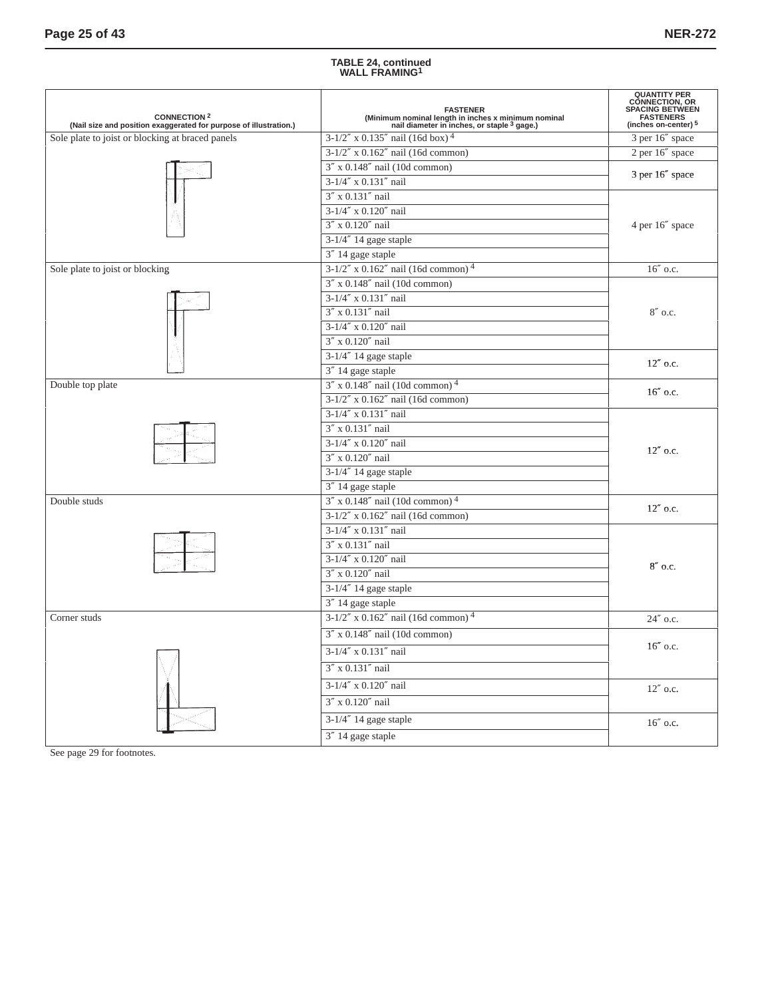## **TABLE 24, continued WALL FRAMING1**

| <b>CONNECTION 2</b><br>(Nail size and position exaggerated for purpose of illustration.) | <b>FASTENER</b><br>(Minimum nominal length in inches x minimum nominal<br>nail diameter in inches, or staple <sup>3</sup> gage.) | <b>QUANTITY PER</b><br><b>CONNECTION, OR</b><br><b>SPACING BETWEEN</b><br><b>FASTENERS</b><br>(inches on-center) <sup>5</sup> |  |  |
|------------------------------------------------------------------------------------------|----------------------------------------------------------------------------------------------------------------------------------|-------------------------------------------------------------------------------------------------------------------------------|--|--|
| Sole plate to joist or blocking at braced panels                                         | $3-1/2''$ x 0.135" nail (16d box) <sup>4</sup>                                                                                   | 3 per 16" space                                                                                                               |  |  |
|                                                                                          | $3-1/2''$ x $0.162''$ nail (16d common)                                                                                          | 2 per 16" space                                                                                                               |  |  |
|                                                                                          | $3''$ x 0.148" nail (10d common)                                                                                                 | 3 per 16" space                                                                                                               |  |  |
|                                                                                          | 3-1/4" x 0.131" nail                                                                                                             |                                                                                                                               |  |  |
|                                                                                          | 3" x 0.131" nail                                                                                                                 |                                                                                                                               |  |  |
|                                                                                          | $3-1/4''$ x $0.120''$ nail                                                                                                       |                                                                                                                               |  |  |
|                                                                                          | 3" x 0.120" nail                                                                                                                 | 4 per 16" space                                                                                                               |  |  |
|                                                                                          | $3-1/4''$ 14 gage staple                                                                                                         |                                                                                                                               |  |  |
|                                                                                          | 3" 14 gage staple                                                                                                                |                                                                                                                               |  |  |
| Sole plate to joist or blocking                                                          | $3-1/2''$ x 0.162" nail (16d common) <sup>4</sup>                                                                                | 16" o.c.                                                                                                                      |  |  |
|                                                                                          | 3" x 0.148" nail (10d common)                                                                                                    |                                                                                                                               |  |  |
|                                                                                          | 3-1/4" x 0.131" nail                                                                                                             |                                                                                                                               |  |  |
|                                                                                          | 3" x 0.131" nail                                                                                                                 | $8''$ o.c.                                                                                                                    |  |  |
|                                                                                          | 3-1/4" x 0.120" nail                                                                                                             |                                                                                                                               |  |  |
|                                                                                          | 3" x 0.120" nail                                                                                                                 |                                                                                                                               |  |  |
|                                                                                          | 3-1/4" 14 gage staple                                                                                                            | $12''$ o.c.                                                                                                                   |  |  |
|                                                                                          | 3" 14 gage staple                                                                                                                |                                                                                                                               |  |  |
| Double top plate                                                                         | $3''$ x 0.148" nail (10d common) <sup>4</sup>                                                                                    | $16''$ o.c.                                                                                                                   |  |  |
|                                                                                          | $3-1/2''$ x $0.162''$ nail (16d common)                                                                                          |                                                                                                                               |  |  |
|                                                                                          | 3-1/4" x 0.131" nail                                                                                                             |                                                                                                                               |  |  |
|                                                                                          | 3" x 0.131" nail                                                                                                                 |                                                                                                                               |  |  |
|                                                                                          | $3-1/4''$ x $0.120''$ nail                                                                                                       | $12''$ o.c.                                                                                                                   |  |  |
|                                                                                          | 3" x 0.120" nail                                                                                                                 |                                                                                                                               |  |  |
|                                                                                          | 3-1/4" 14 gage staple                                                                                                            |                                                                                                                               |  |  |
|                                                                                          | 3" 14 gage staple                                                                                                                |                                                                                                                               |  |  |
| Double studs                                                                             | $3''$ x 0.148" nail (10d common) <sup>4</sup>                                                                                    | $12''$ o.c.                                                                                                                   |  |  |
|                                                                                          | $3-1/2''$ x $0.162''$ nail (16d common)                                                                                          |                                                                                                                               |  |  |
|                                                                                          | 3-1/4" x 0.131" nail                                                                                                             |                                                                                                                               |  |  |
|                                                                                          | 3" x 0.131" nail                                                                                                                 |                                                                                                                               |  |  |
|                                                                                          | 3-1/4" x 0.120" nail                                                                                                             | $8''$ o.c.                                                                                                                    |  |  |
|                                                                                          | 3" x 0.120" nail                                                                                                                 |                                                                                                                               |  |  |
|                                                                                          | 3-1/4" 14 gage staple                                                                                                            |                                                                                                                               |  |  |
|                                                                                          | 3" 14 gage staple                                                                                                                |                                                                                                                               |  |  |
| Corner studs                                                                             | $3-1/2''$ x 0.162" nail (16d common) <sup>4</sup>                                                                                | 24" o.c.                                                                                                                      |  |  |
|                                                                                          | $3''$ x 0.148" nail (10d common)                                                                                                 |                                                                                                                               |  |  |
|                                                                                          | 3-1/4" x 0.131" nail                                                                                                             | $16''$ o.c.                                                                                                                   |  |  |
|                                                                                          | 3" x 0.131" nail                                                                                                                 |                                                                                                                               |  |  |
|                                                                                          | $3-1/4''$ x $0.120''$ nail                                                                                                       | $12''$ o.c.                                                                                                                   |  |  |
|                                                                                          | 3" x 0.120" nail                                                                                                                 |                                                                                                                               |  |  |
|                                                                                          | 3-1/4" 14 gage staple                                                                                                            | 16" o.c.                                                                                                                      |  |  |
|                                                                                          | 3" 14 gage staple                                                                                                                |                                                                                                                               |  |  |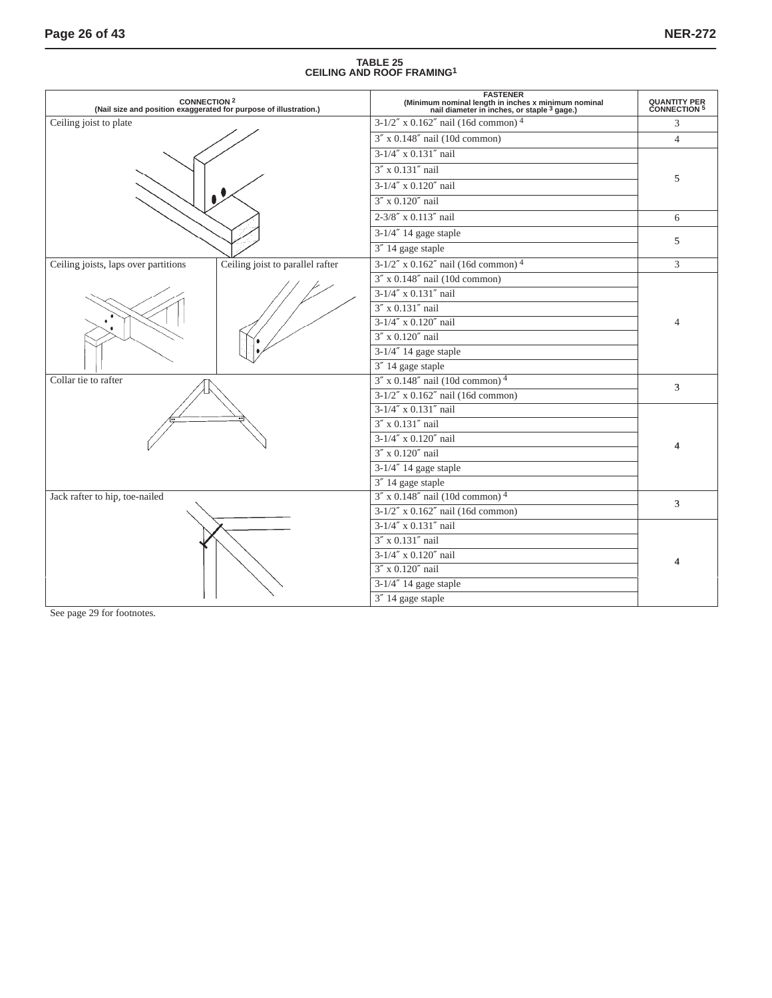# **TABLE 25 CEILING AND ROOF FRAMING1**

|                                      | <b>CONNECTION 2</b><br>(Nail size and position exaggerated for purpose of illustration.) | <b>FASTENER</b><br>(Minimum nominal length in inches x minimum nominal<br>nail diameter in inches, or staple <sup>3</sup> gage.) | <b>QUANTITY PER CONNECTION 5</b> |  |
|--------------------------------------|------------------------------------------------------------------------------------------|----------------------------------------------------------------------------------------------------------------------------------|----------------------------------|--|
| Ceiling joist to plate               |                                                                                          | $3-1/2''$ x 0.162" nail (16d common) <sup>4</sup>                                                                                | 3                                |  |
|                                      |                                                                                          | $3''$ x 0.148" nail (10d common)                                                                                                 | $\overline{4}$                   |  |
|                                      |                                                                                          | 3-1/4" x 0.131" nail                                                                                                             |                                  |  |
|                                      |                                                                                          | 3" x 0.131" nail                                                                                                                 |                                  |  |
|                                      |                                                                                          | 3-1/4" x 0.120" nail                                                                                                             | 5                                |  |
|                                      |                                                                                          | 3" x 0.120" nail                                                                                                                 |                                  |  |
|                                      |                                                                                          | 2-3/8" x 0.113" nail                                                                                                             | 6                                |  |
|                                      |                                                                                          | $3-1/4''$ 14 gage staple                                                                                                         |                                  |  |
|                                      |                                                                                          | 3" 14 gage staple                                                                                                                | 5                                |  |
| Ceiling joists, laps over partitions | Ceiling joist to parallel rafter                                                         | $3-1/2''$ x 0.162" nail (16d common) <sup>4</sup>                                                                                | $\overline{3}$                   |  |
|                                      |                                                                                          | $3''$ x 0.148" nail (10d common)                                                                                                 |                                  |  |
|                                      |                                                                                          | 3-1/4" x 0.131" nail                                                                                                             |                                  |  |
|                                      |                                                                                          | 3" x 0.131" nail                                                                                                                 |                                  |  |
|                                      |                                                                                          | 3-1/4" x 0.120" nail                                                                                                             |                                  |  |
|                                      |                                                                                          | 3" x 0.120" nail                                                                                                                 |                                  |  |
|                                      |                                                                                          | $3-1/4''$ 14 gage staple                                                                                                         |                                  |  |
|                                      |                                                                                          | 3" 14 gage staple                                                                                                                |                                  |  |
| Collar tie to rafter                 |                                                                                          | $3''$ x 0.148" nail (10d common) <sup>4</sup>                                                                                    | 3                                |  |
|                                      |                                                                                          | $3-1/2''$ x 0.162" nail (16d common)                                                                                             |                                  |  |
|                                      |                                                                                          | 3-1/4" x 0.131" nail                                                                                                             |                                  |  |
|                                      |                                                                                          | 3" x 0.131" nail                                                                                                                 |                                  |  |
|                                      |                                                                                          | $3-1/4''$ x $0.120''$ nail                                                                                                       |                                  |  |
|                                      |                                                                                          | 3" x 0.120" nail                                                                                                                 |                                  |  |
|                                      |                                                                                          | 3-1/4" 14 gage staple                                                                                                            |                                  |  |
|                                      |                                                                                          | 3" 14 gage staple                                                                                                                |                                  |  |
| Jack rafter to hip, toe-nailed       |                                                                                          | $3''$ x 0.148" nail (10d common) <sup>4</sup>                                                                                    | 3                                |  |
|                                      |                                                                                          | $3-1/2''$ x $0.162''$ nail (16d common)                                                                                          |                                  |  |
|                                      |                                                                                          | $3-1/\sqrt{4'' \times 0.131''}$ nail                                                                                             |                                  |  |
|                                      |                                                                                          | 3" x 0.131" nail                                                                                                                 |                                  |  |
|                                      |                                                                                          | $3-1/4''$ x $0.120''$ nail                                                                                                       |                                  |  |
|                                      |                                                                                          | 3" x 0.120" nail                                                                                                                 |                                  |  |
|                                      |                                                                                          | 3-1/4" 14 gage staple                                                                                                            |                                  |  |
|                                      |                                                                                          | 3" 14 gage staple                                                                                                                |                                  |  |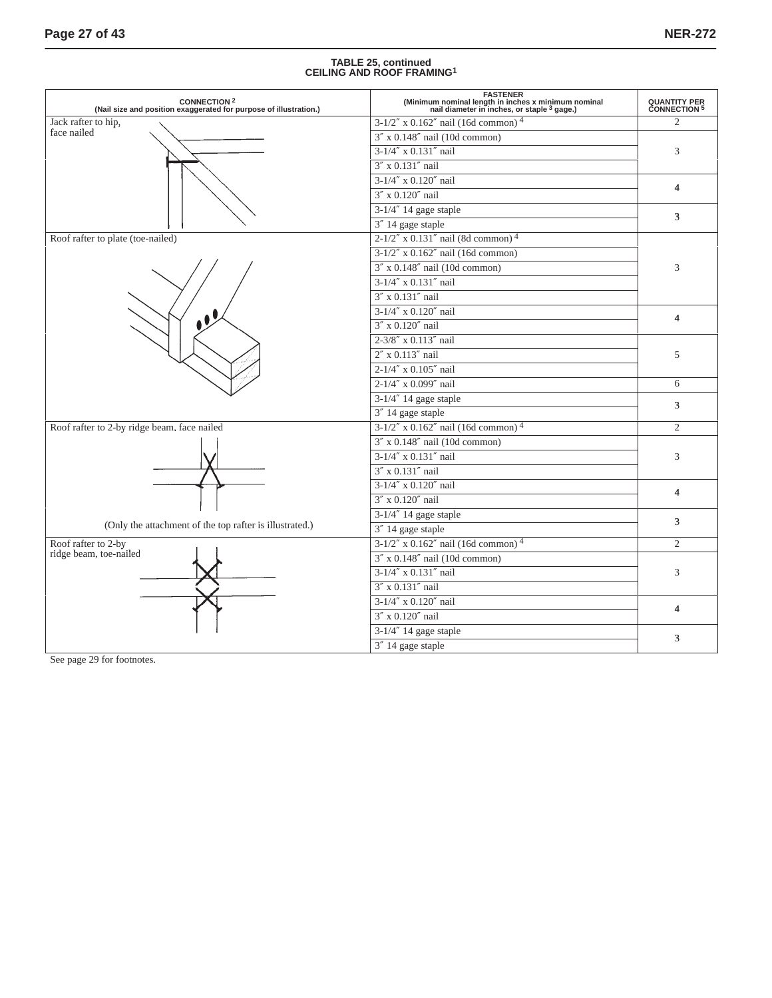# **TABLE 25, continued CEILING AND ROOF FRAMING1**

| CONNECTION <sup>2</sup><br>(Nail size and position exaggerated for purpose of illustration.) | <b>FASTENER</b><br>(Minimum nominal length in inches x minimum nominal<br>nail diameter in inches, or staple <sup>3</sup> gage.) | <b>QUANTITY PER<br/>CONNECTION 5</b> |
|----------------------------------------------------------------------------------------------|----------------------------------------------------------------------------------------------------------------------------------|--------------------------------------|
| Jack rafter to hip,                                                                          | $3-1/2''$ x 0.162" nail (16d common) <sup>4</sup>                                                                                | $\overline{2}$                       |
| face nailed                                                                                  | $3''$ x 0.148" nail (10d common)                                                                                                 |                                      |
|                                                                                              | 3-1/4" x 0.131" nail                                                                                                             | 3                                    |
|                                                                                              | 3" x 0.131" nail                                                                                                                 |                                      |
|                                                                                              | $3-1/4''$ x $0.120''$ nail                                                                                                       | $\overline{4}$                       |
|                                                                                              | $3''$ x $0.120''$ nail                                                                                                           |                                      |
|                                                                                              | $3-1/4''$ 14 gage staple                                                                                                         | 3                                    |
|                                                                                              | 3" 14 gage staple                                                                                                                |                                      |
| Roof rafter to plate (toe-nailed)                                                            | $2-1/2''$ x 0.131" nail (8d common) <sup>4</sup>                                                                                 |                                      |
|                                                                                              | $3-1/2''$ x $0.162''$ nail (16d common)                                                                                          |                                      |
|                                                                                              | $3''$ x 0.148" nail (10d common)                                                                                                 | 3                                    |
|                                                                                              | 3-1/4" x 0.131" nail                                                                                                             |                                      |
|                                                                                              | 3" x 0.131" nail                                                                                                                 |                                      |
|                                                                                              | 3-1/4" x 0.120" nail                                                                                                             | $\overline{4}$                       |
|                                                                                              | 3" x 0.120" nail                                                                                                                 |                                      |
|                                                                                              | 2-3/8" x 0.113" nail                                                                                                             |                                      |
|                                                                                              | 2" x 0.113" nail                                                                                                                 | 5                                    |
|                                                                                              | 2-1/4" x 0.105" nail                                                                                                             |                                      |
|                                                                                              | 2-1/4" x 0.099" nail                                                                                                             | 6                                    |
|                                                                                              | $3-1/4''$ 14 gage staple                                                                                                         | 3                                    |
|                                                                                              | 3" 14 gage staple                                                                                                                |                                      |
| Roof rafter to 2-by ridge beam, face nailed                                                  | $3-1/2''$ x 0.162" nail (16d common) <sup>4</sup>                                                                                | $\overline{2}$                       |
|                                                                                              | $3''$ x 0.148" nail (10d common)                                                                                                 |                                      |
|                                                                                              | 3-1/4" x 0.131" nail                                                                                                             | 3                                    |
|                                                                                              | 3" x 0.131" nail                                                                                                                 |                                      |
|                                                                                              | 3-1/4" x 0.120" nail                                                                                                             | $\overline{4}$                       |
|                                                                                              | 3" x 0.120" nail                                                                                                                 |                                      |
|                                                                                              | $3-1/4''$ 14 gage staple                                                                                                         | 3                                    |
| (Only the attachment of the top rafter is illustrated.)                                      | 3" 14 gage staple                                                                                                                |                                      |
| Roof rafter to 2-by                                                                          | $3-1/2''$ x 0.162" nail (16d common) <sup>4</sup>                                                                                | $\overline{2}$                       |
| ridge beam, toe-nailed                                                                       | $3''$ x 0.148" nail (10d common)                                                                                                 |                                      |
|                                                                                              | 3-1/4" x 0.131" nail                                                                                                             | 3                                    |
|                                                                                              | 3" x 0.131" nail                                                                                                                 |                                      |
|                                                                                              | 3-1/4" x 0.120" nail                                                                                                             | $\overline{4}$                       |
|                                                                                              | 3" x 0.120" nail                                                                                                                 |                                      |
|                                                                                              | 3-1/4" 14 gage staple                                                                                                            | 3                                    |
|                                                                                              | 3" 14 gage staple                                                                                                                |                                      |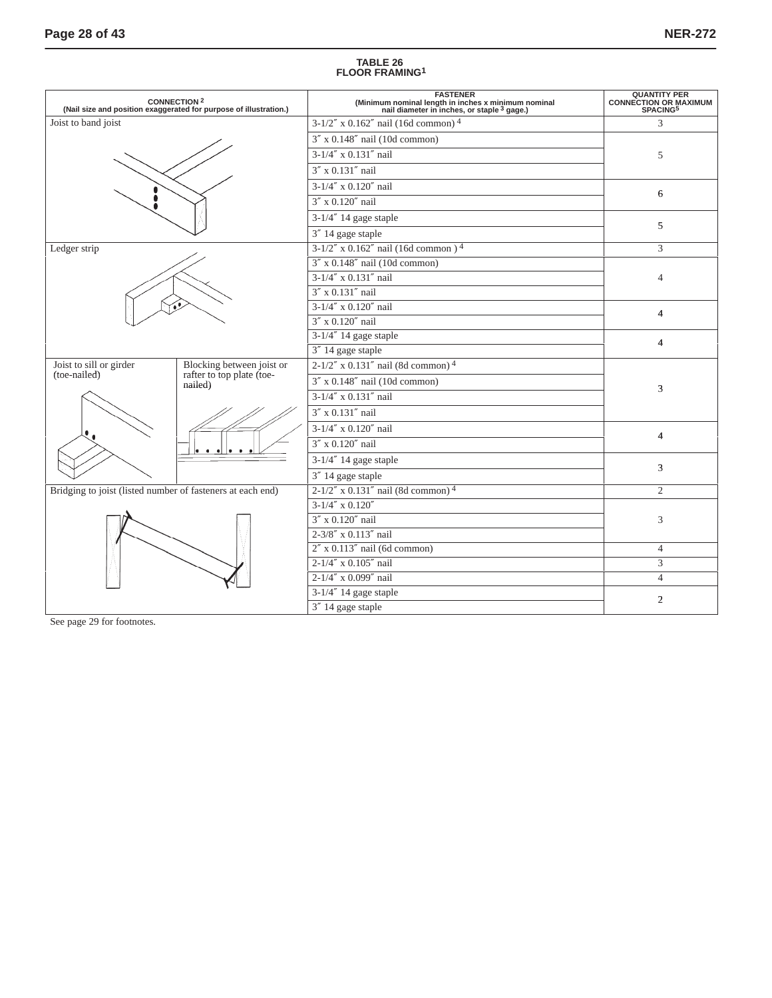# **TABLE 26 FLOOR FRAMING1**

|                                                            | <b>CONNECTION 2</b><br>(Nail size and position exaggerated for purpose of illustration.) | <b>FASTENER</b><br>(Minimum nominal length in inches x minimum nominal<br>nail diameter in inches, or staple <sup>3</sup> gage.) | QUANTITY PER<br>CONNECTION OR MAXIMUM<br>SPACING <sup>5</sup> |
|------------------------------------------------------------|------------------------------------------------------------------------------------------|----------------------------------------------------------------------------------------------------------------------------------|---------------------------------------------------------------|
| Joist to band joist                                        |                                                                                          | $3-1/2''$ x 0.162" nail (16d common) <sup>4</sup>                                                                                | 3                                                             |
|                                                            |                                                                                          | $3''$ x 0.148" nail (10d common)                                                                                                 |                                                               |
|                                                            |                                                                                          | $3-1/\sqrt{4'' \times 0.131''}$ nail                                                                                             | 5                                                             |
|                                                            |                                                                                          | 3" x 0.131" nail                                                                                                                 |                                                               |
|                                                            |                                                                                          | $3-1/4''$ x 0.120" nail                                                                                                          |                                                               |
|                                                            |                                                                                          | $3'' \times 0.120''$ nail                                                                                                        | 6                                                             |
|                                                            |                                                                                          | $3-1/4''$ 14 gage staple                                                                                                         |                                                               |
|                                                            |                                                                                          | 3" 14 gage staple                                                                                                                | 5                                                             |
| Ledger strip                                               |                                                                                          | $3-1/2''$ x 0.162" nail (16d common) <sup>4</sup>                                                                                | 3                                                             |
|                                                            |                                                                                          | $3''$ x 0.148" nail (10d common)                                                                                                 |                                                               |
|                                                            |                                                                                          | 3-1/4" x 0.131" nail                                                                                                             | $\overline{4}$                                                |
|                                                            |                                                                                          | $3''$ x 0.131" nail                                                                                                              |                                                               |
|                                                            |                                                                                          | $3-1/4''$ x 0.120" nail                                                                                                          | $\overline{4}$                                                |
|                                                            |                                                                                          | 3" x 0.120" nail                                                                                                                 |                                                               |
|                                                            |                                                                                          | 3-1/4" 14 gage staple                                                                                                            | $\overline{4}$                                                |
|                                                            |                                                                                          | 3" 14 gage staple                                                                                                                |                                                               |
| Joist to sill or girder<br>(toe-nailed)                    | Blocking between joist or<br>rafter to top plate (toe-                                   | $2-1/2''$ x 0.131" nail (8d common) <sup>4</sup>                                                                                 |                                                               |
|                                                            | nailed)                                                                                  | $3''$ x 0.148" nail (10d common)                                                                                                 | 3                                                             |
|                                                            |                                                                                          | 3-1/4" x 0.131" nail                                                                                                             |                                                               |
|                                                            |                                                                                          | $3''$ x 0.131" nail                                                                                                              |                                                               |
|                                                            |                                                                                          | 3-1/4" x 0.120" nail                                                                                                             | $\overline{4}$                                                |
|                                                            |                                                                                          | 3" x 0.120" nail                                                                                                                 |                                                               |
|                                                            |                                                                                          | $3-1/4''$ 14 gage staple                                                                                                         |                                                               |
|                                                            |                                                                                          | 3" 14 gage staple                                                                                                                | 3                                                             |
| Bridging to joist (listed number of fasteners at each end) |                                                                                          | $2-1/2''$ x 0.131" nail (8d common) <sup>4</sup>                                                                                 | $\overline{c}$                                                |
|                                                            |                                                                                          | $3-1/4''$ x $0.120''$                                                                                                            |                                                               |
|                                                            |                                                                                          | 3" x 0.120" nail                                                                                                                 | 3                                                             |
|                                                            |                                                                                          | 2-3/8" x 0.113" nail                                                                                                             |                                                               |
|                                                            |                                                                                          | $2''$ x 0.113" nail (6d common)                                                                                                  | $\overline{4}$                                                |
|                                                            |                                                                                          | 2-1/4" x 0.105" nail                                                                                                             | 3                                                             |
|                                                            |                                                                                          | $2-1/4''$ x 0.099" nail                                                                                                          | $\overline{4}$                                                |
|                                                            |                                                                                          | $3-1/4''$ 14 gage staple                                                                                                         | $\overline{2}$                                                |
|                                                            |                                                                                          | 3" 14 gage staple                                                                                                                |                                                               |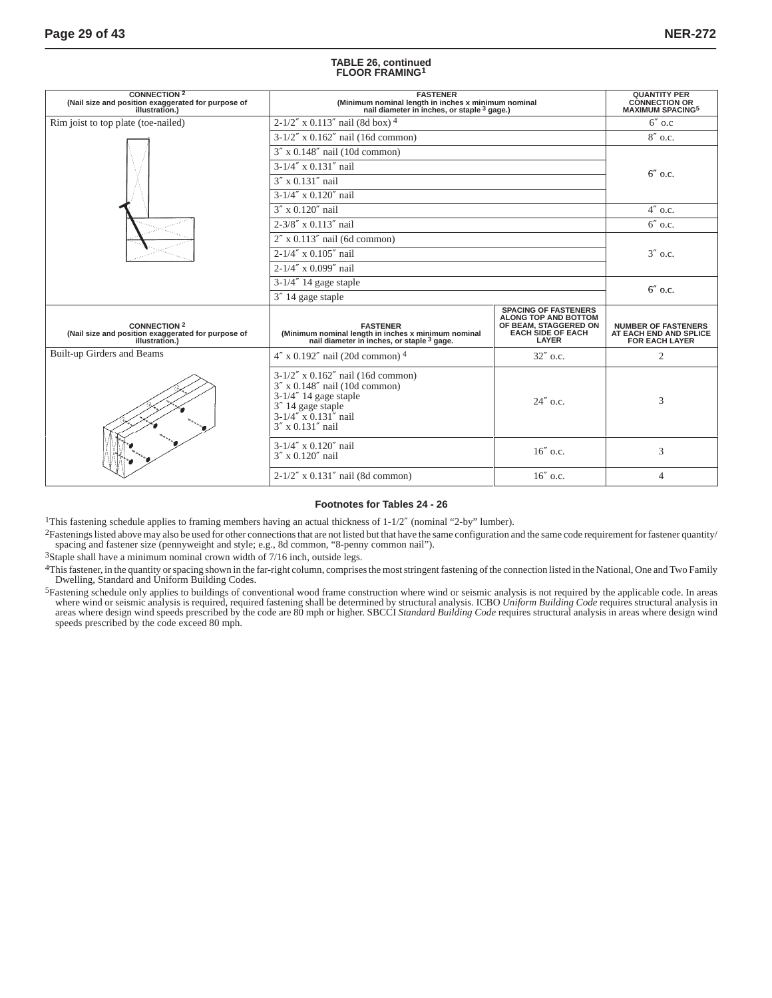#### **TABLE 26, continued FLOOR FRAMING1**

| <b>CONNECTION 2</b><br>(Nail size and position exaggerated for purpose of<br>illustration.) | <b>FASTENER</b><br>(Minimum nominal length in inches x minimum nominal<br>nail diameter in inches, or staple <sup>3</sup> gage.)                                            | <b>QUANTITY PER</b><br><b>CONNECTION OR<br/>MAXIMUM SPACING<sup>5</sup></b>                                       |                                                                               |  |  |
|---------------------------------------------------------------------------------------------|-----------------------------------------------------------------------------------------------------------------------------------------------------------------------------|-------------------------------------------------------------------------------------------------------------------|-------------------------------------------------------------------------------|--|--|
| Rim joist to top plate (toe-nailed)                                                         | $2-1/2''$ x 0.113" nail (8d box) <sup>4</sup>                                                                                                                               |                                                                                                                   | $6''$ o.c                                                                     |  |  |
|                                                                                             | $3-1/2''$ x 0.162" nail (16d common)                                                                                                                                        |                                                                                                                   | $8''$ o.c.                                                                    |  |  |
|                                                                                             | $3''$ x 0.148" nail (10d common)                                                                                                                                            |                                                                                                                   |                                                                               |  |  |
|                                                                                             | $3-1/4''$ x 0.131" nail                                                                                                                                                     |                                                                                                                   |                                                                               |  |  |
|                                                                                             | $3''$ x 0.131" nail                                                                                                                                                         |                                                                                                                   | $6''$ o.c.                                                                    |  |  |
|                                                                                             | $3-1/4''$ x 0.120" nail                                                                                                                                                     |                                                                                                                   |                                                                               |  |  |
|                                                                                             | $3'' \times 0.120''$ nail                                                                                                                                                   |                                                                                                                   | $4''$ o.c.                                                                    |  |  |
|                                                                                             | $2 - 3/8''$ x 0.113" nail                                                                                                                                                   |                                                                                                                   | $6''$ o.c.                                                                    |  |  |
|                                                                                             | $2''$ x 0.113" nail (6d common)                                                                                                                                             |                                                                                                                   |                                                                               |  |  |
|                                                                                             | $2-1/4''$ x 0.105" nail                                                                                                                                                     | $3''$ o.c.                                                                                                        |                                                                               |  |  |
|                                                                                             | $2-1/4''$ x 0.099" nail                                                                                                                                                     |                                                                                                                   |                                                                               |  |  |
|                                                                                             | 3-1/4" 14 gage staple                                                                                                                                                       | $6''$ o.c.                                                                                                        |                                                                               |  |  |
|                                                                                             | 3" 14 gage staple                                                                                                                                                           |                                                                                                                   |                                                                               |  |  |
| <b>CONNECTION 2</b><br>(Nail size and position exaggerated for purpose of<br>illustration.) | <b>FASTENER</b><br>(Minimum nominal length in inches x minimum nominal<br>nail diameter in inches, or staple <sup>3</sup> gage.                                             | <b>SPACING OF FASTENERS</b><br>ALONG TOP AND BOTTOM<br>OF BEAM, STAGGERED ON<br><b>EACH SIDE OF EACH</b><br>LAYER | <b>NUMBER OF FASTENERS</b><br>AT EACH END AND SPLICE<br><b>FOR EACH LAYER</b> |  |  |
| Built-up Girders and Beams                                                                  | $4''$ x 0.192" nail (20d common) <sup>4</sup>                                                                                                                               | $32''$ o.c.                                                                                                       | 2                                                                             |  |  |
|                                                                                             | $3-1/2''$ x 0.162" nail (16d common)<br>$3''$ x 0.148" nail (10d common)<br>$3-1/4''$ 14 gage staple<br>$3''$ 14 gage staple<br>$3-1/4''$ x 0.131" nail<br>3" x 0.131" nail | $24''$ o.c.                                                                                                       | 3                                                                             |  |  |
|                                                                                             | 3-1/4" x 0.120" nail<br>3" x 0.120" nail                                                                                                                                    | 16" o.c.                                                                                                          | 3                                                                             |  |  |
|                                                                                             | $2-1/2''$ x 0.131" nail (8d common)                                                                                                                                         | $16''$ o.c.                                                                                                       | $\overline{4}$                                                                |  |  |

#### **Footnotes for Tables 24 - 26**

1This fastening schedule applies to framing members having an actual thickness of 1-1/2″ (nominal "2-by" lumber).

<sup>2</sup>Fastenings listed above may also be used for other connections that are not listed but that have the same configuration and the same code requirement for fastener quantity/ spacing and fastener size (pennyweight and style; e.g., 8d common, "8-penny common nail").

3Staple shall have a minimum nominal crown width of 7/16 inch, outside legs.

4This fastener, in the quantity or spacing shown in the far-right column, comprises the most stringent fastening of the connection listed in the National, One and Two Family Dwelling, Standard and Uniform Building Codes.

<sup>5</sup>Fastening schedule only applies to buildings of conventional wood frame construction where wind or seismic analysis is not required by the applicable code. In areas where wind or seismic analysis is required, required fastening shall be determined by structural analysis. ICBO Uniform Building Code requires structural analysis in<br>areas where design wind speeds prescribed by the code ar speeds prescribed by the code exceed 80 mph.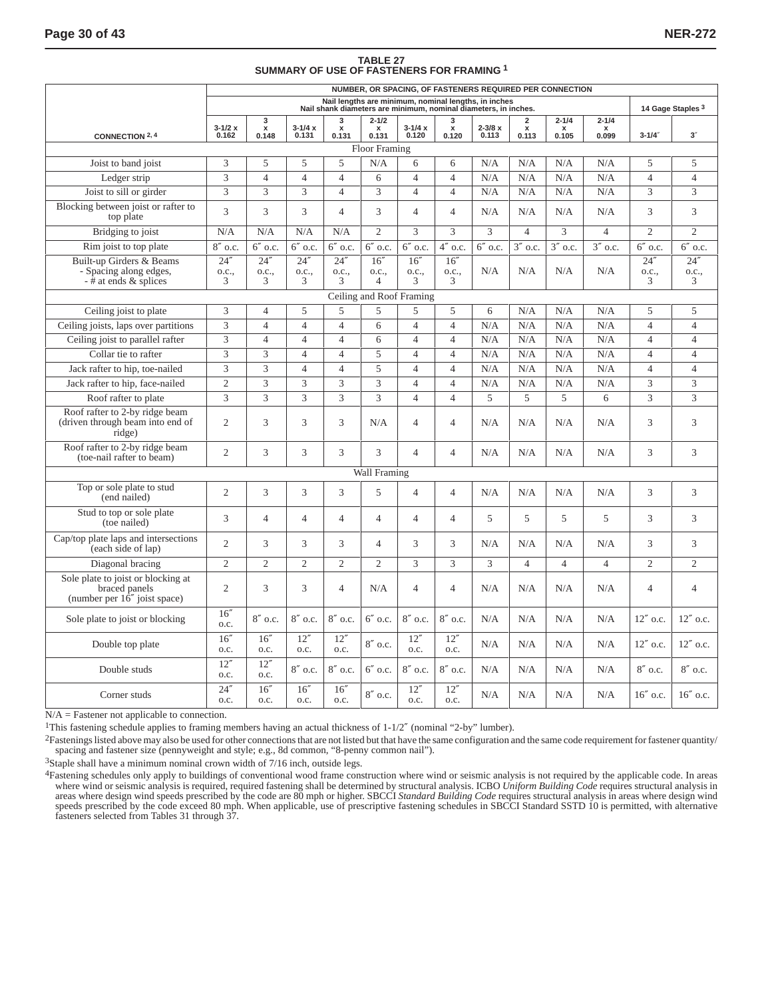# **TABLE 27 SUMMARY OF USE OF FASTENERS FOR FRAMING 1**

|                                                                                     | NUMBER, OR SPACING, OF FASTENERS REQUIRED PER CONNECTION                                                                |                |                |                |                          |                |                |                              |                   |                                           |                           |                |                    |
|-------------------------------------------------------------------------------------|-------------------------------------------------------------------------------------------------------------------------|----------------|----------------|----------------|--------------------------|----------------|----------------|------------------------------|-------------------|-------------------------------------------|---------------------------|----------------|--------------------|
|                                                                                     | Nail lengths are minimum, nominal lengths, in inches<br>Nail shank diameters are minimum, nominal diameters, in inches. |                |                |                |                          |                |                | 14 Gage Staples <sup>3</sup> |                   |                                           |                           |                |                    |
|                                                                                     | $3 - 1/2x$                                                                                                              | 3<br>x         | $3 - 1/4x$     | 3              | $2 - 1/2$                | $3 - 1/4x$     | 3<br>x         | $2 - 3/8 x$                  | 2<br>$\mathbf{x}$ | $2 - 1/4$                                 | $2 - 1/4$<br>$\mathbf{x}$ |                |                    |
| <b>CONNECTION 2, 4</b>                                                              | 0.162                                                                                                                   | 0.148          | 0.131          | $x$<br>0.131   | $x$<br>0.131             | 0.120          | 0.120          | 0.113                        | 0.113             | $\begin{array}{c} x \\ 0.105 \end{array}$ | 0.099                     | $3 - 1/4$      | $3^{\prime\prime}$ |
|                                                                                     |                                                                                                                         |                |                |                | <b>Floor Framing</b>     |                |                |                              |                   |                                           |                           |                |                    |
| Joist to band joist                                                                 | 3                                                                                                                       | 5              | 5              | 5              | N/A                      | 6              | 6              | N/A                          | N/A               | N/A                                       | N/A                       | 5              | 5                  |
| Ledger strip                                                                        | 3                                                                                                                       | $\overline{4}$ | $\overline{4}$ | $\overline{4}$ | 6                        | $\overline{4}$ | $\overline{4}$ | N/A                          | N/A               | N/A                                       | N/A                       | $\overline{4}$ | $\overline{4}$     |
| Joist to sill or girder                                                             | 3                                                                                                                       | 3              | 3              | $\overline{4}$ | 3                        | $\overline{4}$ | $\overline{4}$ | N/A                          | N/A               | N/A                                       | N/A                       | 3              | 3                  |
| Blocking between joist or rafter to<br>top plate                                    | 3                                                                                                                       | 3              | 3              | $\overline{4}$ | 3                        | $\overline{4}$ | $\overline{4}$ | N/A                          | N/A               | N/A                                       | N/A                       | 3              | 3                  |
| Bridging to joist                                                                   | N/A                                                                                                                     | N/A            | N/A            | N/A            | $\overline{2}$           | 3              | 3              | 3                            | $\overline{4}$    | 3                                         | $\overline{4}$            | $\overline{2}$ | $\overline{2}$     |
| Rim joist to top plate                                                              | $8''$ o.c.                                                                                                              | $6''$ o.c.     | $6''$ o.c.     | $6''$ o.c.     | $6''$ o.c.               | $6''$ o.c.     | $4"$ o.c.      | $6''$ o.c.                   | $3''$ o.c.        | $3''$ o.c.                                | $3''$ o.c.                | $6''$ o.c.     | $6''$ o.c.         |
| Built-up Girders & Beams                                                            | 24''                                                                                                                    | 24''           | 24''           | 24''           | 16''                     | 16''           | 16''           |                              |                   |                                           |                           | 24''           | 24''               |
| - Spacing along edges,<br>$-\ddot{\#}$ at ends & splices                            | o.c.,<br>3                                                                                                              | 0.C.,<br>3     | o.c.,<br>3     | 0.C.,<br>3     | 0.C.,<br>$\overline{4}$  | o.c.,<br>3     | o.c.,<br>3     | N/A                          | N/A               | N/A                                       | N/A                       | 0.C.,<br>3     | 0.C.,<br>3         |
|                                                                                     |                                                                                                                         |                |                |                | Ceiling and Roof Framing |                |                |                              |                   |                                           |                           |                |                    |
| Ceiling joist to plate                                                              | 3                                                                                                                       | $\overline{4}$ | 5              | 5              | 5                        | 5              | 5              | 6                            | N/A               | N/A                                       | N/A                       | 5              | 5                  |
| Ceiling joists, laps over partitions                                                | 3                                                                                                                       | $\overline{4}$ | $\overline{4}$ | $\overline{4}$ | 6                        | $\overline{4}$ | $\overline{4}$ | N/A                          | N/A               | N/A                                       | N/A                       | $\overline{4}$ | $\overline{4}$     |
| Ceiling joist to parallel rafter                                                    | 3                                                                                                                       | $\overline{4}$ | $\overline{4}$ | $\overline{4}$ | 6                        | $\overline{4}$ | $\overline{4}$ | N/A                          | N/A               | N/A                                       | N/A                       | $\overline{4}$ | $\overline{4}$     |
| Collar tie to rafter                                                                | 3                                                                                                                       | 3              | $\overline{4}$ | $\overline{4}$ | 5                        | $\overline{4}$ | $\overline{4}$ | N/A                          | N/A               | N/A                                       | N/A                       | $\overline{4}$ | $\overline{4}$     |
| Jack rafter to hip, toe-nailed                                                      | $\ensuremath{\mathfrak{Z}}$                                                                                             | 3              | $\overline{4}$ | $\overline{4}$ | 5                        | $\overline{4}$ | $\overline{4}$ | N/A                          | N/A               | N/A                                       | N/A                       | $\overline{4}$ | $\overline{4}$     |
| Jack rafter to hip, face-nailed                                                     | $\mathfrak{2}$                                                                                                          | 3              | 3              | 3              | 3                        | $\overline{4}$ | $\overline{4}$ | N/A                          | N/A               | N/A                                       | N/A                       | 3              | 3                  |
| Roof rafter to plate                                                                | $\overline{3}$                                                                                                          | $\overline{3}$ | $\overline{3}$ | $\overline{3}$ | $\overline{3}$           | $\overline{4}$ | $\overline{4}$ | $\overline{5}$               | 5                 | 5                                         | 6                         | $\overline{3}$ | $\overline{3}$     |
| Roof rafter to 2-by ridge beam                                                      |                                                                                                                         |                |                |                |                          |                |                |                              |                   |                                           |                           |                |                    |
| (driven through beam into end of<br>ridge)                                          | 2                                                                                                                       | 3              | 3              | 3              | N/A                      | $\overline{4}$ | $\overline{4}$ | N/A                          | N/A               | N/A                                       | N/A                       | 3              | 3                  |
| Roof rafter to 2-by ridge beam<br>(toe-nail rafter to beam)                         | $\overline{c}$                                                                                                          | 3              | 3              | 3              | 3                        | $\overline{4}$ | $\overline{4}$ | N/A                          | N/A               | N/A                                       | N/A                       | 3              | 3                  |
|                                                                                     |                                                                                                                         |                |                |                | Wall Framing             |                |                |                              |                   |                                           |                           |                |                    |
| Top or sole plate to stud<br>(end nailed)                                           | $\overline{2}$                                                                                                          | 3              | 3              | 3              | 5                        | $\overline{4}$ | $\overline{4}$ | N/A                          | N/A               | N/A                                       | N/A                       | 3              | 3                  |
| Stud to top or sole plate<br>(toe nailed)                                           | 3                                                                                                                       | 4              | $\overline{4}$ | $\overline{4}$ | 4                        | $\overline{4}$ | $\overline{4}$ | 5                            | 5                 | 5                                         | 5                         | 3              | 3                  |
| Cap/top plate laps and intersections<br>(each side of lap)                          | $\overline{2}$                                                                                                          | 3              | 3              | 3              | 4                        | 3              | 3              | N/A                          | N/A               | N/A                                       | N/A                       | 3              | 3                  |
| Diagonal bracing                                                                    | $\overline{2}$                                                                                                          | $\overline{2}$ | $\overline{2}$ | $\overline{c}$ | $\overline{2}$           | 3              | 3              | 3                            | $\overline{4}$    | $\overline{4}$                            | $\overline{4}$            | $\overline{c}$ | $\overline{2}$     |
| Sole plate to joist or blocking at<br>braced panels<br>(number per 16" joist space) | $\overline{2}$                                                                                                          | 3              | 3              | $\overline{4}$ | N/A                      | $\overline{4}$ | $\overline{4}$ | N/A                          | N/A               | N/A                                       | N/A                       | $\overline{4}$ | $\overline{4}$     |
| Sole plate to joist or blocking                                                     | 16''<br>o.c.                                                                                                            | $8''$ o.c.     | $8''$ o.c.     | $8''$ o.c.     | $6''$ o.c.               | $8''$ o.c.     | $8''$ o.c.     | N/A                          | N/A               | N/A                                       | N/A                       | $12''$ o.c.    | $12''$ o.c.        |
| Double top plate                                                                    | 16''<br>o.c.                                                                                                            | 16''<br>o.c.   | 12''<br>o.c.   | 12''<br>0.C.   | $8''$ o.c.               | 12''<br>0.C.   | 12''<br>o.c.   | N/A                          | N/A               | N/A                                       | N/A                       | 12" o.c.       | 12" o.c.           |
| Double studs                                                                        | 12''<br>o.c.                                                                                                            | 12''<br>O.C.   | $8''$ o.c.     | 8" o.c.        | $6''$ o.c.               | $8''$ o.c.     | $8''$ o.c.     | N/A                          | N/A               | N/A                                       | N/A                       | 8" o.c.        | $8''$ o.c.         |
| Corner studs                                                                        | 24''<br>o.c.                                                                                                            | 16''<br>o.c.   | 16''<br>o.c.   | 16''<br>o.c.   | $8''$ o.c.               | 12''<br>o.c.   | 12"<br>0.C.    | N/A                          | N/A               | N/A                                       | N/A                       | 16" o.c.       | 16" o.c.           |

N/A = Fastener not applicable to connection.

1This fastening schedule applies to framing members having an actual thickness of 1-1/2″ (nominal "2-by" lumber).

2Fastenings listed above may also be used for other connections that are not listed but that have the same configuration and the same code requirement for fastener quantity/ spacing and fastener size (pennyweight and style; e.g., 8d common, "8-penny common nail").

3Staple shall have a minimum nominal crown width of 7/16 inch, outside legs.

<sup>4</sup>Fastening schedules only apply to buildings of conventional wood frame construction where wind or seismic analysis is not required by the applicable code. In areas where wind or seismic analysis is required, required fastening shall be determined by structural analysis. ICBO Uniform Building Code requires structural analysis in<br>areas where design wind speeds prescribed by the code ar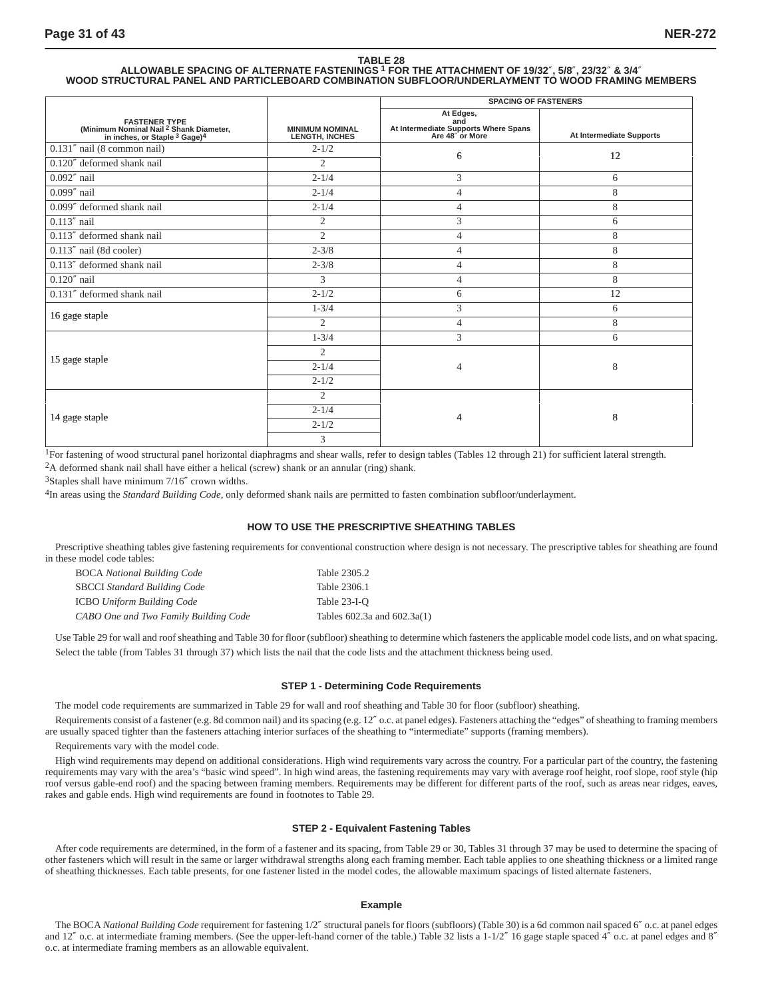# TABLE 28<br>ALLOWABLE SPACING OF ALTERNATE FASTENINGS <sup>1</sup> FOR THE ATTACHMENT OF 19/32″, 5/8″, 23/32″ & 3/4″<br>WOOD STRUCTURAL PANEL AND PARTICLEBOARD COMBINATION SUBFLOOR/UNDERLAYMENT TO WOOD FRAMING MEMBERS

|                                                                                                                                    |                                                 | <b>SPACING OF FASTENERS</b>                                                 |                          |  |  |  |
|------------------------------------------------------------------------------------------------------------------------------------|-------------------------------------------------|-----------------------------------------------------------------------------|--------------------------|--|--|--|
| <b>FASTENER TYPE</b><br>(Minimum Nominal Nail <sup>2</sup> Shank Diameter,<br>in inches, or Staple <sup>3</sup> Gage) <sup>4</sup> | <b>MINIMUM NOMINAL</b><br><b>LENGTH, INCHES</b> | At Edges,<br>and<br>At Intermediate Supports Where Spans<br>Are 48" or More | At Intermediate Supports |  |  |  |
| 0.131" nail (8 common nail)                                                                                                        | $2 - 1/2$                                       | 6                                                                           | 12                       |  |  |  |
| 0.120" deformed shank nail                                                                                                         | $\overline{2}$                                  |                                                                             |                          |  |  |  |
| $0.092''$ nail                                                                                                                     | $2 - 1/4$                                       | 3                                                                           | 6                        |  |  |  |
| $0.099''$ nail                                                                                                                     | $2 - 1/4$                                       | $\overline{4}$                                                              | 8                        |  |  |  |
| 0.099" deformed shank nail                                                                                                         | $2 - 1/4$                                       | $\overline{4}$                                                              | 8                        |  |  |  |
| $0.113''$ nail                                                                                                                     | $\mathfrak{2}$                                  | 3                                                                           | 6                        |  |  |  |
| 0.113" deformed shank nail                                                                                                         | $\overline{c}$                                  | $\overline{4}$                                                              | 8                        |  |  |  |
| 0.113" nail (8d cooler)                                                                                                            | $2 - 3/8$                                       | $\overline{4}$                                                              | 8                        |  |  |  |
| 0.113" deformed shank nail                                                                                                         | $2 - 3/8$                                       | $\overline{4}$                                                              | 8                        |  |  |  |
| $0.120''$ nail                                                                                                                     | 3                                               | $\overline{4}$                                                              | 8                        |  |  |  |
| 0.131" deformed shank nail                                                                                                         | $2 - 1/2$                                       | 6                                                                           | 12                       |  |  |  |
| 16 gage staple                                                                                                                     | $1 - 3/4$                                       | 3                                                                           | 6                        |  |  |  |
|                                                                                                                                    | $\overline{c}$                                  | $\overline{4}$                                                              | 8                        |  |  |  |
|                                                                                                                                    | $1 - 3/4$                                       | 3                                                                           | 6                        |  |  |  |
|                                                                                                                                    | $\overline{2}$                                  |                                                                             |                          |  |  |  |
| 15 gage staple                                                                                                                     | $2 - 1/4$                                       | $\overline{4}$                                                              | 8                        |  |  |  |
|                                                                                                                                    | $2 - 1/2$                                       |                                                                             |                          |  |  |  |
|                                                                                                                                    | $\overline{2}$                                  |                                                                             |                          |  |  |  |
|                                                                                                                                    | $2 - 1/4$                                       | 4                                                                           | 8                        |  |  |  |
| 14 gage staple                                                                                                                     | $2 - 1/2$                                       |                                                                             |                          |  |  |  |
|                                                                                                                                    | 3                                               |                                                                             |                          |  |  |  |

<sup>1</sup>For fastening of wood structural panel horizontal diaphragms and shear walls, refer to design tables (Tables 12 through 21) for sufficient lateral strength.

2A deformed shank nail shall have either a helical (screw) shank or an annular (ring) shank.

<sup>3</sup>Staples shall have minimum 7/16" crown widths.

4In areas using the *Standard Building Code,* only deformed shank nails are permitted to fasten combination subfloor/underlayment.

#### **HOW TO USE THE PRESCRIPTIVE SHEATHING TABLES**

Prescriptive sheathing tables give fastening requirements for conventional construction where design is not necessary. The prescriptive tables for sheathing are found in these model code tables:

| <b>BOCA National Building Code</b>    | Table 2305.2                    |
|---------------------------------------|---------------------------------|
| <b>SBCCI</b> Standard Building Code   | Table 2306.1                    |
| <b>ICBO</b> Uniform Building Code     | Table 23-I-O                    |
| CABO One and Two Family Building Code | Tables $602.3a$ and $602.3a(1)$ |

Use Table 29 for wall and roof sheathing and Table 30 for floor (subfloor) sheathing to determine which fasteners the applicable model code lists, and on what spacing. Select the table (from Tables 31 through 37) which lists the nail that the code lists and the attachment thickness being used.

#### **STEP 1 - Determining Code Requirements**

The model code requirements are summarized in Table 29 for wall and roof sheathing and Table 30 for floor (subfloor) sheathing.

Requirements consist of a fastener (e.g. 8d common nail) and its spacing (e.g. 12" o.c. at panel edges). Fasteners attaching the "edges" of sheathing to framing members are usually spaced tighter than the fasteners attaching interior surfaces of the sheathing to "intermediate" supports (framing members).

Requirements vary with the model code.

High wind requirements may depend on additional considerations. High wind requirements vary across the country. For a particular part of the country, the fastening requirements may vary with the area's "basic wind speed". In high wind areas, the fastening requirements may vary with average roof height, roof slope, roof style (hip roof versus gable-end roof) and the spacing between framing members. Requirements may be different for different parts of the roof, such as areas near ridges, eaves, rakes and gable ends. High wind requirements are found in footnotes to Table 29.

#### **STEP 2 - Equivalent Fastening Tables**

After code requirements are determined, in the form of a fastener and its spacing, from Table 29 or 30, Tables 31 through 37 may be used to determine the spacing of other fasteners which will result in the same or larger withdrawal strengths along each framing member. Each table applies to one sheathing thickness or a limited range of sheathing thicknesses. Each table presents, for one fastener listed in the model codes, the allowable maximum spacings of listed alternate fasteners.

#### **Example**

The BOCA *National Building Code* requirement for fastening 1/2" structural panels for floors (subfloors) (Table 30) is a 6d common nail spaced 6" o.c. at panel edges and 12" o.c. at intermediate framing members. (See the upper-left-hand corner of the table.) Table 32 lists a 1-1/2" 16 gage staple spaced  $4$ " o.c. at panel edges and 8" o.c. at intermediate framing members as an allowable equivalent.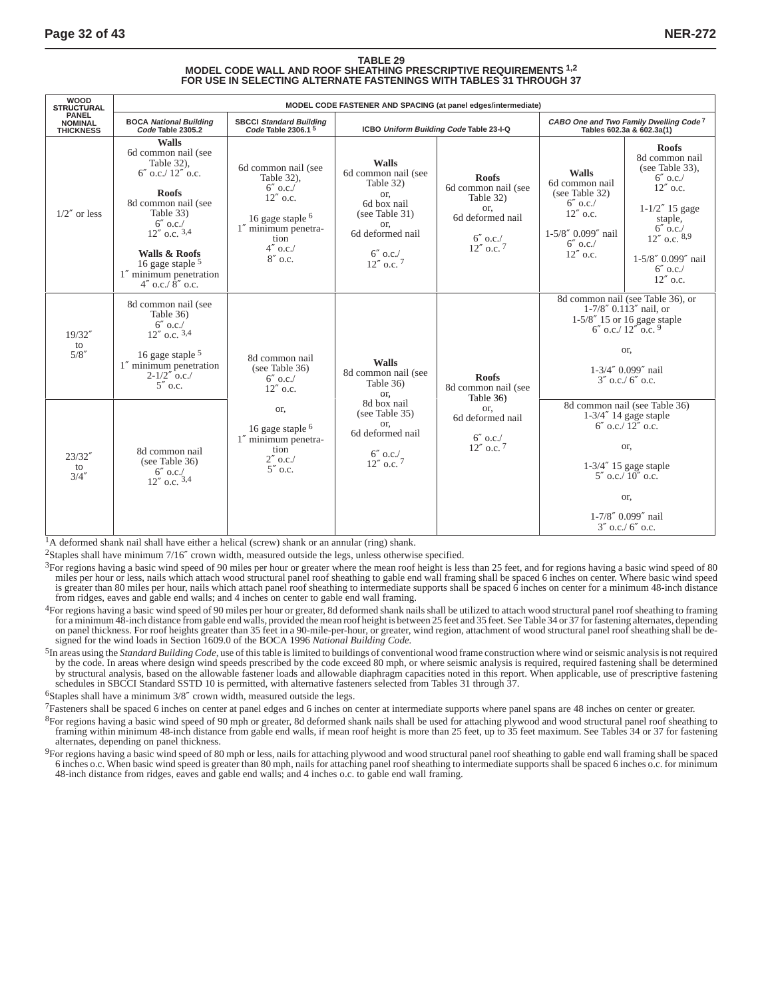#### **TABLE 29 MODEL CODE WALL AND ROOF SHEATHING PRESCRIPTIVE REQUIREMENTS 1,2 FOR USE IN SELECTING ALTERNATE FASTENINGS WITH TABLES 31 THROUGH 37**

| <b>WOOD</b><br><b>STRUCTURAL</b>                   | MODEL CODE FASTENER AND SPACING (at panel edges/intermediate)                                                                                                                                                                                                              |                                                                                                                                                   |                                                                                                                                                       |                                                                                                               |                                                                                                                                      |                                                                                                                                                                                                           |  |  |  |
|----------------------------------------------------|----------------------------------------------------------------------------------------------------------------------------------------------------------------------------------------------------------------------------------------------------------------------------|---------------------------------------------------------------------------------------------------------------------------------------------------|-------------------------------------------------------------------------------------------------------------------------------------------------------|---------------------------------------------------------------------------------------------------------------|--------------------------------------------------------------------------------------------------------------------------------------|-----------------------------------------------------------------------------------------------------------------------------------------------------------------------------------------------------------|--|--|--|
| <b>PANEL</b><br><b>NOMINAL</b><br><b>THICKNESS</b> | <b>BOCA National Building</b><br>Code Table 2305.2                                                                                                                                                                                                                         | SBCCI Standard Building<br>Code Table 2306.1 <sup>5</sup>                                                                                         | ICBO Uniform Building Code Table 23-I-Q                                                                                                               |                                                                                                               | CABO One and Two Family Dwelling Code <sup>7</sup><br>Tables 602.3a & 602.3a(1)                                                      |                                                                                                                                                                                                           |  |  |  |
| $1/2''$ or less                                    | <b>Walls</b><br>6d common nail (see<br>Table 32).<br>$6''$ o.c./ $12''$ o.c.<br><b>Roofs</b><br>8d common nail (see<br>Table 33)<br>$6''$ o.c./<br>$12''$ o.c. $3,4$<br><b>Walls &amp; Roofs</b><br>16 gage staple $5$<br>1" minimum penetration<br>$4''$ o.c./ $8''$ o.c. | 6d common nail (see<br>Table 32).<br>$6''$ o.c./<br>$12''$ o.c.<br>16 gage staple $6$<br>1" minimum penetra-<br>tion<br>$4''$ o.c./<br>$8''$ o.c. | <b>Walls</b><br>6d common nail (see<br>Table 32)<br>or.<br>6d box nail<br>(see Table 31)<br>or,<br>6d deformed nail<br>$6''$ o.c./<br>$12''$ o.c. $7$ | <b>Roofs</b><br>6d common nail (see<br>Table 32)<br>or.<br>6d deformed nail<br>$6''$ o.c./<br>$12''$ o.c. $7$ | <b>Walls</b><br>6d common nail<br>(see Table 32)<br>$6''$ o.c./<br>$12''$ o.c.<br>$1 - 5/8''$ 0.099" nail<br>$6''$ o.c./<br>12" o.c. | <b>Roofs</b><br>8d common nail<br>(see Table 33).<br>$6''$ o.c./<br>$12''$ o.c.<br>$1 - 1/2''$ 15 gage<br>staple,<br>$6''$ o.c./<br>$12''$ o.c. $8,9$<br>1-5/8" 0.099" nail<br>$6''$ o.c./<br>$12''$ o.c. |  |  |  |
| 19/32''<br>to<br>5/8''                             | 8d common nail (see<br>Table 36)<br>$6''$ o.c./<br>$12''$ o.c. $3,4$<br>16 gage staple $5$<br>1" minimum penetration<br>$2 - 1/2''$ o.c./<br>$5''$ o.c.                                                                                                                    | 8d common nail<br>(see Table 36)<br>$6''$ o.c./<br>$12''$ o.c.                                                                                    | <b>Walls</b><br>8d common nail (see<br>Table 36)<br>or,                                                                                               | <b>Roofs</b><br>8d common nail (see<br>Table 36)                                                              |                                                                                                                                      | 8d common nail (see Table 36), or<br>$1-7/8''$ 0.113" nail, or<br>$1-5/8''$ 15 or 16 gage staple<br>$6''$ o.c./ $12''$ o.c. $9$<br>or.<br>$1 - 3/4''$ 0.099" nail<br>$3''$ 0.c./ 6" 0.c.                  |  |  |  |
| 23/32''<br>to<br>3/4''                             | 8d common nail<br>(see Table 36)<br>$6''$ o.c./<br>$12''$ o.c. $3,4$                                                                                                                                                                                                       | or,<br>16 gage staple $6$<br>1" minimum penetra-<br>tion<br>$2''$ o.c./<br>$5''$ o.c.                                                             | 8d box nail<br>(see Table 35)<br>or.<br>6d deformed nail<br>$6''$ o.c./<br>$12''$ o.c. $7$                                                            | or.<br>6d deformed nail<br>$6''$ o.c./<br>$12''$ o.c. $7$                                                     |                                                                                                                                      | 8d common nail (see Table 36)<br>$1-3/4''$ 14 gage staple<br>$6''$ o.c./ $12''$ o.c.<br>or,<br>1-3/4" 15 gage staple<br>$5''$ o.c./ $10''$ o.c.<br>or,<br>1-7/8" 0.099" nail<br>$3''$ o.c./ 6" o.c.       |  |  |  |

<sup>1</sup>A deformed shank nail shall have either a helical (screw) shank or an annular (ring) shank.

2Staples shall have minimum 7/16″ crown width, measured outside the legs, unless otherwise specified.

<sup>3</sup>For regions having a basic wind speed of 90 miles per hour or greater where the mean roof height is less than 25 feet, and for regions having a basic wind speed of 80 miles per hour or less, nails which attach wood structural panel roof sheathing to gable end wall framing shall be spaced 6 inches on center. Where basic wind speed is greater than 80 miles per hour, nails which attach panel roof sheathing to intermediate supports shall be spaced 6 inches on center for a minimum 48-inch distance from ridges, eaves and gable end walls; and 4 inches on center to gable end wall framing.

4For regions having a basic wind speed of 90 miles per hour or greater, 8d deformed shank nails shall be utilized to attach wood structural panel roof sheathing to framing for a minimum 48-inch distance from gable end walls, provided the mean roof height is between 25 feet and 35 feet. See Table 34 or 37 for fastening alternates, depending on panel thickness. For roof heights greater than 35 feet in a 90-mile-per-hour, or greater, wind region, attachment of wood structural panel roof sheathing shall be designed for the wind loads in Section 1609.0 of the BOCA 1996 *National Building Code.*

5In areas using the *Standard Building Code,* use of this table is limited to buildings of conventional wood frame construction where wind or seismic analysis is not required by the code. In areas where design wind speeds prescribed by the code exceed 80 mph, or where seismic analysis is required, required fastening shall be determined by structural analysis, based on the allowable fastener loads and allowable diaphragm capacities noted in this report. When applicable, use of prescriptive fastening schedules in SBCCI Standard SSTD 10 is permitted, with alternative fasteners selected from Tables 31 through 37.

 $6$ Staples shall have a minimum  $3/8$ " crown width, measured outside the legs.

7Fasteners shall be spaced 6 inches on center at panel edges and 6 inches on center at intermediate supports where panel spans are 48 inches on center or greater.

<sup>8</sup>For regions having a basic wind speed of 90 mph or greater, 8d deformed shank nails shall be used for attaching plywood and wood structural panel roof sheathing to framing within minimum 48-inch distance from gable end walls, if mean roof height is more than 25 feet, up to 35 feet maximum. See Tables 34 or 37 for fastening alternates, depending on panel thickness.

9For regions having a basic wind speed of 80 mph or less, nails for attaching plywood and wood structural panel roof sheathing to gable end wall framing shall be spaced 6 inches o.c. When basic wind speed is greater than 80 mph, nails for attaching panel roof sheathing to intermediate supports shall be spaced 6 inches o.c. for minimum 48-inch distance from ridges, eaves and gable end walls; and 4 inches o.c. to gable end wall framing.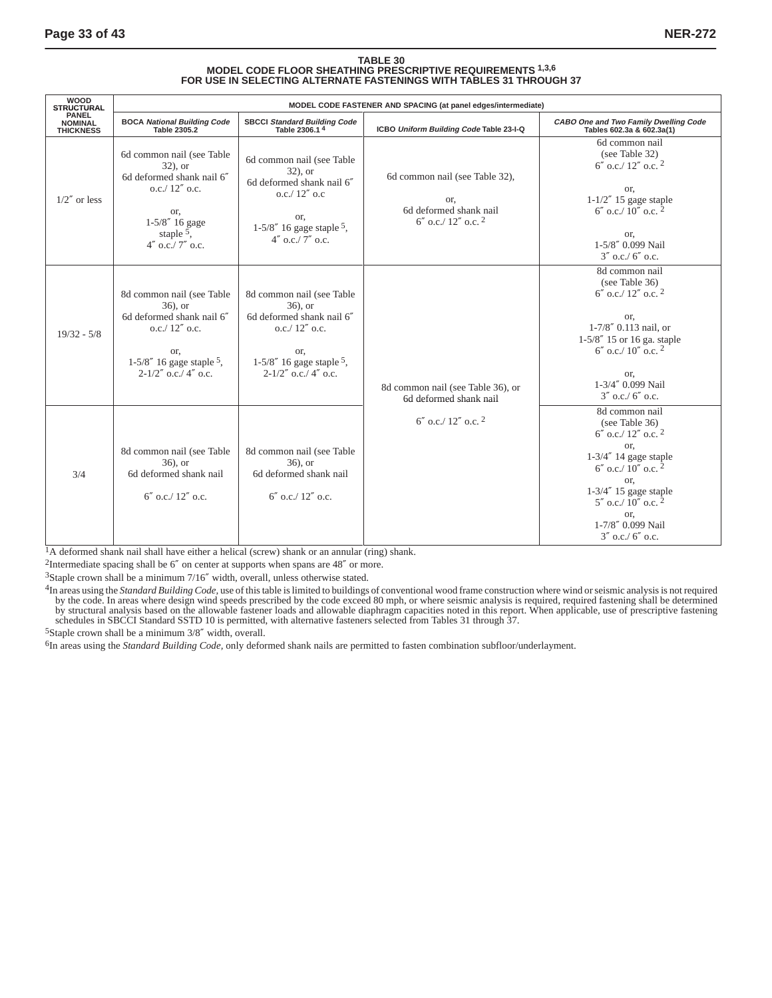# TABLE 30<br>MODEL CODE FLOOR SHEATHING PRESCRIPTIVE REQUIREMENTS <sup>1,3,6</sup><br>FOR USE IN SELECTING ALTERNATE FASTENINGS WITH TABLES 31 THROUGH 37

| <b>WOOD</b><br><b>STRUCTURAL</b>                   | MODEL CODE FASTENER AND SPACING (at panel edges/intermediate)                                                                                                   |                                                                                                                                                             |                                                                                                      |                                                                                                                                                                                                                                                                     |  |  |
|----------------------------------------------------|-----------------------------------------------------------------------------------------------------------------------------------------------------------------|-------------------------------------------------------------------------------------------------------------------------------------------------------------|------------------------------------------------------------------------------------------------------|---------------------------------------------------------------------------------------------------------------------------------------------------------------------------------------------------------------------------------------------------------------------|--|--|
| <b>PANEL</b><br><b>NOMINAL</b><br><b>THICKNESS</b> | BOCA National Building Code<br>Table 2305.2                                                                                                                     | SBCCI Standard Building Code<br>Table 2306.14                                                                                                               | ICBO Uniform Building Code Table 23-I-Q                                                              | CABO One and Two Family Dwelling Code<br>Tables 602.3a & 602.3a(1)                                                                                                                                                                                                  |  |  |
| $1/2''$ or less                                    | 6d common nail (see Table<br>$32)$ , or<br>6d deformed shank nail 6"<br>0.c./ 12'' 0.c.<br>or,<br>$1 - 5/8''$ 16 gage<br>staple $5$ ,<br>$4''$ o.c./ $7''$ o.c. | 6d common nail (see Table<br>$32)$ , or<br>6d deformed shank nail 6"<br>$0.c./12''$ 0.0<br>or.<br>$1-5/8''$ 16 gage staple 5.<br>$4''$ o.c./ 7" o.c.        | 6d common nail (see Table 32),<br>or,<br>6d deformed shank nail<br>$6''$ o.c./ 12" o.c. <sup>2</sup> | 6d common nail<br>(see Table 32)<br>$6''$ o.c./ 12" o.c. <sup>2</sup><br>or,<br>$1-1/2''$ 15 gage staple<br>$6''$ o.c./ $10''$ o.c. $^2$<br>or,<br>1-5/8" 0.099 Nail<br>$3''$ o.c./ 6" o.c.                                                                         |  |  |
| $19/32 - 5/8$                                      | 8d common nail (see Table<br>$36$ , or<br>6d deformed shank nail 6"<br>$0.c./ 12''$ o.c.<br>or,<br>$1-5/8''$ 16 gage staple 5,<br>$2 - 1/2''$ o.c./ 4" o.c.     | 8d common nail (see Table<br>$36$ , or<br>6d deformed shank nail 6"<br>$0.c./ 12''$ o.c.<br>or.<br>$1-5/8''$ 16 gage staple 5.<br>$2 - 1/2''$ o.c./ 4" o.c. | 8d common nail (see Table 36), or<br>6d deformed shank nail                                          | 8d common nail<br>(see Table 36)<br>$6''$ o.c./ 12" o.c. <sup>2</sup><br>or,<br>1-7/8" 0.113 nail, or<br>1-5/8" 15 or 16 ga. staple<br>$6''$ o.c./ 10" o.c. <sup>2</sup><br>or.<br>1-3/4" 0.099 Nail<br>$3''$ o.c./ 6" o.c.                                         |  |  |
| 3/4                                                | 8d common nail (see Table<br>$36$ , or<br>6d deformed shank nail<br>$6''$ o.c./ $12''$ o.c.                                                                     | 8d common nail (see Table<br>$36$ , or<br>6d deformed shank nail<br>$6''$ o.c./ $12''$ o.c.                                                                 | $6''$ o.c./ 12" o.c. <sup>2</sup>                                                                    | 8d common nail<br>(see Table 36)<br>$6''$ o.c./ $12''$ o.c. $^2$<br>or,<br>$1-3/4''$ 14 gage staple<br>$6''$ o.c./ 10" o.c. <sup>2</sup><br>or,<br>$1-3/4''$ 15 gage staple<br>$5''$ o.c./ 10" o.c. <sup>2</sup><br>or.<br>1-7/8" 0.099 Nail<br>$3''$ o.c./ 6" o.c. |  |  |

<sup>1</sup>A deformed shank nail shall have either a helical (screw) shank or an annular (ring) shank.

<sup>2</sup>Intermediate spacing shall be  $6''$  on center at supports when spans are  $48''$  or more.

3Staple crown shall be a minimum 7/16″ width, overall, unless otherwise stated.

<sup>4</sup>In areas using the *Standard Building Code*, use of this table is limited to buildings of conventional wood frame construction where wind or seismic analysis is not required<br>by the code. In areas where design wind speed

5Staple crown shall be a minimum 3/8″ width, overall.

6In areas using the *Standard Building Code,* only deformed shank nails are permitted to fasten combination subfloor/underlayment.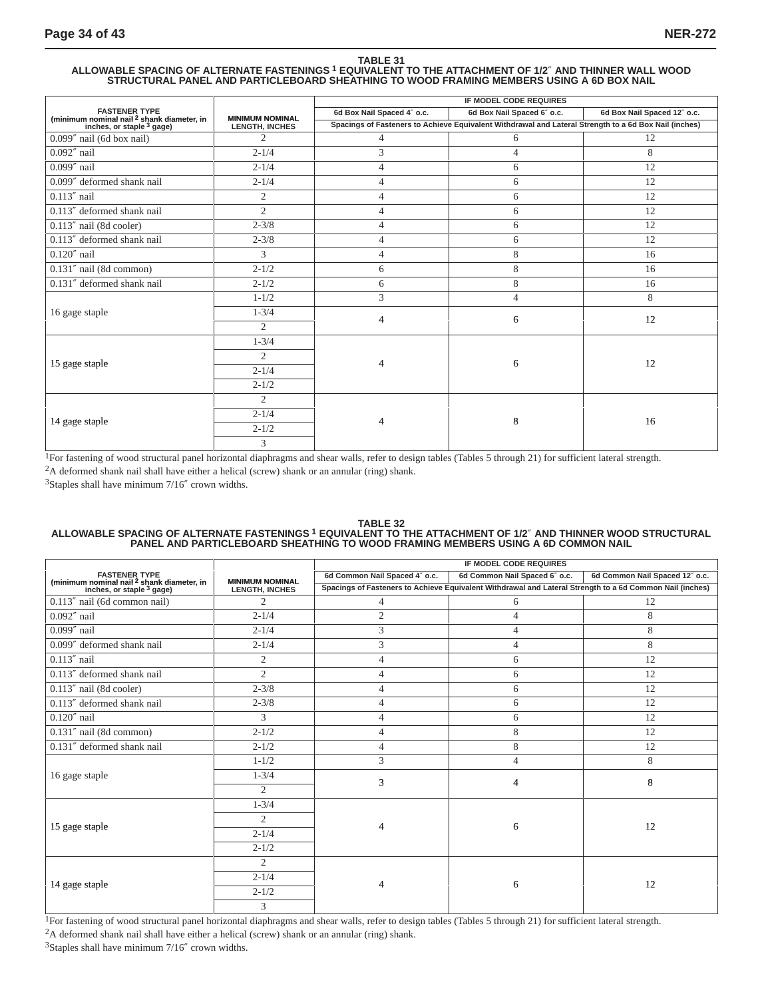# TABLE 31<br>ALLOWABLE SPACING OF ALTERNATE FASTENINGS <sup>1</sup> EQUIVALENT TO THE ATTACHMENT OF 1/2″ AND THINNER WALL WOOD<br>STRUCTURAL PANEL AND PARTICLEBOARD SHEATHING TO WOOD FRAMING MEMBERS USING A 6D BOX NAIL

|                                                                               |                        | IF MODEL CODE REQUIRES                                                                                |                            |                             |  |  |
|-------------------------------------------------------------------------------|------------------------|-------------------------------------------------------------------------------------------------------|----------------------------|-----------------------------|--|--|
| <b>FASTENER TYPE</b>                                                          | <b>MINIMUM NOMINAL</b> | 6d Box Nail Spaced 4" o.c.                                                                            | 6d Box Nail Spaced 6" o.c. | 6d Box Nail Spaced 12" o.c. |  |  |
| (minimum nominal nail $^2$ shank diameter, in<br>inches, or staple $^3$ gage) | <b>LENGTH, INCHES</b>  | Spacings of Fasteners to Achieve Equivalent Withdrawal and Lateral Strength to a 6d Box Nail (inches) |                            |                             |  |  |
| $0.099''$ nail (6d box nail)                                                  | 2                      | 4                                                                                                     | 6                          | 12                          |  |  |
| $0.092''$ nail                                                                | $2 - 1/4$              | 3                                                                                                     | $\overline{4}$             | 8                           |  |  |
| $0.099''$ nail                                                                | $2 - 1/4$              | 4                                                                                                     | 6                          | 12                          |  |  |
| 0.099" deformed shank nail                                                    | $2 - 1/4$              | 4                                                                                                     | 6                          | 12                          |  |  |
| $0.113''$ nail                                                                | 2                      | 4                                                                                                     | 6                          | 12                          |  |  |
| 0.113" deformed shank nail                                                    | $\overline{2}$         | 4                                                                                                     | 6                          | 12                          |  |  |
| $0.113''$ nail (8d cooler)                                                    | $2 - 3/8$              | 4                                                                                                     | 6                          | 12                          |  |  |
| 0.113" deformed shank nail                                                    | $2 - 3/8$              | 4                                                                                                     | 6                          | 12                          |  |  |
| $0.120''$ nail                                                                | 3                      | 4                                                                                                     | 8                          | 16                          |  |  |
| $0.131''$ nail (8d common)                                                    | $2 - 1/2$              | 6                                                                                                     | 8                          | 16                          |  |  |
| 0.131" deformed shank nail                                                    | $2 - 1/2$              | 6                                                                                                     | 8                          | 16                          |  |  |
|                                                                               | $1 - 1/2$              | 3                                                                                                     | $\overline{4}$             | 8                           |  |  |
| 16 gage staple                                                                | $1 - \frac{3}{4}$      | 4                                                                                                     | 6                          | 12                          |  |  |
|                                                                               | $\overline{2}$         |                                                                                                       |                            |                             |  |  |
|                                                                               | $1 - 3/4$              |                                                                                                       |                            |                             |  |  |
|                                                                               | $\overline{2}$         | 4                                                                                                     |                            | 12                          |  |  |
| 15 gage staple                                                                | $2 - 1/4$              |                                                                                                       | 6                          |                             |  |  |
|                                                                               | $2 - 1/2$              |                                                                                                       |                            |                             |  |  |
|                                                                               | 2                      |                                                                                                       |                            |                             |  |  |
| 14 gage staple                                                                | $2 - 1/4$              | 4                                                                                                     | 8                          | 16                          |  |  |
|                                                                               | $2 - 1/2$              |                                                                                                       |                            |                             |  |  |
|                                                                               | 3                      |                                                                                                       |                            |                             |  |  |

<sup>1</sup>For fastening of wood structural panel horizontal diaphragms and shear walls, refer to design tables (Tables 5 through 21) for sufficient lateral strength.

2A deformed shank nail shall have either a helical (screw) shank or an annular (ring) shank.

3Staples shall have minimum 7/16″ crown widths.

# TABLE 32<br>ALLOWABLE SPACING OF ALTERNATE FASTENINGS <sup>1</sup> EQUIVALENT TO THE ATTACHMENT OF 1/2″ AND THINNER WOOD STRUCTURAL<br>PANEL AND PARTICLEBOARD SHEATHING TO WOOD FRAMING MEMBERS USING A 6D COMMON NAIL

|                                                                               |                        | IF MODEL CODE REQUIRES                                                                                   |                               |                                |  |  |
|-------------------------------------------------------------------------------|------------------------|----------------------------------------------------------------------------------------------------------|-------------------------------|--------------------------------|--|--|
| <b>FASTENER TYPE</b>                                                          | <b>MINIMUM NOMINAL</b> | 6d Common Nail Spaced 4" o.c.                                                                            | 6d Common Nail Spaced 6" o.c. | 6d Common Nail Spaced 12" o.c. |  |  |
| (minimum nominal nail $^2$ shank diameter, in<br>inches, or staple $^3$ gage) | <b>LENGTH, INCHES</b>  | Spacings of Fasteners to Achieve Equivalent Withdrawal and Lateral Strength to a 6d Common Nail (inches) |                               |                                |  |  |
| 0.113" nail (6d common nail)                                                  | $\overline{c}$         | $\overline{4}$                                                                                           | 6                             | 12                             |  |  |
| $0.092''$ nail                                                                | $2 - 1/4$              | $\overline{2}$                                                                                           | 4                             | 8                              |  |  |
| $0.099''$ nail                                                                | $2 - 1/4$              | 3                                                                                                        | 4                             | 8                              |  |  |
| 0.099" deformed shank nail                                                    | $2 - 1/4$              | 3                                                                                                        | 4                             | 8                              |  |  |
| $0.113''$ nail                                                                | $\mathfrak{2}$         | 4                                                                                                        | 6                             | 12                             |  |  |
| 0.113" deformed shank nail                                                    | $\overline{2}$         | 4                                                                                                        | 6                             | 12                             |  |  |
| 0.113" nail (8d cooler)                                                       | $2 - 3/8$              | 4                                                                                                        | 6                             | 12                             |  |  |
| 0.113" deformed shank nail                                                    | $2 - 3/8$              | 4                                                                                                        | 6                             | 12                             |  |  |
| $0.120''$ nail                                                                | 3                      | 4                                                                                                        | 6                             | 12                             |  |  |
| $0.131''$ nail (8d common)                                                    | $2 - 1/2$              | 4                                                                                                        | 8                             | 12                             |  |  |
| 0.131" deformed shank nail                                                    | $2 - 1/2$              | 4                                                                                                        | 8                             | 12                             |  |  |
|                                                                               | $1 - 1/2$              | 3                                                                                                        | $\overline{4}$                | 8                              |  |  |
| 16 gage staple                                                                | $1 - 3/4$              | 3                                                                                                        | 4                             | 8                              |  |  |
|                                                                               | $\overline{2}$         |                                                                                                          |                               |                                |  |  |
|                                                                               | $1 - 3/4$              |                                                                                                          |                               |                                |  |  |
| 15 gage staple                                                                | $\overline{2}$         | 4                                                                                                        | 6                             | 12                             |  |  |
|                                                                               | $2 - 1/4$              |                                                                                                          |                               |                                |  |  |
|                                                                               | $2 - 1/2$              |                                                                                                          |                               |                                |  |  |
|                                                                               | $\overline{2}$         |                                                                                                          |                               |                                |  |  |
|                                                                               | $2 - 1/4$              | 4                                                                                                        | 6                             | 12                             |  |  |
| 14 gage staple                                                                | $2 - 1/2$              |                                                                                                          |                               |                                |  |  |
|                                                                               | 3                      |                                                                                                          |                               |                                |  |  |

<sup>1</sup>For fastening of wood structural panel horizontal diaphragms and shear walls, refer to design tables (Tables 5 through 21) for sufficient lateral strength. 2A deformed shank nail shall have either a helical (screw) shank or an annular (ring) shank.

3Staples shall have minimum 7/16″ crown widths.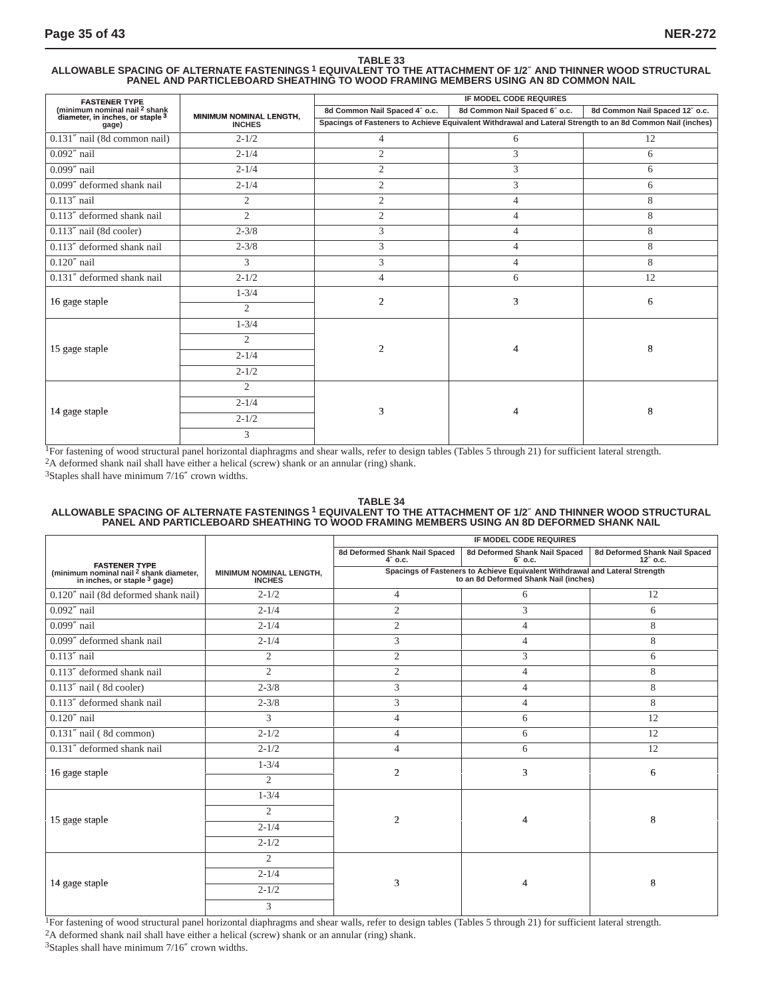# TABLE 33<br>ALLOWABLE SPACING OF ALTERNATE FASTENINGS <sup>1</sup> EQUIVALENT TO THE ATTACHMENT OF 1/2″ AND THINNER WOOD STRUCTURAL<br>PANEL AND PARTICLEBOARD SHEATHING TO WOOD FRAMING MEMBERS USING AN 8D COMMON NAIL

| <b>FASTENER TYPE</b>                                                                    |                         | IF MODEL CODE REQUIRES                                                                                    |                               |                                |  |  |
|-----------------------------------------------------------------------------------------|-------------------------|-----------------------------------------------------------------------------------------------------------|-------------------------------|--------------------------------|--|--|
| (minimum nominal nail <sup>2</sup> shank<br>diameter, in inches, or staple <sup>3</sup> | MINIMUM NOMINAL LENGTH, | 8d Common Nail Spaced 4" o.c.                                                                             | 8d Common Nail Spaced 6" o.c. | 8d Common Nail Spaced 12" o.c. |  |  |
| gage)                                                                                   | <b>INCHES</b>           | Spacings of Fasteners to Achieve Equivalent Withdrawal and Lateral Strength to an 8d Common Nail (inches) |                               |                                |  |  |
| 0.131" nail (8d common nail)                                                            | $2 - 1/2$               | $\overline{4}$                                                                                            | 6                             | 12                             |  |  |
| $0.092''$ nail                                                                          | $2 - 1/4$               | $\overline{2}$                                                                                            | 3                             | 6                              |  |  |
| $0.099''$ nail                                                                          | $2 - 1/4$               | $\overline{2}$                                                                                            | 3                             | 6                              |  |  |
| 0.099" deformed shank nail                                                              | $2 - 1/4$               | $\overline{2}$                                                                                            | 3                             | 6                              |  |  |
| $0.113''$ nail                                                                          | $\mathfrak{2}$          | 2                                                                                                         | $\overline{4}$                | 8                              |  |  |
| 0.113" deformed shank nail                                                              | $\overline{2}$          | $\overline{2}$                                                                                            | $\overline{4}$                | 8                              |  |  |
| $0.113''$ nail (8d cooler)                                                              | $2 - 3/8$               | 3                                                                                                         | $\overline{4}$                | 8                              |  |  |
| 0.113" deformed shank nail                                                              | $2 - 3/8$               | 3                                                                                                         | $\overline{4}$                | 8                              |  |  |
| $0.120''$ nail                                                                          | 3                       | 3                                                                                                         | $\overline{4}$                | 8                              |  |  |
| 0.131" deformed shank nail                                                              | $2 - 1/2$               | 4                                                                                                         | 6                             | 12                             |  |  |
|                                                                                         | $1 - 3/4$               | $\overline{2}$                                                                                            | 3                             | 6                              |  |  |
| 16 gage staple                                                                          | $\overline{2}$          |                                                                                                           |                               |                                |  |  |
|                                                                                         | $1 - 3/4$               |                                                                                                           |                               |                                |  |  |
|                                                                                         | $\overline{c}$          |                                                                                                           |                               |                                |  |  |
| 15 gage staple                                                                          | $2 - 1/4$               | $\overline{2}$                                                                                            | 4                             | 8                              |  |  |
|                                                                                         | $2 - 1/2$               |                                                                                                           |                               |                                |  |  |
|                                                                                         | $\overline{2}$          |                                                                                                           |                               |                                |  |  |
|                                                                                         | $2 - 1/4$               |                                                                                                           | 4                             |                                |  |  |
| 14 gage staple                                                                          | $2 - 1/2$               | 3                                                                                                         |                               | 8                              |  |  |
|                                                                                         | 3                       |                                                                                                           |                               |                                |  |  |

<sup>1</sup>For fastening of wood structural panel horizontal diaphragms and shear walls, refer to design tables (Tables 5 through 21) for sufficient lateral strength. 2A deformed shank nail shall have either a helical (screw) shank or an annular (ring) shank.

3Staples shall have minimum 7/16″ crown widths.

# TABLE 34<br>ALLOWABLE SPACING OF ALTERNATE FASTENINGS <sup>1</sup> EQUIVALENT TO THE ATTACHMENT OF 1/2″ AND THINNER WOOD STRUCTURAL<br>PANEL AND PARTICLEBOARD SHEATHING TO WOOD FRAMING MEMBERS USING AN 8D DEFORMED SHANK NAIL

|                                                                                                                |                                          | IF MODEL CODE REQUIRES                      |                                                                                                                      |                                           |  |
|----------------------------------------------------------------------------------------------------------------|------------------------------------------|---------------------------------------------|----------------------------------------------------------------------------------------------------------------------|-------------------------------------------|--|
|                                                                                                                |                                          | 8d Deformed Shank Nail Spaced<br>$4''$ o.c. | 8d Deformed Shank Nail Spaced<br>$6''$ o.c.                                                                          | 8d Deformed Shank Nail Spaced<br>12" o.c. |  |
| FASTENER TYPE<br>(minimum nominal nail <sup>2</sup> shank diameter,<br>in inches, or staple <sup>3</sup> gage) | MINIMUM NOMINAL LENGTH,<br><b>INCHES</b> |                                             | Spacings of Fasteners to Achieve Equivalent Withdrawal and Lateral Strength<br>to an 8d Deformed Shank Nail (inches) |                                           |  |
| 0.120" nail (8d deformed shank nail)                                                                           | $2 - 1/2$                                | 4                                           | 6                                                                                                                    | 12                                        |  |
| $0.092''$ nail                                                                                                 | $2 - 1/4$                                | $\overline{c}$                              | 3                                                                                                                    | 6                                         |  |
| $0.099''$ nail                                                                                                 | $2 - 1/4$                                | $\overline{2}$                              | $\overline{4}$                                                                                                       | 8                                         |  |
| 0.099" deformed shank nail                                                                                     | $2 - 1/4$                                | 3                                           | 4                                                                                                                    | 8                                         |  |
| $0.113''$ nail                                                                                                 | $\overline{2}$                           | $\overline{2}$                              | 3                                                                                                                    | 6                                         |  |
| 0.113" deformed shank nail                                                                                     | $\overline{c}$                           | $\overline{2}$                              | 4                                                                                                                    | 8                                         |  |
| $0.113''$ nail (8d cooler)                                                                                     | $2 - 3/8$                                | 3                                           | 4                                                                                                                    | 8                                         |  |
| 0.113" deformed shank nail                                                                                     | $2 - 3/8$                                | 3                                           | 4                                                                                                                    | 8                                         |  |
| $0.120''$ nail                                                                                                 | 3                                        | $\overline{4}$                              | 6                                                                                                                    | 12                                        |  |
| 0.131" nail (8d common)                                                                                        | $2 - 1/2$                                | $\overline{4}$                              | 6                                                                                                                    | 12                                        |  |
| 0.131" deformed shank nail                                                                                     | $2 - 1/2$                                | $\overline{4}$                              | 6                                                                                                                    | 12                                        |  |
|                                                                                                                | $1 - \frac{3}{4}$                        |                                             |                                                                                                                      |                                           |  |
| 16 gage staple                                                                                                 | $\overline{2}$                           | $\overline{2}$                              | 3                                                                                                                    | 6                                         |  |
|                                                                                                                | $1 - 3/4$                                |                                             |                                                                                                                      |                                           |  |
|                                                                                                                | $\overline{2}$                           |                                             |                                                                                                                      |                                           |  |
| 15 gage staple                                                                                                 | $2 - 1/4$                                | $\overline{2}$                              | $\overline{4}$                                                                                                       | 8                                         |  |
|                                                                                                                | $2 - 1/2$                                |                                             |                                                                                                                      |                                           |  |
|                                                                                                                | $\overline{2}$                           |                                             |                                                                                                                      |                                           |  |
|                                                                                                                | $2 - 1/4$                                |                                             |                                                                                                                      |                                           |  |
| 14 gage staple                                                                                                 | $2 - 1/2$                                | 3                                           | $\overline{4}$                                                                                                       | 8                                         |  |
|                                                                                                                | 3                                        |                                             |                                                                                                                      |                                           |  |

<sup>1</sup>For fastening of wood structural panel horizontal diaphragms and shear walls, refer to design tables (Tables 5 through 21) for sufficient lateral strength. 2A deformed shank nail shall have either a helical (screw) shank or an annular (ring) shank.

3Staples shall have minimum 7/16″ crown widths.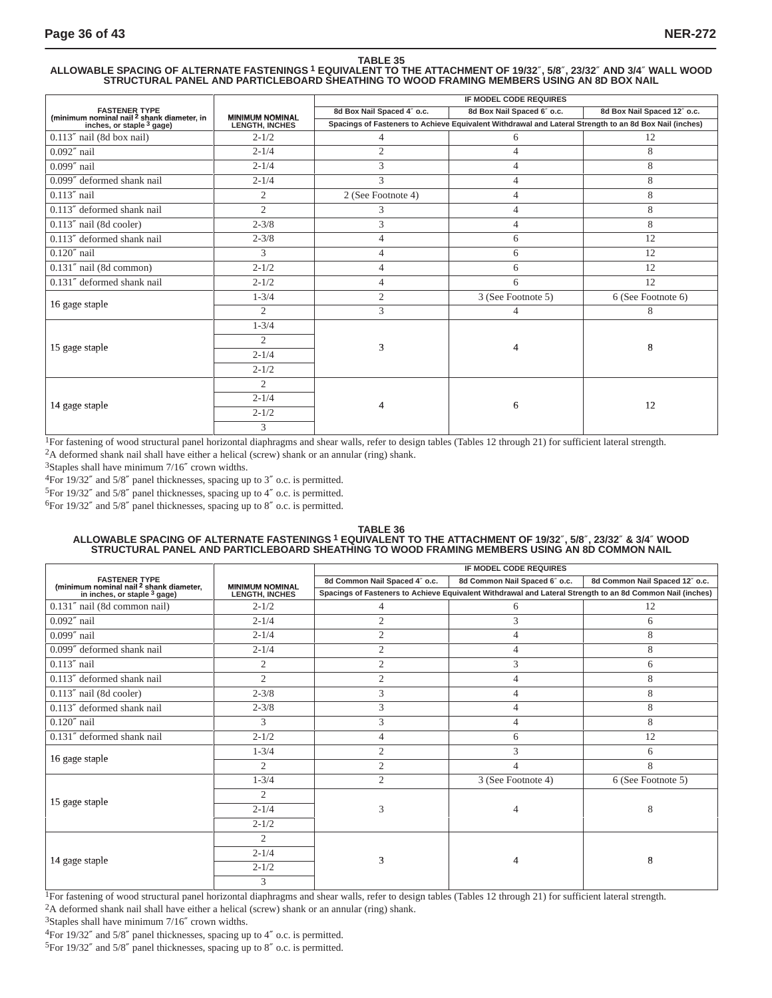### **TABLE 35**

ALLOWABLE SPACING OF ALTERNATE FASTENINGS <sup>1</sup> EQUIVALENT TO THE ATTACHMENT OF 19/32″, 5/8″, 23/32″ AND 3/4″ WALL WOOD<br>STRUCTURAL PANEL AND PARTICLEBOARD SHEATHING TO WOOD FRAMING MEMBERS USING AN 8D BOX NAIL

|                                                                                      |                        | IF MODEL CODE REQUIRES                                                                                 |                            |                             |  |  |
|--------------------------------------------------------------------------------------|------------------------|--------------------------------------------------------------------------------------------------------|----------------------------|-----------------------------|--|--|
| <b>FASTENER TYPE</b>                                                                 | <b>MINIMUM NOMINAL</b> | 8d Box Nail Spaced 4" o.c.                                                                             | 8d Box Nail Spaced 6" o.c. | 8d Box Nail Spaced 12" o.c. |  |  |
| (minimum nominal nail <sup>2</sup> shank diameter, in<br>inches, or staple $3$ gage) | <b>LENGTH, INCHES</b>  | Spacings of Fasteners to Achieve Equivalent Withdrawal and Lateral Strength to an 8d Box Nail (inches) |                            |                             |  |  |
| 0.113" nail (8d box nail)                                                            | $2 - 1/2$              | $\overline{4}$                                                                                         | 6                          | 12                          |  |  |
| $0.092''$ nail                                                                       | $2 - 1/4$              | $\overline{2}$                                                                                         | $\overline{4}$             | 8                           |  |  |
| $0.099''$ nail                                                                       | $2 - 1/4$              | 3                                                                                                      | $\overline{4}$             | 8                           |  |  |
| 0.099" deformed shank nail                                                           | $2 - 1/4$              | 3                                                                                                      | 4                          | 8                           |  |  |
| $0.113''$ nail                                                                       | $\overline{2}$         | 2 (See Footnote 4)                                                                                     | $\overline{4}$             | 8                           |  |  |
| 0.113" deformed shank nail                                                           | $\overline{2}$         | 3                                                                                                      | $\overline{4}$             | 8                           |  |  |
| $0.113''$ nail (8d cooler)                                                           | $2 - 3/8$              | 3                                                                                                      | $\overline{4}$             | 8                           |  |  |
| 0.113" deformed shank nail                                                           | $2 - 3/8$              | 4                                                                                                      | 6                          | 12                          |  |  |
| $0.120''$ nail                                                                       | 3                      | $\overline{4}$                                                                                         | 6                          | 12                          |  |  |
| $0.131''$ nail (8d common)                                                           | $2 - 1/2$              | 4                                                                                                      | 6                          | 12                          |  |  |
| 0.131" deformed shank nail                                                           | $2 - 1/2$              | 4                                                                                                      | 6                          | 12                          |  |  |
| 16 gage staple                                                                       | $1 - 3/4$              | $\mathfrak{2}$                                                                                         | 3 (See Footnote 5)         | 6 (See Footnote 6)          |  |  |
|                                                                                      | $\overline{2}$         | 3                                                                                                      | $\overline{4}$             | 8                           |  |  |
|                                                                                      | $1 - 3/4$              |                                                                                                        |                            |                             |  |  |
| 15 gage staple                                                                       | $\overline{2}$         | 3                                                                                                      | 4                          | 8                           |  |  |
|                                                                                      | $2 - 1/4$              |                                                                                                        |                            |                             |  |  |
|                                                                                      | $2 - 1/2$              |                                                                                                        |                            |                             |  |  |
|                                                                                      | $\overline{2}$         |                                                                                                        |                            |                             |  |  |
| 14 gage staple                                                                       | $2 - 1/4$              | 4                                                                                                      |                            | 12                          |  |  |
|                                                                                      | $2 - 1/2$              |                                                                                                        | 6                          |                             |  |  |
|                                                                                      | 3                      |                                                                                                        |                            |                             |  |  |

<sup>1</sup>For fastening of wood structural panel horizontal diaphragms and shear walls, refer to design tables (Tables 12 through 21) for sufficient lateral strength. 2A deformed shank nail shall have either a helical (screw) shank or an annular (ring) shank.

3Staples shall have minimum 7/16″ crown widths.

4For 19/32″ and 5/8″ panel thicknesses, spacing up to 3″ o.c. is permitted.

5For 19/32″ and 5/8″ panel thicknesses, spacing up to 4″ o.c. is permitted.

6For 19/32″ and 5/8″ panel thicknesses, spacing up to 8″ o.c. is permitted.

#### **TABLE 36**

# ALLOWABLE SPACING OF ALTERNATE FASTENINGS <sup>1</sup> EQUIVALENT TO THE ATTACHMENT OF 19/32″, 5/8″, 23/32″ & 3/4″ WOOD<br>STRUCTURAL PANEL AND PARTICLEBOARD SHEATHING TO WOOD FRAMING MEMBERS USING AN 8D COMMON NAIL

|                                                                               |                        | <b>IF MODEL CODE REQUIRES</b> |                                                                                                           |                                |  |
|-------------------------------------------------------------------------------|------------------------|-------------------------------|-----------------------------------------------------------------------------------------------------------|--------------------------------|--|
| <b>FASTENER TYPE</b>                                                          | <b>MINIMUM NOMINAL</b> | 8d Common Nail Spaced 4" o.c. | 8d Common Nail Spaced 6" o.c.                                                                             | 8d Common Nail Spaced 12" o.c. |  |
| (minimum nominal nail $^2$ shank diameter,<br>in inches, or staple $^3$ gage) | <b>LENGTH, INCHES</b>  |                               | Spacings of Fasteners to Achieve Equivalent Withdrawal and Lateral Strength to an 8d Common Nail (inches) |                                |  |
| 0.131" nail (8d common nail)                                                  | $2 - 1/2$              | 4                             | 6                                                                                                         | 12                             |  |
| $0.092''$ nail                                                                | $2 - 1/4$              | $\overline{2}$                | 3                                                                                                         | 6                              |  |
| $0.099''$ nail                                                                | $2 - 1/4$              | $\overline{2}$                | $\overline{4}$                                                                                            | 8                              |  |
| 0.099" deformed shank nail                                                    | $2 - 1/4$              | $\mathfrak{2}$                | 4                                                                                                         | 8                              |  |
| $0.113''$ nail                                                                | $\overline{2}$         | $\overline{2}$                | 3                                                                                                         | 6                              |  |
| 0.113" deformed shank nail                                                    | $\overline{2}$         | 2                             | $\overline{4}$                                                                                            | 8                              |  |
| $0.113''$ nail (8d cooler)                                                    | $2 - 3/8$              | 3                             | $\overline{4}$                                                                                            | 8                              |  |
| 0.113" deformed shank nail                                                    | $2 - 3/8$              | 3                             | $\overline{4}$                                                                                            | 8                              |  |
| $0.120''$ nail                                                                | 3                      | 3                             | $\overline{4}$                                                                                            | 8                              |  |
| 0.131" deformed shank nail                                                    | $2 - 1/2$              | $\overline{4}$                | 6                                                                                                         | 12                             |  |
| 16 gage staple                                                                | $1 - 3/4$              | $\overline{2}$                | 3                                                                                                         | 6                              |  |
|                                                                               | $\overline{2}$         | $\overline{2}$                | $\overline{4}$                                                                                            | 8                              |  |
|                                                                               | $1 - 3/4$              | $\overline{c}$                | 3 (See Footnote 4)                                                                                        | 6 (See Footnote 5)             |  |
|                                                                               | $\overline{c}$         |                               |                                                                                                           |                                |  |
| 15 gage staple                                                                | $2 - 1/4$              | 3                             | 4                                                                                                         | 8                              |  |
|                                                                               | $2 - 1/2$              |                               |                                                                                                           |                                |  |
|                                                                               | $\overline{2}$         |                               |                                                                                                           |                                |  |
|                                                                               | $2 - 1/4$              | 3                             | 4                                                                                                         |                                |  |
| 14 gage staple                                                                | $2 - 1/2$              |                               |                                                                                                           | 8                              |  |
|                                                                               | 3                      |                               |                                                                                                           |                                |  |

<sup>1</sup>For fastening of wood structural panel horizontal diaphragms and shear walls, refer to design tables (Tables 12 through 21) for sufficient lateral strength.

2A deformed shank nail shall have either a helical (screw) shank or an annular (ring) shank.

3Staples shall have minimum 7/16″ crown widths.

4For 19/32″ and 5/8″ panel thicknesses, spacing up to 4″ o.c. is permitted.

5For 19/32″ and 5/8″ panel thicknesses, spacing up to 8″ o.c. is permitted.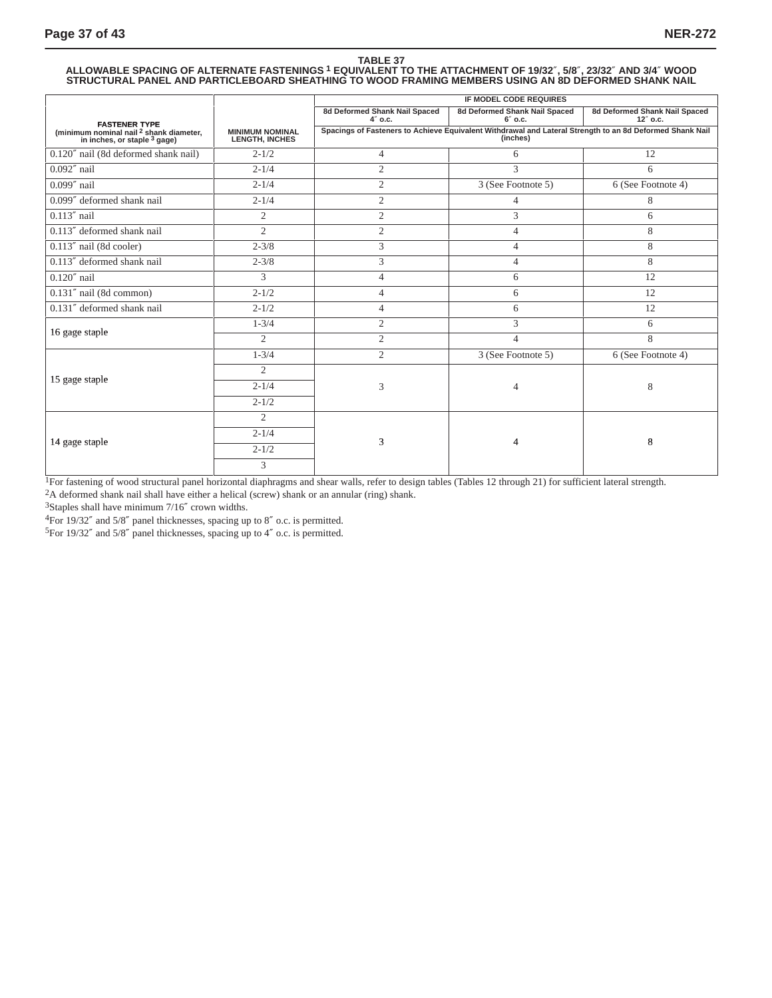# TABLE 37<br>ALLOWABLE SPACING OF ALTERNATE FASTENINGS <sup>1</sup> EQUIVALENT TO THE ATTACHMENT OF 19/32″, 5/8″, 23/32″ AND 3/4″ WOOD<br>STRUCTURAL PANEL AND PARTICLEBOARD SHEATHING TO WOOD FRAMING MEMBERS USING AN 8D DEFORMED SHANK NAIL

|                                                                               |                                                 | <b>IF MODEL CODE REQUIRES</b>                                                                                        |                                             |                                           |  |
|-------------------------------------------------------------------------------|-------------------------------------------------|----------------------------------------------------------------------------------------------------------------------|---------------------------------------------|-------------------------------------------|--|
| <b>FASTENER TYPE</b>                                                          |                                                 | 8d Deformed Shank Nail Spaced<br>4" o.c.                                                                             | 8d Deformed Shank Nail Spaced<br>$6''$ o.c. | 8d Deformed Shank Nail Spaced<br>12" o.c. |  |
| (minimum nominal nail $^2$ shank diameter,<br>in inches, or staple $^3$ gage) | <b>MINIMUM NOMINAL</b><br><b>LENGTH, INCHES</b> | Spacings of Fasteners to Achieve Equivalent Withdrawal and Lateral Strength to an 8d Deformed Shank Nail<br>(inches) |                                             |                                           |  |
| 0.120" nail (8d deformed shank nail)                                          | $2 - 1/2$                                       | $\overline{4}$                                                                                                       | 6                                           | 12                                        |  |
| $0.092''$ nail                                                                | $2 - 1/4$                                       | $\overline{2}$                                                                                                       | 3                                           | 6                                         |  |
| $0.099''$ nail                                                                | $2 - 1/4$                                       | $\overline{2}$                                                                                                       | 3 (See Footnote 5)                          | 6 (See Footnote 4)                        |  |
| 0.099" deformed shank nail                                                    | $2 - 1/4$                                       | $\overline{2}$                                                                                                       | $\overline{4}$                              | 8                                         |  |
| $0.113''$ nail                                                                | 2                                               | $\mathfrak{2}$                                                                                                       | 3                                           | 6                                         |  |
| 0.113" deformed shank nail                                                    | $\overline{2}$                                  | $\overline{2}$                                                                                                       | $\overline{4}$                              | 8                                         |  |
| 0.113" nail (8d cooler)                                                       | $2 - 3/8$                                       | 3                                                                                                                    | $\overline{4}$                              | 8                                         |  |
| 0.113" deformed shank nail                                                    | $2 - 3/8$                                       | 3                                                                                                                    | $\overline{4}$                              | 8                                         |  |
| $0.120''$ nail                                                                | 3                                               | $\overline{4}$                                                                                                       | 6                                           | 12                                        |  |
| 0.131" nail (8d common)                                                       | $2 - 1/2$                                       | 4                                                                                                                    | 6                                           | 12                                        |  |
| 0.131" deformed shank nail                                                    | $2 - 1/2$                                       | $\overline{4}$                                                                                                       | 6                                           | 12                                        |  |
|                                                                               | $1 - 3/4$                                       | $\overline{2}$                                                                                                       | 3                                           | 6                                         |  |
| 16 gage staple                                                                | $\overline{2}$                                  | $\overline{2}$                                                                                                       | $\overline{4}$                              | 8                                         |  |
|                                                                               | $1 - 3/4$                                       | $\overline{2}$                                                                                                       | 3 (See Footnote 5)                          | 6 (See Footnote 4)                        |  |
|                                                                               | $\overline{2}$                                  |                                                                                                                      |                                             |                                           |  |
| 15 gage staple                                                                | $2 - 1/4$                                       | 3                                                                                                                    | $\overline{4}$                              | 8                                         |  |
|                                                                               | $2 - 1/2$                                       |                                                                                                                      |                                             |                                           |  |
|                                                                               | $\overline{2}$                                  |                                                                                                                      |                                             |                                           |  |
|                                                                               | $2 - 1/4$                                       |                                                                                                                      |                                             |                                           |  |
| 14 gage staple                                                                | $2 - 1/2$                                       | 3                                                                                                                    | 4                                           | 8                                         |  |
|                                                                               | 3                                               |                                                                                                                      |                                             |                                           |  |

<sup>1</sup>For fastening of wood structural panel horizontal diaphragms and shear walls, refer to design tables (Tables 12 through 21) for sufficient lateral strength. 2A deformed shank nail shall have either a helical (screw) shank or an annular (ring) shank.

3Staples shall have minimum 7/16″ crown widths.

4For 19/32″ and 5/8″ panel thicknesses, spacing up to 8″ o.c. is permitted.

5For 19/32″ and 5/8″ panel thicknesses, spacing up to 4″ o.c. is permitted.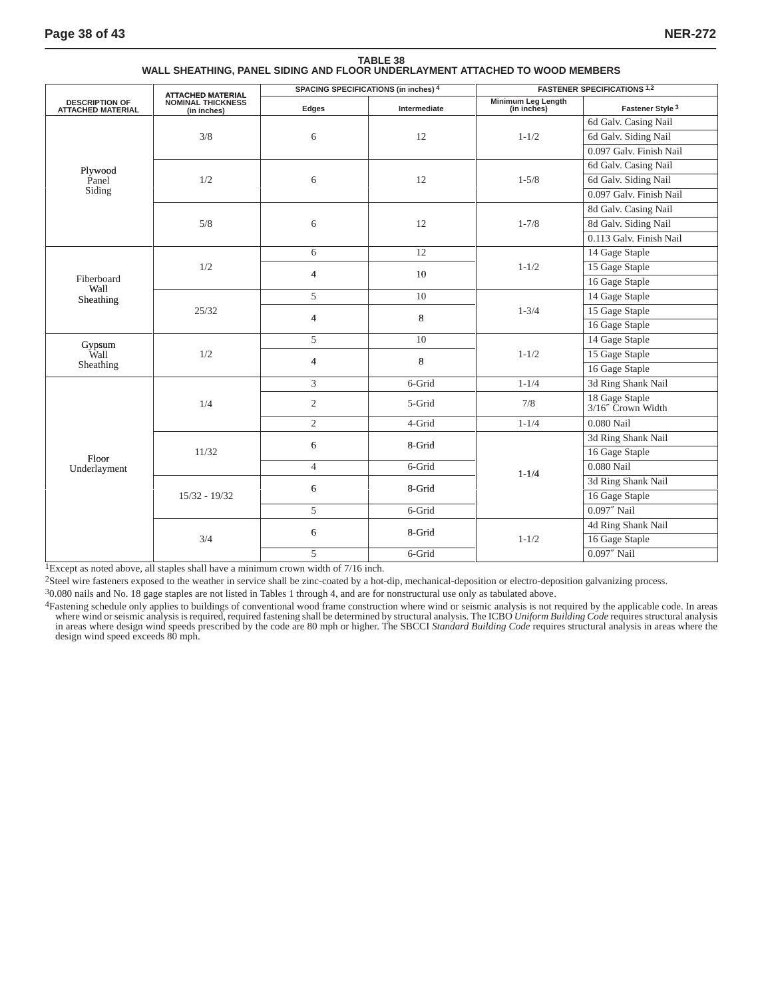|                                                   |                                                                     |                | SPACING SPECIFICATIONS (in inches) 4 | <b>FASTENER SPECIFICATIONS 1,2</b> |                                     |
|---------------------------------------------------|---------------------------------------------------------------------|----------------|--------------------------------------|------------------------------------|-------------------------------------|
| <b>DESCRIPTION OF</b><br><b>ATTACHED MATERIAL</b> | <b>ATTACHED MATERIAL</b><br><b>NOMINAL THICKNESS</b><br>(in inches) | Edges          | Intermediate                         | Minimum Leg Length<br>(in inches)  | Fastener Style <sup>3</sup>         |
|                                                   |                                                                     |                |                                      |                                    | 6d Galv. Casing Nail                |
|                                                   | 3/8                                                                 | 6              | 12                                   | $1 - 1/2$                          | 6d Galv. Siding Nail                |
|                                                   |                                                                     |                |                                      |                                    | 0.097 Galv. Finish Nail             |
| Plywood                                           |                                                                     |                |                                      |                                    | 6d Galv. Casing Nail                |
| Panel                                             | 1/2                                                                 | 6              | 12                                   | $1 - 5/8$                          | 6d Galv. Siding Nail                |
| Siding                                            |                                                                     |                |                                      |                                    | 0.097 Galv. Finish Nail             |
|                                                   |                                                                     |                |                                      |                                    | 8d Galv. Casing Nail                |
|                                                   | 5/8                                                                 | 6              | 12                                   | $1 - 7/8$                          | 8d Galv. Siding Nail                |
|                                                   |                                                                     |                |                                      |                                    | 0.113 Galv. Finish Nail             |
|                                                   |                                                                     | 6              | 12                                   |                                    | 14 Gage Staple                      |
|                                                   | 1/2                                                                 | $\overline{4}$ | 10                                   | $1 - 1/2$                          | 15 Gage Staple                      |
| Fiberboard<br>Wall                                |                                                                     |                |                                      |                                    | 16 Gage Staple                      |
| Sheathing                                         | 25/32                                                               | $\overline{5}$ | $\overline{10}$                      | $1 - 3/4$                          | 14 Gage Staple                      |
|                                                   |                                                                     | $\overline{4}$ | $\,8\,$                              |                                    | 15 Gage Staple                      |
|                                                   |                                                                     |                |                                      |                                    | 16 Gage Staple                      |
| Gypsum                                            | 1/2                                                                 | 5              | 10                                   | $1 - 1/2$                          | 14 Gage Staple                      |
| Wall                                              |                                                                     | $\overline{4}$ | 8                                    |                                    | 15 Gage Staple                      |
| Sheathing                                         |                                                                     |                |                                      |                                    | 16 Gage Staple                      |
|                                                   | 1/4                                                                 | 3              | 6-Grid                               | $1 - 1/4$                          | 3d Ring Shank Nail                  |
|                                                   |                                                                     | $\overline{c}$ | 5-Grid                               | 7/8                                | 18 Gage Staple<br>3/16" Crown Width |
|                                                   |                                                                     | $\overline{2}$ | 4-Grid                               | $1 - 1/4$                          | 0.080 Nail                          |
|                                                   |                                                                     | 6              | 8-Grid                               |                                    | 3d Ring Shank Nail                  |
| Floor                                             | 11/32                                                               |                |                                      |                                    | 16 Gage Staple                      |
| Underlayment                                      |                                                                     | $\overline{4}$ | $6$ -Grid                            | $1 - 1/4$                          | $0.080$ Nail                        |
|                                                   |                                                                     | 6              | 8-Grid                               |                                    | 3d Ring Shank Nail                  |
|                                                   | $15/32 - 19/32$                                                     |                |                                      |                                    | 16 Gage Staple                      |
|                                                   |                                                                     | 5              | 6-Grid                               |                                    | $0.097''$ Nail                      |
|                                                   |                                                                     | 6              | 8-Grid                               |                                    | 4d Ring Shank Nail                  |
|                                                   | 3/4                                                                 |                |                                      | $1 - 1/2$                          | 16 Gage Staple                      |
|                                                   |                                                                     | 5              | 6-Grid                               |                                    | $0.097''$ Nail                      |

**TABLE 38 WALL SHEATHING, PANEL SIDING AND FLOOR UNDERLAYMENT ATTACHED TO WOOD MEMBERS**

1Except as noted above, all staples shall have a minimum crown width of 7/16 inch.

2Steel wire fasteners exposed to the weather in service shall be zinc-coated by a hot-dip, mechanical-deposition or electro-deposition galvanizing process.

30.080 nails and No. 18 gage staples are not listed in Tables 1 through 4, and are for nonstructural use only as tabulated above.

<sup>4</sup>Fastening schedule only applies to buildings of conventional wood frame construction where wind or seismic analysis is not required by the applicable code. In areas where wind or seismic analysis is required, required f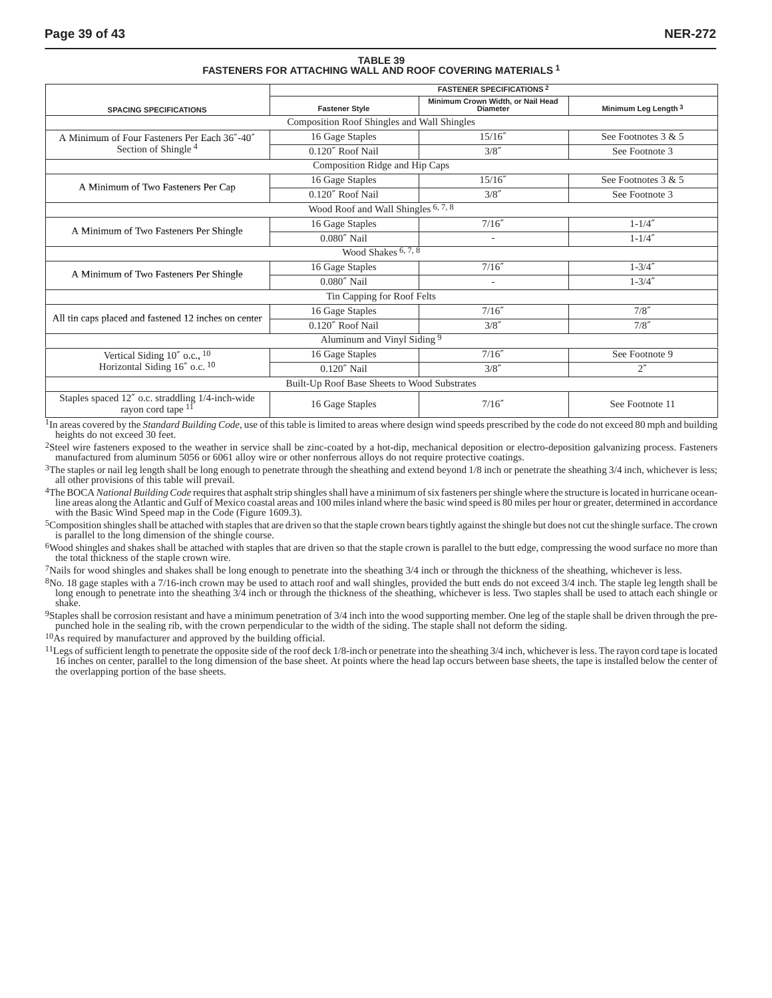# **TABLE 39 FASTENERS FOR ATTACHING WALL AND ROOF COVERING MATERIALS 1**

|                                                                        | <b>FASTENER SPECIFICATIONS 2</b>            |                                                      |                                 |  |  |
|------------------------------------------------------------------------|---------------------------------------------|------------------------------------------------------|---------------------------------|--|--|
| <b>SPACING SPECIFICATIONS</b>                                          | <b>Fastener Style</b>                       | Minimum Crown Width, or Nail Head<br><b>Diameter</b> | Minimum Leg Length <sup>3</sup> |  |  |
|                                                                        | Composition Roof Shingles and Wall Shingles |                                                      |                                 |  |  |
| A Minimum of Four Fasteners Per Each 36"-40"                           | 16 Gage Staples                             | 15/16''                                              | See Footnotes $3 & 5$           |  |  |
| Section of Shingle <sup>4</sup>                                        | 0.120" Roof Nail                            | 3/8''                                                | See Footnote 3                  |  |  |
|                                                                        | Composition Ridge and Hip Caps              |                                                      |                                 |  |  |
|                                                                        | 16 Gage Staples                             | 15/16''                                              | See Footnotes 3 & 5             |  |  |
| A Minimum of Two Fasteners Per Cap                                     | 0.120" Roof Nail                            | 3/8''                                                | See Footnote 3                  |  |  |
| Wood Roof and Wall Shingles <sup>6, 7, 8</sup>                         |                                             |                                                      |                                 |  |  |
|                                                                        | 16 Gage Staples                             | 7/16''                                               | $1 - 1/4''$                     |  |  |
| A Minimum of Two Fasteners Per Shingle                                 | $0.080''$ Nail                              | $\overline{\phantom{a}}$                             | $1 - 1/4''$                     |  |  |
|                                                                        | Wood Shakes 6, 7, 8                         |                                                      |                                 |  |  |
| A Minimum of Two Fasteners Per Shingle                                 | 16 Gage Staples                             | 7/16''                                               | $1 - 3/4''$                     |  |  |
|                                                                        | $0.080''$ Nail                              |                                                      | $1 - 3/4''$                     |  |  |
|                                                                        | Tin Capping for Roof Felts                  |                                                      |                                 |  |  |
| All tin caps placed and fastened 12 inches on center                   | 16 Gage Staples                             | 7/16''                                               | 7/8''                           |  |  |
|                                                                        | 0.120" Roof Nail                            | 3/8''                                                | 7/8''                           |  |  |
|                                                                        | Aluminum and Vinyl Siding <sup>9</sup>      |                                                      |                                 |  |  |
| Vertical Siding $10''$ o.c., $10$                                      | 16 Gage Staples                             | 7/16''                                               | See Footnote 9                  |  |  |
| Horizontal Siding 16" o.c. 10                                          | $0.120''$ Nail                              | 3/8''                                                | $2^{\prime\prime}$              |  |  |
| Built-Up Roof Base Sheets to Wood Substrates                           |                                             |                                                      |                                 |  |  |
| Staples spaced 12" o.c. straddling 1/4-inch-wide<br>rayon cord tape 11 | 16 Gage Staples                             | 7/16''                                               | See Footnote 11                 |  |  |

<sup>1</sup>In areas covered by the *Standard Building Code*, use of this table is limited to areas where design wind speeds prescribed by the code do not exceed 80 mph and building heights do not exceed 30 feet.

2Steel wire fasteners exposed to the weather in service shall be zinc-coated by a hot-dip, mechanical deposition or electro-deposition galvanizing process. Fasteners manufactured from aluminum 5056 or 6061 alloy wire or other nonferrous alloys do not require protective coatings.

 $3$ The staples or nail leg length shall be long enough to penetrate through the sheathing and extend beyond  $1/8$  inch or penetrate the sheathing  $3/4$  inch, whichever is less; all other provisions of this table will prevail.

<sup>4</sup>The BOCA *National Building Code* requires that asphalt strip shingles shall have a minimum of six fasteners per shingle where the structure is located in hurricane ocean-<br>line areas along the Atlantic and Gulf of Mexic with the Basic Wind Speed map in the Code (Figure 1609.3).

5Composition shingles shall be attached with staples that are driven so that the staple crown bears tightly against the shingle but does not cut the shingle surface. The crown is parallel to the long dimension of the shingle course.

6Wood shingles and shakes shall be attached with staples that are driven so that the staple crown is parallel to the butt edge, compressing the wood surface no more than the total thickness of the staple crown wire.

7Nails for wood shingles and shakes shall be long enough to penetrate into the sheathing 3/4 inch or through the thickness of the sheathing, whichever is less.

<sup>8</sup>No. 18 gage staples with a 7/16-inch crown may be used to attach roof and wall shingles, provided the butt ends do not exceed 3/4 inch. The staple leg length shall be long enough to penetrate into the sheathing 3/4 inch shake.

9Staples shall be corrosion resistant and have a minimum penetration of 3/4 inch into the wood supporting member. One leg of the staple shall be driven through the prepunched hole in the sealing rib, with the crown perpendicular to the width of the siding. The staple shall not deform the siding.

 $10$ As required by manufacturer and approved by the building official.

<sup>11</sup>Legs of sufficient length to penetrate the opposite side of the roof deck 1/8-inch or penetrate into the sheathing 3/4 inch, whichever is less. The rayon cord tape is located 16 inches on center, parallel to the long dimension of the base sheet. At points where the head lap occurs between base sheets, the tape is installed below the center of the overlapping portion of the base sheets.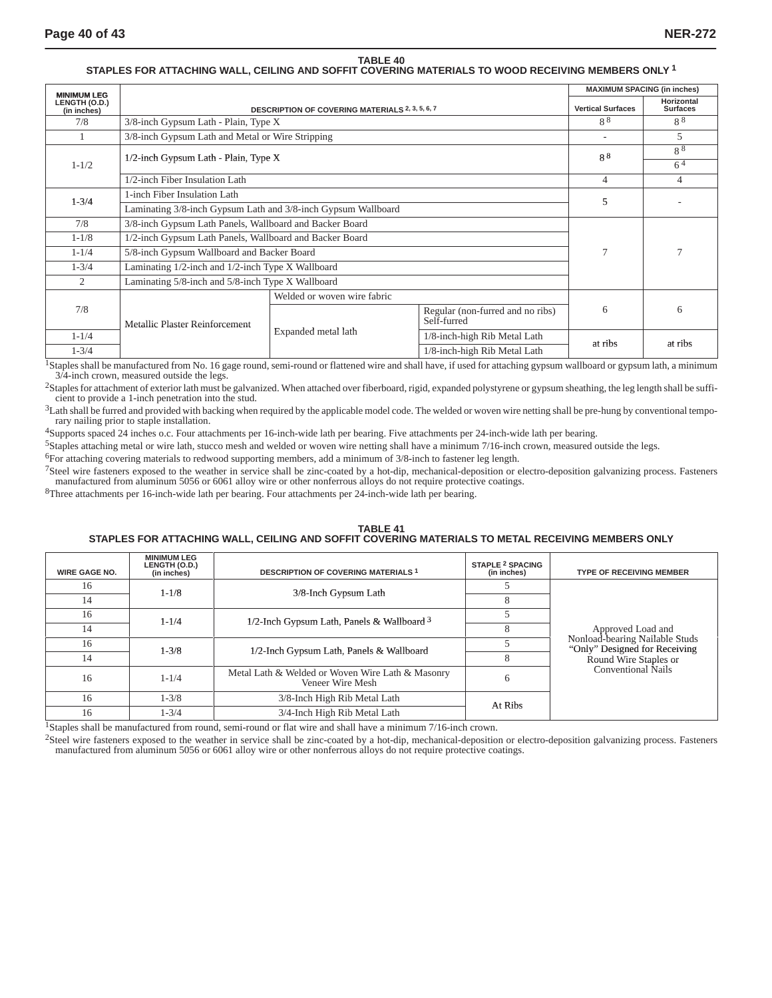#### **TABLE 40 STAPLES FOR ATTACHING WALL, CEILING AND SOFFIT COVERING MATERIALS TO WOOD RECEIVING MEMBERS ONLY 1**

| <b>MINIMUM LEG</b>           |                                                               |                                                        | <b>MAXIMUM SPACING (in inches)</b>              |                          |                               |
|------------------------------|---------------------------------------------------------------|--------------------------------------------------------|-------------------------------------------------|--------------------------|-------------------------------|
| LENGTH (O.D.)<br>(in inches) |                                                               | <b>DESCRIPTION OF COVERING MATERIALS 2, 3, 5, 6, 7</b> |                                                 | <b>Vertical Surfaces</b> | Horizontal<br><b>Surfaces</b> |
| 7/8                          |                                                               | $3/8$ -inch Gypsum Lath - Plain, Type X                |                                                 |                          | 88                            |
|                              | 3/8-inch Gypsum Lath and Metal or Wire Stripping              |                                                        |                                                 | ٠                        | 5                             |
| $1 - 1/2$                    | 1/2-inch Gypsum Lath - Plain, Type X                          |                                                        |                                                 | 8 <sup>8</sup>           | 88<br>$6^{4}$                 |
|                              | 1/2-inch Fiber Insulation Lath                                |                                                        |                                                 | 4                        | 4                             |
|                              | 1-inch Fiber Insulation Lath                                  |                                                        |                                                 |                          |                               |
| $1 - 3/4$                    | Laminating 3/8-inch Gypsum Lath and 3/8-inch Gypsum Wallboard |                                                        |                                                 | 5                        |                               |
| 7/8                          | 3/8-inch Gypsum Lath Panels, Wallboard and Backer Board       |                                                        |                                                 |                          |                               |
| $1 - 1/8$                    | 1/2-inch Gypsum Lath Panels, Wallboard and Backer Board       |                                                        |                                                 |                          |                               |
| $1 - 1/4$                    | 5/8-inch Gypsum Wallboard and Backer Board                    |                                                        |                                                 |                          |                               |
| $1 - \frac{3}{4}$            | Laminating 1/2-inch and 1/2-inch Type X Wallboard             |                                                        |                                                 |                          |                               |
| 2                            | Laminating 5/8-inch and 5/8-inch Type X Wallboard             |                                                        |                                                 |                          |                               |
|                              |                                                               | Welded or woven wire fabric                            |                                                 |                          |                               |
| 7/8                          | Metallic Plaster Reinforcement                                |                                                        | Regular (non-furred and no ribs)<br>Self-furred | 6                        | 6                             |
| $1 - 1/4$                    |                                                               | Expanded metal lath                                    | 1/8-inch-high Rib Metal Lath                    |                          |                               |
| $1 - \frac{3}{4}$            |                                                               |                                                        | 1/8-inch-high Rib Metal Lath                    | at ribs                  | at ribs                       |

<sup>1</sup>Staples shall be manufactured from No. 16 gage round, semi-round or flattened wire and shall have, if used for attaching gypsum wallboard or gypsum lath, a minimum 3/4-inch crown, measured outside the legs.

<sup>2</sup>Staples for attachment of exterior lath must be galvanized. When attached over fiberboard, rigid, expanded polystyrene or gypsum sheathing, the leg length shall be sufficient to provide a 1-inch penetration into the stud.

<sup>3</sup>Lath shall be furred and provided with backing when required by the applicable model code. The welded or woven wire netting shall be pre-hung by conventional temporary nailing prior to staple installation.

4Supports spaced 24 inches o.c. Four attachments per 16-inch-wide lath per bearing. Five attachments per 24-inch-wide lath per bearing.

5Staples attaching metal or wire lath, stucco mesh and welded or woven wire netting shall have a minimum 7/16-inch crown, measured outside the legs.

6For attaching covering materials to redwood supporting members, add a minimum of 3/8-inch to fastener leg length.

7Steel wire fasteners exposed to the weather in service shall be zinc-coated by a hot-dip, mechanical-deposition or electro-deposition galvanizing process. Fasteners manufactured from aluminum 5056 or 6061 alloy wire or other nonferrous alloys do not require protective coatings.

8Three attachments per 16-inch-wide lath per bearing. Four attachments per 24-inch-wide lath per bearing.

#### **TABLE 41 STAPLES FOR ATTACHING WALL, CEILING AND SOFFIT COVERING MATERIALS TO METAL RECEIVING MEMBERS ONLY**

| <b>WIRE GAGE NO.</b> | <b>MINIMUM LEG</b><br>LENGTH (O.D.)<br>(in inches) | <b>DESCRIPTION OF COVERING MATERIALS 1</b>                           | <b>STAPLE 2 SPACING</b><br>(in inches) | <b>TYPE OF RECEIVING MEMBER</b>                                 |
|----------------------|----------------------------------------------------|----------------------------------------------------------------------|----------------------------------------|-----------------------------------------------------------------|
| 16                   | $1 - 1/8$                                          | 3/8-Inch Gypsum Lath                                                 |                                        |                                                                 |
| 14                   |                                                    |                                                                      |                                        |                                                                 |
| 16                   | $1 - 1/4$                                          | 1/2-Inch Gypsum Lath, Panels & Wallboard $3$                         |                                        |                                                                 |
| 14                   |                                                    |                                                                      |                                        | Approved Load and                                               |
| 16                   | $1 - \frac{3}{8}$                                  | 1/2-Inch Gypsum Lath, Panels & Wallboard                             |                                        | Nonload-bearing Nailable Studs<br>"Only" Designed for Receiving |
| 14                   |                                                    |                                                                      |                                        | Round Wire Staples or                                           |
| 16                   | $1 - 1/4$                                          | Metal Lath & Welded or Woven Wire Lath & Masonry<br>Veneer Wire Mesh | 6                                      | Conventional Nails                                              |
| 16                   | $1 - 3/8$                                          | 3/8-Inch High Rib Metal Lath                                         | At Ribs                                |                                                                 |
| 16                   | $1 - 3/4$                                          | 3/4-Inch High Rib Metal Lath                                         |                                        |                                                                 |

<sup>1</sup>Staples shall be manufactured from round, semi-round or flat wire and shall have a minimum 7/16-inch crown.

2Steel wire fasteners exposed to the weather in service shall be zinc-coated by a hot-dip, mechanical-deposition or electro-deposition galvanizing process. Fasteners manufactured from aluminum 5056 or 6061 alloy wire or other nonferrous alloys do not require protective coatings.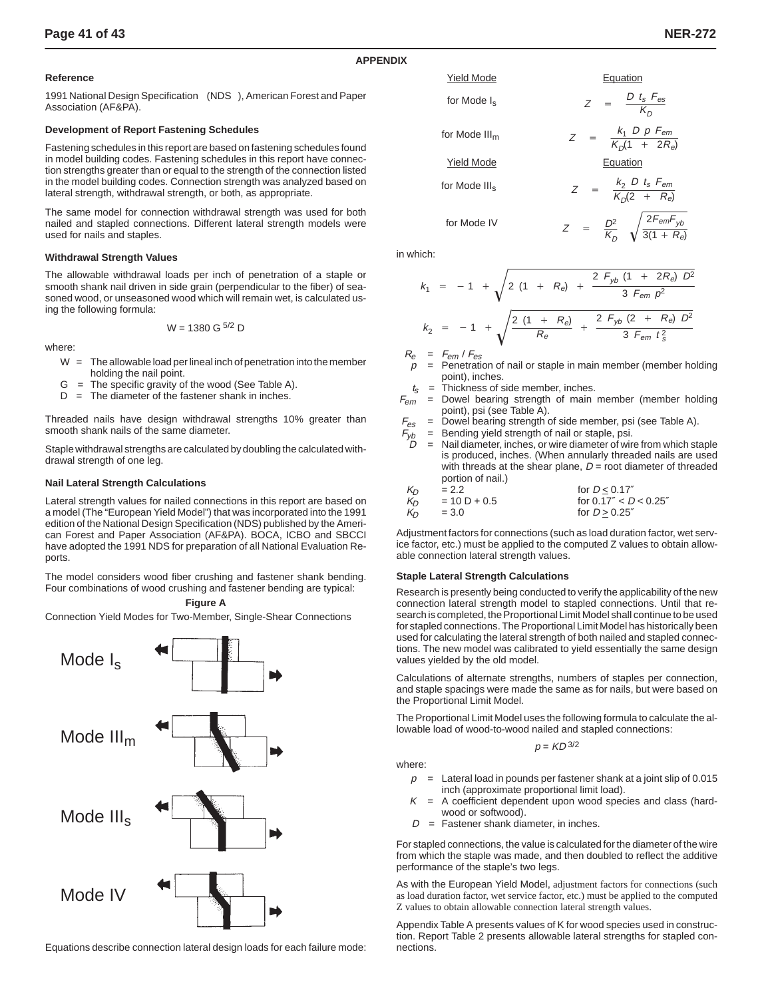#### **Reference**

1991 National Design Specification<sup>®</sup> (NDS<sup>®</sup>), American Forest and Paper Association (AF&PA).

#### **Development of Report Fastening Schedules**

Fastening schedules in this report are based on fastening schedules found in model building codes. Fastening schedules in this report have connection strengths greater than or equal to the strength of the connection listed in the model building codes. Connection strength was analyzed based on lateral strength, withdrawal strength, or both, as appropriate.

The same model for connection withdrawal strength was used for both nailed and stapled connections. Different lateral strength models were used for nails and staples.

#### **Withdrawal Strength Values**

The allowable withdrawal loads per inch of penetration of a staple or smooth shank nail driven in side grain (perpendicular to the fiber) of seasoned wood, or unseasoned wood which will remain wet, is calculated using the following formula:

$$
W = 1380 \text{ G}^{5/2} \text{ D}
$$

where:

- $W =$ The allowable load per lineal inch of penetration into the member holding the nail point.
- $G =$  The specific gravity of the wood (See Table A).
- $D =$ The diameter of the fastener shank in inches.

Threaded nails have design withdrawal strengths 10% greater than smooth shank nails of the same diameter.

Staple withdrawal strengths are calculated by doubling the calculated withdrawal strength of one leg.

#### **Nail Lateral Strength Calculations**

Lateral strength values for nailed connections in this report are based on a model (The "European Yield Model") that was incorporated into the 1991 edition of the National Design Specification (NDS) published by the American Forest and Paper Association (AF&PA). BOCA, ICBO and SBCCI have adopted the 1991 NDS for preparation of all National Evaluation Reports

The model considers wood fiber crushing and fastener shank bending. Four combinations of wood crushing and fastener bending are typical:

**Figure A**

Connection Yield Modes for Two-Member, Single-Shear Connections



Equations describe connection lateral design loads for each failure mode:



in which:

**APPENDIX**

$$
k_1 = -1 + \sqrt{2 (1 + R_e) + \frac{2 F_{yb} (1 + 2R_e) D^2}{3 F_{em} p^2}}
$$
  

$$
k_2 = -1 + \sqrt{\frac{2 (1 + R_e)}{R_e} + \frac{2 F_{yb} (2 + R_e) D^2}{3 F_{em} t_s^2}}
$$

 $R_e$  =  $F_{em}$  /  $F_{es}$ 

- = Penetration of nail or staple in main member (member holding point), inches.
- $t_s$  = Thickness of side member, inches.
- $F_{em}$  = Dowel bearing strength of main member (member holding point), psi (see Table A).
- $F_{\text{es}}$  = Dowel bearing strength of side member, psi (see Table A).
	- $=$  Bending yield strength of nail or staple, psi.
	- = Nail diameter, inches, or wire diameter of wire from which staple is produced, inches. (When annularly threaded nails are used with threads at the shear plane,  $D =$  root diameter of threaded portion of nail.)

| $K_{\Gamma}$ | $= 2.2$        | for $D < 0.17''$          |
|--------------|----------------|---------------------------|
| Kn           | $= 10 D + 0.5$ | for $0.17'' < D < 0.25''$ |
| $K_{\Omega}$ | $= 3.0$        | for $D > 0.25''$          |

Adjustment factors for connections (such as load duration factor, wet service factor, etc.) must be applied to the computed Z values to obtain allowable connection lateral strength values.

#### **Staple Lateral Strength Calculations**

Research is presently being conducted to verify the applicability of the new connection lateral strength model to stapled connections. Until that research is completed, the Proportional Limit Model shall continue to be used for stapled connections. The Proportional Limit Model has historically been used for calculating the lateral strength of both nailed and stapled connections. The new model was calibrated to yield essentially the same design values yielded by the old model.

Calculations of alternate strengths, numbers of staples per connection, and staple spacings were made the same as for nails, but were based on the Proportional Limit Model.

The Proportional Limit Model uses the following formula to calculate the allowable load of wood-to-wood nailed and stapled connections:

$$
p = KD^{3/2}
$$

where:

- $p =$  Lateral load in pounds per fastener shank at a joint slip of 0.015 inch (approximate proportional limit load).
- $K = A$  coefficient dependent upon wood species and class (hardwood or softwood).
- $D =$  Fastener shank diameter, in inches.

For stapled connections, the value is calculated for the diameter of the wire from which the staple was made, and then doubled to reflect the additive performance of the staple's two legs.

As with the European Yield Model, adjustment factors for connections (such as load duration factor, wet service factor, etc.) must be applied to the computed Z values to obtain allowable connection lateral strength values.

Appendix Table A presents values of K for wood species used in construction. Report Table 2 presents allowable lateral strengths for stapled connections.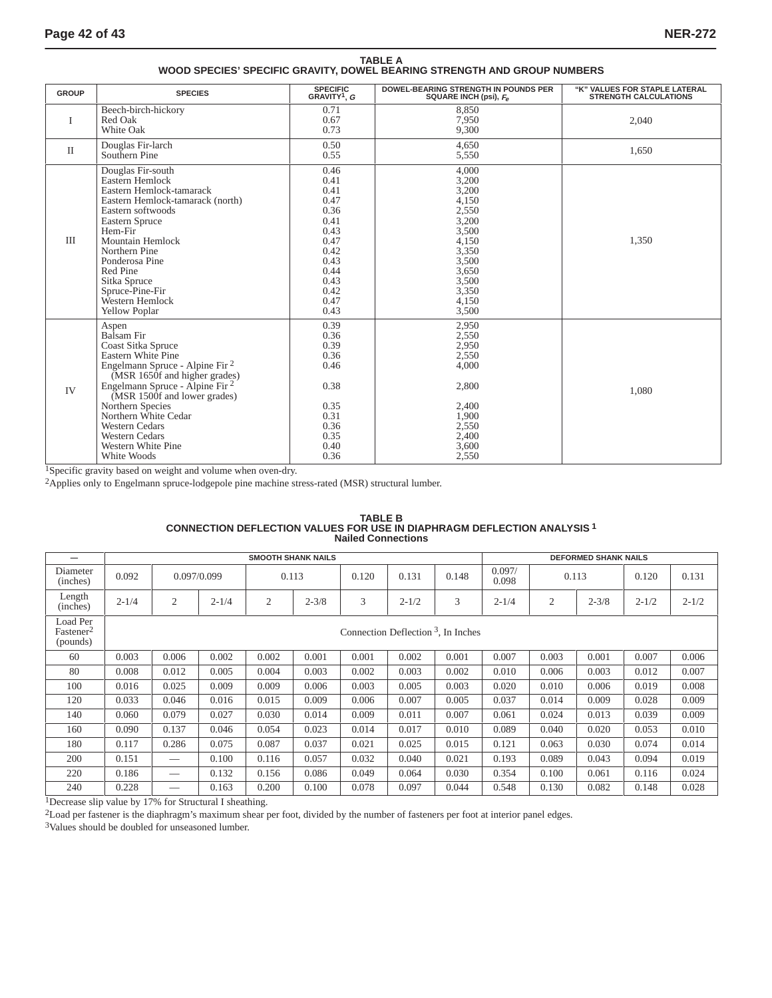## **TABLE A WOOD SPECIES' SPECIFIC GRAVITY, DOWEL BEARING STRENGTH AND GROUP NUMBERS**

| <b>GROUP</b>         | <b>SPECIES</b>                                                                                                                                                                                                                                                                                                                                                  | <b>SPECIFIC</b><br>GRAVITY <sup>1</sup> , G                                                                          | <b>DOWEL-BEARING STRENGTH IN POUNDS PER</b><br>SQUARE INCH (psi), F <sub>e</sub>                                                    | "K" VALUES FOR STAPLE LATERAL<br><b>STRENGTH CALCULATIONS</b> |
|----------------------|-----------------------------------------------------------------------------------------------------------------------------------------------------------------------------------------------------------------------------------------------------------------------------------------------------------------------------------------------------------------|----------------------------------------------------------------------------------------------------------------------|-------------------------------------------------------------------------------------------------------------------------------------|---------------------------------------------------------------|
| L                    | Beech-birch-hickory<br>Red Oak<br>White Oak                                                                                                                                                                                                                                                                                                                     | 0.71<br>0.67<br>0.73                                                                                                 | 8.850<br>7.950<br>9,300                                                                                                             | 2.040                                                         |
| $\scriptstyle\rm II$ | Douglas Fir-larch<br>Southern Pine                                                                                                                                                                                                                                                                                                                              | 0.50<br>0.55                                                                                                         | 4,650<br>5,550                                                                                                                      | 1.650                                                         |
| Ш                    | Douglas Fir-south<br>Eastern Hemlock<br>Eastern Hemlock-tamarack<br>Eastern Hemlock-tamarack (north)<br>Eastern softwoods<br><b>Eastern Spruce</b><br>Hem-Fir<br><b>Mountain Hemlock</b><br>Northern Pine<br>Ponderosa Pine<br>Red Pine<br>Sitka Spruce<br>Spruce-Pine-Fir<br>Western Hemlock<br><b>Yellow Poplar</b>                                           | 0.46<br>0.41<br>0.41<br>0.47<br>0.36<br>0.41<br>0.43<br>0.47<br>0.42<br>0.43<br>0.44<br>0.43<br>0.42<br>0.47<br>0.43 | 4,000<br>3,200<br>3,200<br>4,150<br>2,550<br>3,200<br>3,500<br>4,150<br>3,350<br>3,500<br>3,650<br>3,500<br>3,350<br>4,150<br>3,500 | 1,350                                                         |
| IV                   | Aspen<br>Balsam Fir<br>Coast Sitka Spruce<br>Eastern White Pine<br>Engelmann Spruce - Alpine Fir <sup>2</sup><br>(MSR 1650f and higher grades)<br>Engelmann Spruce - Alpine Fir <sup>2</sup><br>(MSR 1500f and lower grades)<br>Northern Species<br>Northern White Cedar<br><b>Western Cedars</b><br><b>Western Cedars</b><br>Western White Pine<br>White Woods | 0.39<br>0.36<br>0.39<br>0.36<br>0.46<br>0.38<br>0.35<br>0.31<br>0.36<br>0.35<br>0.40<br>0.36                         | 2,950<br>2,550<br>2,950<br>2,550<br>4,000<br>2,800<br>2,400<br>1,900<br>2,550<br>2,400<br>3,600<br>2,550                            | 1,080                                                         |

1Specific gravity based on weight and volume when oven-dry.

2Applies only to Engelmann spruce-lodgepole pine machine stress-rated (MSR) structural lumber.

|                                               | <b>SMOOTH SHANK NAILS</b>             |                                                                                                                                                                                                                                                                                                                                                                                       |           |       |           |       |           | <b>DEFORMED SHANK NAILS</b> |                 |                |           |           |           |
|-----------------------------------------------|---------------------------------------|---------------------------------------------------------------------------------------------------------------------------------------------------------------------------------------------------------------------------------------------------------------------------------------------------------------------------------------------------------------------------------------|-----------|-------|-----------|-------|-----------|-----------------------------|-----------------|----------------|-----------|-----------|-----------|
| Diameter<br>(inches)                          | 0.092                                 | 0.097/0.099                                                                                                                                                                                                                                                                                                                                                                           |           | 0.113 |           | 0.120 | 0.131     | 0.148                       | 0.097/<br>0.098 | 0.113          |           | 0.120     | 0.131     |
| Length<br>(inches)                            | $2 - 1/4$                             | $\mathfrak{2}$                                                                                                                                                                                                                                                                                                                                                                        | $2 - 1/4$ | 2     | $2 - 3/8$ | 3     | $2 - 1/2$ | 3                           | $2 - 1/4$       | $\mathfrak{2}$ | $2 - 3/8$ | $2 - 1/2$ | $2 - 1/2$ |
| Load Per<br>Fastener <sup>2</sup><br>(pounds) | Connection Deflection $3$ , In Inches |                                                                                                                                                                                                                                                                                                                                                                                       |           |       |           |       |           |                             |                 |                |           |           |           |
| 60                                            | 0.003                                 | 0.006                                                                                                                                                                                                                                                                                                                                                                                 | 0.002     | 0.002 | 0.001     | 0.001 | 0.002     | 0.001                       | 0.007           | 0.003          | 0.001     | 0.007     | 0.006     |
| 80                                            | 0.008                                 | 0.012                                                                                                                                                                                                                                                                                                                                                                                 | 0.005     | 0.004 | 0.003     | 0.002 | 0.003     | 0.002                       | 0.010           | 0.006          | 0.003     | 0.012     | 0.007     |
| 100                                           | 0.016                                 | 0.025                                                                                                                                                                                                                                                                                                                                                                                 | 0.009     | 0.009 | 0.006     | 0.003 | 0.005     | 0.003                       | 0.020           | 0.010          | 0.006     | 0.019     | 0.008     |
| 120                                           | 0.033                                 | 0.046                                                                                                                                                                                                                                                                                                                                                                                 | 0.016     | 0.015 | 0.009     | 0.006 | 0.007     | 0.005                       | 0.037           | 0.014          | 0.009     | 0.028     | 0.009     |
| 140                                           | 0.060                                 | 0.079                                                                                                                                                                                                                                                                                                                                                                                 | 0.027     | 0.030 | 0.014     | 0.009 | 0.011     | 0.007                       | 0.061           | 0.024          | 0.013     | 0.039     | 0.009     |
| 160                                           | 0.090                                 | 0.137                                                                                                                                                                                                                                                                                                                                                                                 | 0.046     | 0.054 | 0.023     | 0.014 | 0.017     | 0.010                       | 0.089           | 0.040          | 0.020     | 0.053     | 0.010     |
| 180                                           | 0.117                                 | 0.286                                                                                                                                                                                                                                                                                                                                                                                 | 0.075     | 0.087 | 0.037     | 0.021 | 0.025     | 0.015                       | 0.121           | 0.063          | 0.030     | 0.074     | 0.014     |
| 200                                           | 0.151                                 |                                                                                                                                                                                                                                                                                                                                                                                       | 0.100     | 0.116 | 0.057     | 0.032 | 0.040     | 0.021                       | 0.193           | 0.089          | 0.043     | 0.094     | 0.019     |
| 220                                           | 0.186                                 | $\hspace{1.0cm} \overline{\hspace{1.0cm} \hspace{1.0cm} \hspace{1.0cm} \hspace{1.0cm} } \hspace{1.0cm} \hspace{1.0cm} \hspace{1.0cm} \hspace{1.0cm} \hspace{1.0cm} \hspace{1.0cm} \hspace{1.0cm} \hspace{1.0cm} \hspace{1.0cm} \hspace{1.0cm} \hspace{1.0cm} \hspace{1.0cm} \hspace{1.0cm} \hspace{1.0cm} \hspace{1.0cm} \hspace{1.0cm} \hspace{1.0cm} \hspace{1.0cm} \hspace{1.0cm}$ | 0.132     | 0.156 | 0.086     | 0.049 | 0.064     | 0.030                       | 0.354           | 0.100          | 0.061     | 0.116     | 0.024     |
| 240                                           | 0.228                                 |                                                                                                                                                                                                                                                                                                                                                                                       | 0.163     | 0.200 | 0.100     | 0.078 | 0.097     | 0.044                       | 0.548           | 0.130          | 0.082     | 0.148     | 0.028     |

#### **TABLE B CONNECTION DEFLECTION VALUES FOR USE IN DIAPHRAGM DEFLECTION ANALYSIS 1 Nailed Connections**

1Decrease slip value by 17% for Structural I sheathing.

2Load per fastener is the diaphragm's maximum shear per foot, divided by the number of fasteners per foot at interior panel edges.

3Values should be doubled for unseasoned lumber.